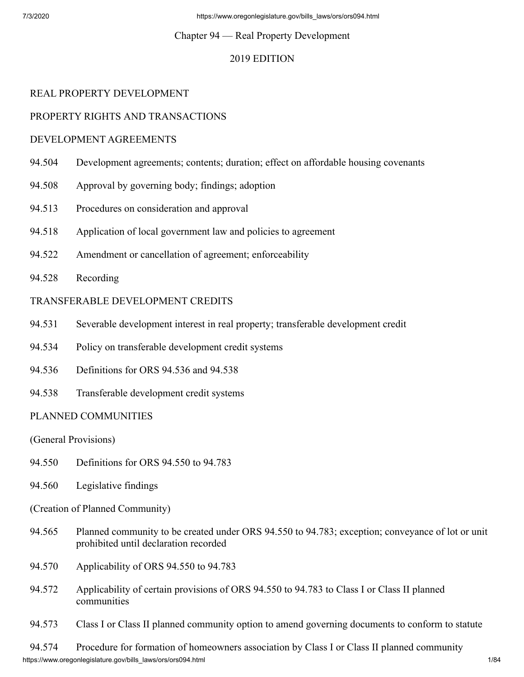## Chapter 94 — Real Property Development

# 2019 EDITION

# REAL PROPERTY DEVELOPMENT

# PROPERTY RIGHTS AND TRANSACTIONS

## DEVELOPMENT AGREEMENTS

- 94.504 Development agreements; contents; duration; effect on affordable housing covenants
- 94.508 Approval by governing body; findings; adoption
- 94.513 Procedures on consideration and approval
- 94.518 Application of local government law and policies to agreement
- 94.522 Amendment or cancellation of agreement; enforceability
- 94.528 Recording

## TRANSFERABLE DEVELOPMENT CREDITS

- 94.531 Severable development interest in real property; transferable development credit
- 94.534 Policy on transferable development credit systems
- 94.536 Definitions for ORS 94.536 and 94.538
- 94.538 Transferable development credit systems

## PLANNED COMMUNITIES

(General Provisions)

- 94.550 Definitions for ORS 94.550 to 94.783
- 94.560 Legislative findings
- (Creation of Planned Community)
- 94.565 Planned community to be created under ORS 94.550 to 94.783; exception; conveyance of lot or unit prohibited until declaration recorded
- 94.570 Applicability of ORS 94.550 to 94.783
- 94.572 Applicability of certain provisions of ORS 94.550 to 94.783 to Class I or Class II planned communities
- 94.573 Class I or Class II planned community option to amend governing documents to conform to statute

https://www.oregonlegislature.gov/bills\_laws/ors/ors094.html 1/84 94.574 Procedure for formation of homeowners association by Class I or Class II planned community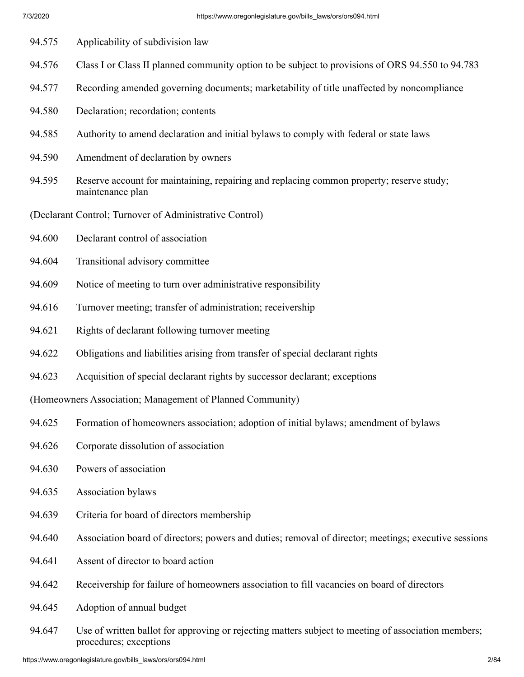94.575 Applicability of subdivision law 94.576 Class I or Class II planned community option to be subject to provisions of ORS 94.550 to 94.783 94.577 Recording amended governing documents; marketability of title unaffected by noncompliance 94.580 Declaration; recordation; contents 94.585 Authority to amend declaration and initial bylaws to comply with federal or state laws 94.590 Amendment of declaration by owners 94.595 Reserve account for maintaining, repairing and replacing common property; reserve study; maintenance plan (Declarant Control; Turnover of Administrative Control) 94.600 Declarant control of association 94.604 Transitional advisory committee 94.609 Notice of meeting to turn over administrative responsibility 94.616 Turnover meeting; transfer of administration; receivership 94.621 Rights of declarant following turnover meeting 94.622 Obligations and liabilities arising from transfer of special declarant rights 94.623 Acquisition of special declarant rights by successor declarant; exceptions (Homeowners Association; Management of Planned Community) 94.625 Formation of homeowners association; adoption of initial bylaws; amendment of bylaws 94.626 Corporate dissolution of association 94.630 Powers of association 94.635 Association bylaws 94.639 Criteria for board of directors membership 94.640 Association board of directors; powers and duties; removal of director; meetings; executive sessions 94.641 Assent of director to board action 94.642 Receivership for failure of homeowners association to fill vacancies on board of directors 94.645 Adoption of annual budget 94.647 Use of written ballot for approving or rejecting matters subject to meeting of association members;

procedures; exceptions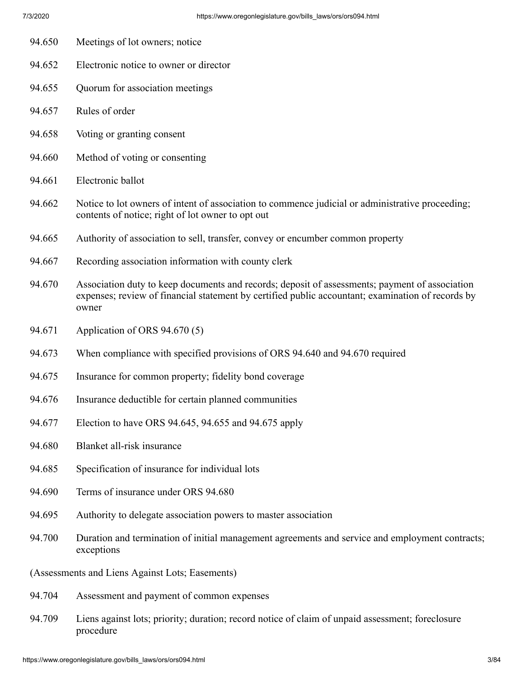- 94.650 Meetings of lot owners; notice
- 94.652 Electronic notice to owner or director
- 94.655 Quorum for association meetings
- 94.657 Rules of order
- 94.658 Voting or granting consent
- 94.660 Method of voting or consenting
- 94.661 Electronic ballot
- 94.662 Notice to lot owners of intent of association to commence judicial or administrative proceeding; contents of notice; right of lot owner to opt out
- 94.665 Authority of association to sell, transfer, convey or encumber common property
- 94.667 Recording association information with county clerk
- 94.670 Association duty to keep documents and records; deposit of assessments; payment of association expenses; review of financial statement by certified public accountant; examination of records by owner
- 94.671 Application of ORS 94.670 (5)
- 94.673 When compliance with specified provisions of ORS 94.640 and 94.670 required
- 94.675 Insurance for common property; fidelity bond coverage
- 94.676 Insurance deductible for certain planned communities
- 94.677 Election to have ORS 94.645, 94.655 and 94.675 apply
- 94.680 Blanket all-risk insurance
- 94.685 Specification of insurance for individual lots
- 94.690 Terms of insurance under ORS 94.680
- 94.695 Authority to delegate association powers to master association
- 94.700 Duration and termination of initial management agreements and service and employment contracts; exceptions
- (Assessments and Liens Against Lots; Easements)
- 94.704 Assessment and payment of common expenses
- 94.709 Liens against lots; priority; duration; record notice of claim of unpaid assessment; foreclosure procedure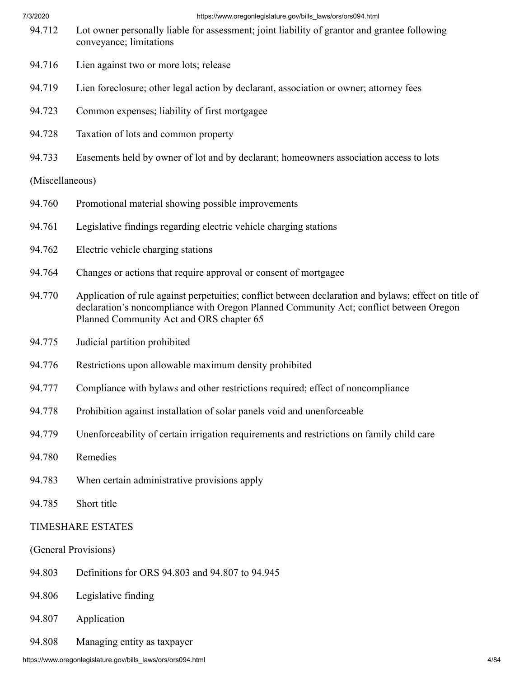#### 7/3/2020 https://www.oregonlegislature.gov/bills\_laws/ors/ors094.html

- 94.712 Lot owner personally liable for assessment; joint liability of grantor and grantee following conveyance; limitations
- 94.716 Lien against two or more lots; release
- 94.719 Lien foreclosure; other legal action by declarant, association or owner; attorney fees
- 94.723 Common expenses; liability of first mortgagee
- 94.728 Taxation of lots and common property
- 94.733 Easements held by owner of lot and by declarant; homeowners association access to lots

#### (Miscellaneous)

- 94.760 Promotional material showing possible improvements
- 94.761 Legislative findings regarding electric vehicle charging stations
- 94.762 Electric vehicle charging stations
- 94.764 Changes or actions that require approval or consent of mortgagee
- 94.770 Application of rule against perpetuities; conflict between declaration and bylaws; effect on title of declaration's noncompliance with Oregon Planned Community Act; conflict between Oregon Planned Community Act and ORS chapter 65
- 94.775 Judicial partition prohibited
- 94.776 Restrictions upon allowable maximum density prohibited
- 94.777 Compliance with bylaws and other restrictions required; effect of noncompliance
- 94.778 Prohibition against installation of solar panels void and unenforceable
- 94.779 Unenforceability of certain irrigation requirements and restrictions on family child care
- 94.780 Remedies
- 94.783 When certain administrative provisions apply
- 94.785 Short title

#### TIMESHARE ESTATES

#### (General Provisions)

- 94.803 Definitions for ORS 94.803 and 94.807 to 94.945
- 94.806 Legislative finding
- 94.807 Application
- 94.808 Managing entity as taxpayer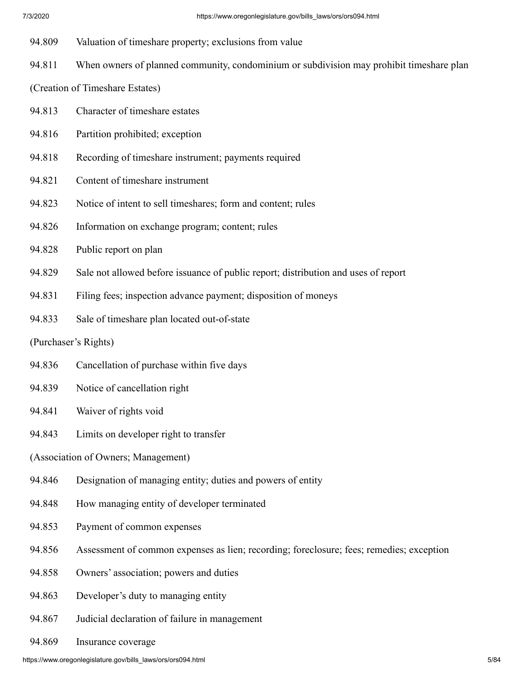- 94.809 Valuation of timeshare property; exclusions from value
- 94.811 When owners of planned community, condominium or subdivision may prohibit timeshare plan

(Creation of Timeshare Estates)

- 94.813 Character of timeshare estates
- 94.816 Partition prohibited; exception
- 94.818 Recording of timeshare instrument; payments required
- 94.821 Content of timeshare instrument
- 94.823 Notice of intent to sell timeshares; form and content; rules
- 94.826 Information on exchange program; content; rules
- 94.828 Public report on plan
- 94.829 Sale not allowed before issuance of public report; distribution and uses of report
- 94.831 Filing fees; inspection advance payment; disposition of moneys
- 94.833 Sale of timeshare plan located out-of-state
- (Purchaser's Rights)
- 94.836 Cancellation of purchase within five days
- 94.839 Notice of cancellation right
- 94.841 Waiver of rights void
- 94.843 Limits on developer right to transfer
- (Association of Owners; Management)
- 94.846 Designation of managing entity; duties and powers of entity
- 94.848 How managing entity of developer terminated
- 94.853 Payment of common expenses
- 94.856 Assessment of common expenses as lien; recording; foreclosure; fees; remedies; exception
- 94.858 Owners' association; powers and duties
- 94.863 Developer's duty to managing entity
- 94.867 Judicial declaration of failure in management
- 94.869 Insurance coverage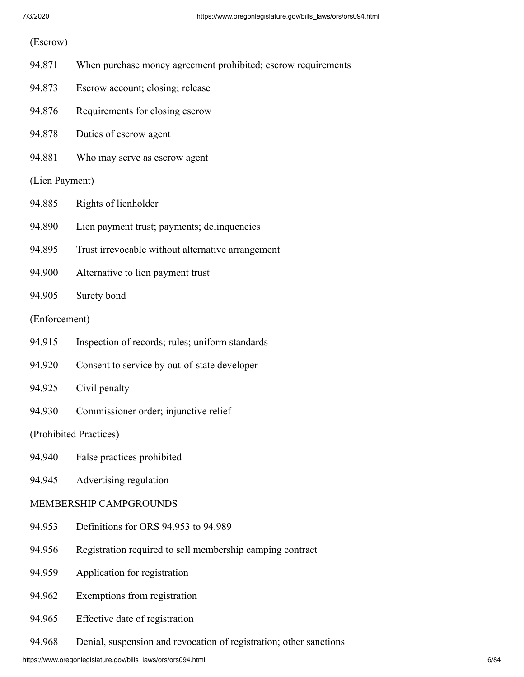#### (Escrow)

- 94.871 When purchase money agreement prohibited; escrow requirements
- 94.873 Escrow account; closing; release
- 94.876 Requirements for closing escrow
- 94.878 Duties of escrow agent
- 94.881 Who may serve as escrow agent

#### (Lien Payment)

- 94.885 Rights of lienholder
- 94.890 Lien payment trust; payments; delinquencies
- 94.895 Trust irrevocable without alternative arrangement
- 94.900 Alternative to lien payment trust
- 94.905 Surety bond

#### (Enforcement)

- 94.915 Inspection of records; rules; uniform standards
- 94.920 Consent to service by out-of-state developer
- 94.925 Civil penalty
- 94.930 Commissioner order; injunctive relief

#### (Prohibited Practices)

- 94.940 False practices prohibited
- 94.945 Advertising regulation

#### MEMBERSHIP CAMPGROUNDS

- 94.953 Definitions for ORS 94.953 to 94.989
- 94.956 Registration required to sell membership camping contract
- 94.959 Application for registration
- 94.962 Exemptions from registration
- 94.965 Effective date of registration
- 94.968 Denial, suspension and revocation of registration; other sanctions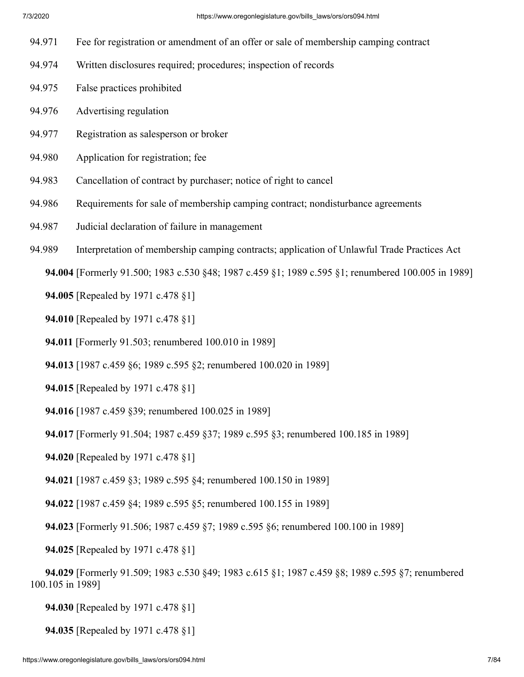- 94.971 Fee for registration or amendment of an offer or sale of membership camping contract
- 94.974 Written disclosures required; procedures; inspection of records
- 94.975 False practices prohibited
- 94.976 Advertising regulation
- 94.977 Registration as salesperson or broker
- 94.980 Application for registration; fee
- 94.983 Cancellation of contract by purchaser; notice of right to cancel
- 94.986 Requirements for sale of membership camping contract; nondisturbance agreements
- 94.987 Judicial declaration of failure in management
- 94.989 Interpretation of membership camping contracts; application of Unlawful Trade Practices Act

 **94.004** [Formerly 91.500; 1983 c.530 §48; 1987 c.459 §1; 1989 c.595 §1; renumbered 100.005 in 1989]

 **94.005** [Repealed by 1971 c.478 §1]

- **94.010** [Repealed by 1971 c.478 §1]
- **94.011** [Formerly 91.503; renumbered 100.010 in 1989]
- **94.013** [1987 c.459 §6; 1989 c.595 §2; renumbered 100.020 in 1989]
- **94.015** [Repealed by 1971 c.478 §1]
- **94.016** [1987 c.459 §39; renumbered 100.025 in 1989]
- **94.017** [Formerly 91.504; 1987 c.459 §37; 1989 c.595 §3; renumbered 100.185 in 1989]
- **94.020** [Repealed by 1971 c.478 §1]
- **94.021** [1987 c.459 §3; 1989 c.595 §4; renumbered 100.150 in 1989]
- **94.022** [1987 c.459 §4; 1989 c.595 §5; renumbered 100.155 in 1989]
- **94.023** [Formerly 91.506; 1987 c.459 §7; 1989 c.595 §6; renumbered 100.100 in 1989]
- **94.025** [Repealed by 1971 c.478 §1]
- **94.029** [Formerly 91.509; 1983 c.530 §49; 1983 c.615 §1; 1987 c.459 §8; 1989 c.595 §7; renumbered 100.105 in 1989]
	- **94.030** [Repealed by 1971 c.478 §1]
	- **94.035** [Repealed by 1971 c.478 §1]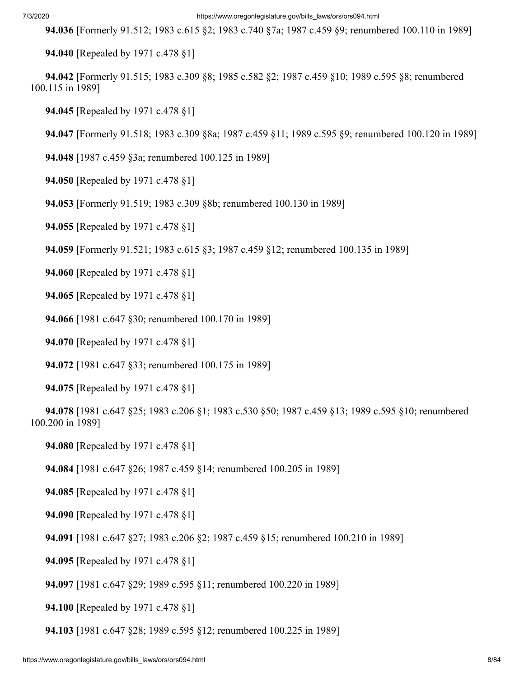#### 7/3/2020 https://www.oregonlegislature.gov/bills\_laws/ors/ors094.html

 **94.036** [Formerly 91.512; 1983 c.615 §2; 1983 c.740 §7a; 1987 c.459 §9; renumbered 100.110 in 1989]

 **94.040** [Repealed by 1971 c.478 §1]

 **94.042** [Formerly 91.515; 1983 c.309 §8; 1985 c.582 §2; 1987 c.459 §10; 1989 c.595 §8; renumbered 100.115 in 1989]

 **94.045** [Repealed by 1971 c.478 §1]

 **94.047** [Formerly 91.518; 1983 c.309 §8a; 1987 c.459 §11; 1989 c.595 §9; renumbered 100.120 in 1989]

 **94.048** [1987 c.459 §3a; renumbered 100.125 in 1989]

 **94.050** [Repealed by 1971 c.478 §1]

 **94.053** [Formerly 91.519; 1983 c.309 §8b; renumbered 100.130 in 1989]

 **94.055** [Repealed by 1971 c.478 §1]

 **94.059** [Formerly 91.521; 1983 c.615 §3; 1987 c.459 §12; renumbered 100.135 in 1989]

 **94.060** [Repealed by 1971 c.478 §1]

 **94.065** [Repealed by 1971 c.478 §1]

 **94.066** [1981 c.647 §30; renumbered 100.170 in 1989]

 **94.070** [Repealed by 1971 c.478 §1]

 **94.072** [1981 c.647 §33; renumbered 100.175 in 1989]

 **94.075** [Repealed by 1971 c.478 §1]

 **94.078** [1981 c.647 §25; 1983 c.206 §1; 1983 c.530 §50; 1987 c.459 §13; 1989 c.595 §10; renumbered 100.200 in 1989]

 **94.080** [Repealed by 1971 c.478 §1]

 **94.084** [1981 c.647 §26; 1987 c.459 §14; renumbered 100.205 in 1989]

 **94.085** [Repealed by 1971 c.478 §1]

 **94.090** [Repealed by 1971 c.478 §1]

 **94.091** [1981 c.647 §27; 1983 c.206 §2; 1987 c.459 §15; renumbered 100.210 in 1989]

 **94.095** [Repealed by 1971 c.478 §1]

 **94.097** [1981 c.647 §29; 1989 c.595 §11; renumbered 100.220 in 1989]

 **94.100** [Repealed by 1971 c.478 §1]

 **94.103** [1981 c.647 §28; 1989 c.595 §12; renumbered 100.225 in 1989]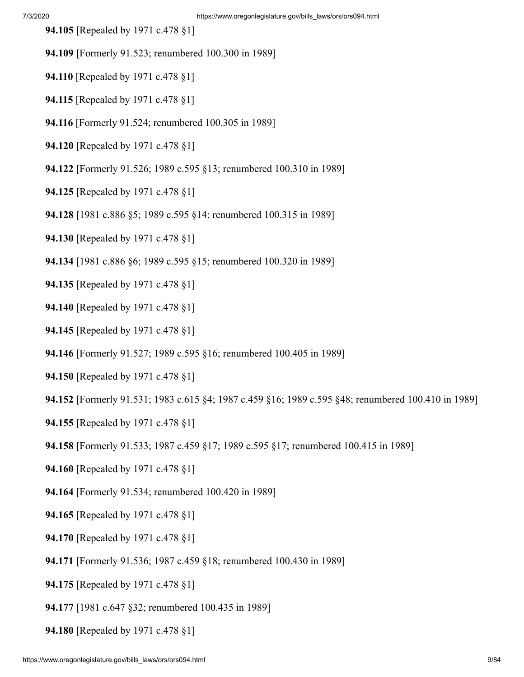- **94.105** [Repealed by 1971 c.478 §1]
- **94.109** [Formerly 91.523; renumbered 100.300 in 1989]
- **94.110** [Repealed by 1971 c.478 §1]
- **94.115** [Repealed by 1971 c.478 §1]
- **94.116** [Formerly 91.524; renumbered 100.305 in 1989]
- **94.120** [Repealed by 1971 c.478 §1]
- **94.122** [Formerly 91.526; 1989 c.595 §13; renumbered 100.310 in 1989]
- **94.125** [Repealed by 1971 c.478 §1]
- **94.128** [1981 c.886 §5; 1989 c.595 §14; renumbered 100.315 in 1989]
- **94.130** [Repealed by 1971 c.478 §1]
- **94.134** [1981 c.886 §6; 1989 c.595 §15; renumbered 100.320 in 1989]
- **94.135** [Repealed by 1971 c.478 §1]
- **94.140** [Repealed by 1971 c.478 §1]
- **94.145** [Repealed by 1971 c.478 §1]
- **94.146** [Formerly 91.527; 1989 c.595 §16; renumbered 100.405 in 1989]
- **94.150** [Repealed by 1971 c.478 §1]
- **94.152** [Formerly 91.531; 1983 c.615 §4; 1987 c.459 §16; 1989 c.595 §48; renumbered 100.410 in 1989]
- **94.155** [Repealed by 1971 c.478 §1]
- **94.158** [Formerly 91.533; 1987 c.459 §17; 1989 c.595 §17; renumbered 100.415 in 1989]
- **94.160** [Repealed by 1971 c.478 §1]
- **94.164** [Formerly 91.534; renumbered 100.420 in 1989]
- **94.165** [Repealed by 1971 c.478 §1]
- **94.170** [Repealed by 1971 c.478 §1]
- **94.171** [Formerly 91.536; 1987 c.459 §18; renumbered 100.430 in 1989]
- **94.175** [Repealed by 1971 c.478 §1]
- **94.177** [1981 c.647 §32; renumbered 100.435 in 1989]
- **94.180** [Repealed by 1971 c.478 §1]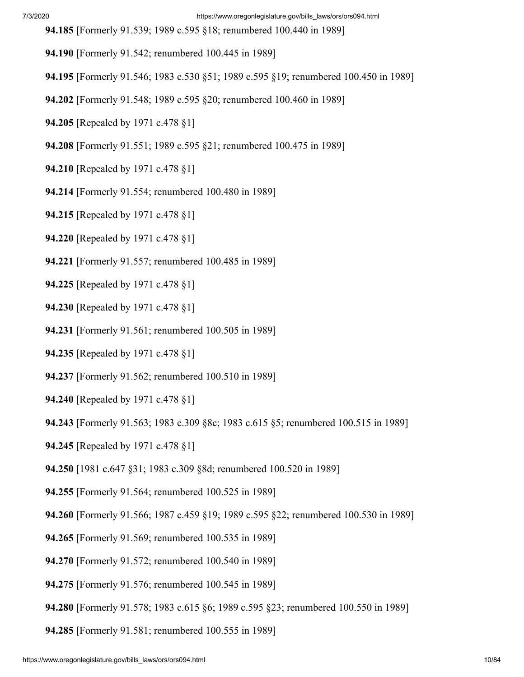**94.185** [Formerly 91.539; 1989 c.595 §18; renumbered 100.440 in 1989]

- **94.190** [Formerly 91.542; renumbered 100.445 in 1989]
- **94.195** [Formerly 91.546; 1983 c.530 §51; 1989 c.595 §19; renumbered 100.450 in 1989]
- **94.202** [Formerly 91.548; 1989 c.595 §20; renumbered 100.460 in 1989]
- **94.205** [Repealed by 1971 c.478 §1]
- **94.208** [Formerly 91.551; 1989 c.595 §21; renumbered 100.475 in 1989]
- **94.210** [Repealed by 1971 c.478 §1]
- **94.214** [Formerly 91.554; renumbered 100.480 in 1989]
- **94.215** [Repealed by 1971 c.478 §1]
- **94.220** [Repealed by 1971 c.478 §1]
- **94.221** [Formerly 91.557; renumbered 100.485 in 1989]
- **94.225** [Repealed by 1971 c.478 §1]
- **94.230** [Repealed by 1971 c.478 §1]
- **94.231** [Formerly 91.561; renumbered 100.505 in 1989]
- **94.235** [Repealed by 1971 c.478 §1]
- **94.237** [Formerly 91.562; renumbered 100.510 in 1989]
- **94.240** [Repealed by 1971 c.478 §1]
- **94.243** [Formerly 91.563; 1983 c.309 §8c; 1983 c.615 §5; renumbered 100.515 in 1989]
- **94.245** [Repealed by 1971 c.478 §1]
- **94.250** [1981 c.647 §31; 1983 c.309 §8d; renumbered 100.520 in 1989]
- **94.255** [Formerly 91.564; renumbered 100.525 in 1989]
- **94.260** [Formerly 91.566; 1987 c.459 §19; 1989 c.595 §22; renumbered 100.530 in 1989]
- **94.265** [Formerly 91.569; renumbered 100.535 in 1989]
- **94.270** [Formerly 91.572; renumbered 100.540 in 1989]
- **94.275** [Formerly 91.576; renumbered 100.545 in 1989]
- **94.280** [Formerly 91.578; 1983 c.615 §6; 1989 c.595 §23; renumbered 100.550 in 1989]
- **94.285** [Formerly 91.581; renumbered 100.555 in 1989]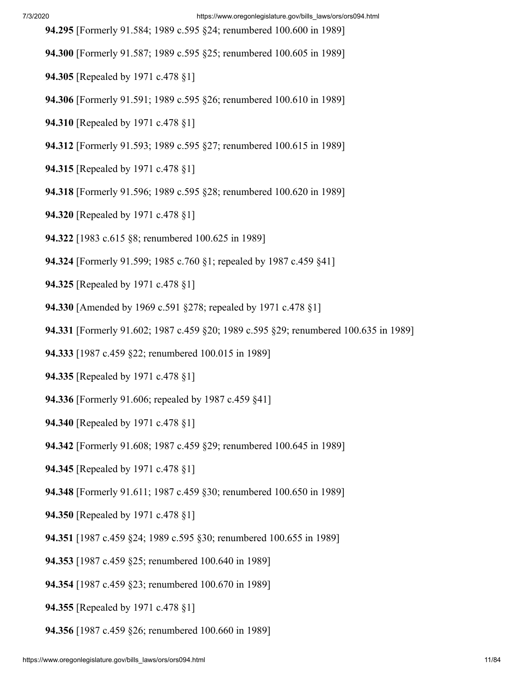- **94.295** [Formerly 91.584; 1989 c.595 §24; renumbered 100.600 in 1989]
- **94.300** [Formerly 91.587; 1989 c.595 §25; renumbered 100.605 in 1989]
- **94.305** [Repealed by 1971 c.478 §1]
- **94.306** [Formerly 91.591; 1989 c.595 §26; renumbered 100.610 in 1989]
- **94.310** [Repealed by 1971 c.478 §1]
- **94.312** [Formerly 91.593; 1989 c.595 §27; renumbered 100.615 in 1989]
- **94.315** [Repealed by 1971 c.478 §1]
- **94.318** [Formerly 91.596; 1989 c.595 §28; renumbered 100.620 in 1989]
- **94.320** [Repealed by 1971 c.478 §1]
- **94.322** [1983 c.615 §8; renumbered 100.625 in 1989]
- **94.324** [Formerly 91.599; 1985 c.760 §1; repealed by 1987 c.459 §41]
- **94.325** [Repealed by 1971 c.478 §1]
- **94.330** [Amended by 1969 c.591 §278; repealed by 1971 c.478 §1]
- **94.331** [Formerly 91.602; 1987 c.459 §20; 1989 c.595 §29; renumbered 100.635 in 1989]
- **94.333** [1987 c.459 §22; renumbered 100.015 in 1989]
- **94.335** [Repealed by 1971 c.478 §1]
- **94.336** [Formerly 91.606; repealed by 1987 c.459 §41]
- **94.340** [Repealed by 1971 c.478 §1]
- **94.342** [Formerly 91.608; 1987 c.459 §29; renumbered 100.645 in 1989]
- **94.345** [Repealed by 1971 c.478 §1]
- **94.348** [Formerly 91.611; 1987 c.459 §30; renumbered 100.650 in 1989]
- **94.350** [Repealed by 1971 c.478 §1]
- **94.351** [1987 c.459 §24; 1989 c.595 §30; renumbered 100.655 in 1989]
- **94.353** [1987 c.459 §25; renumbered 100.640 in 1989]
- **94.354** [1987 c.459 §23; renumbered 100.670 in 1989]
- **94.355** [Repealed by 1971 c.478 §1]
- **94.356** [1987 c.459 §26; renumbered 100.660 in 1989]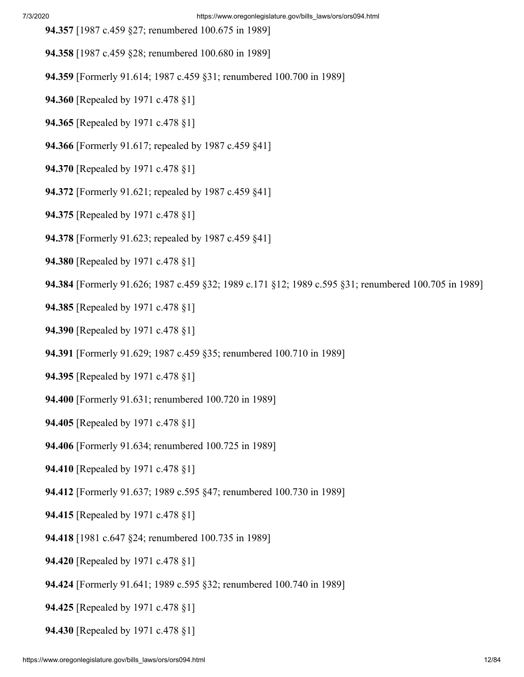- **94.357** [1987 c.459 §27; renumbered 100.675 in 1989]
- **94.358** [1987 c.459 §28; renumbered 100.680 in 1989]
- **94.359** [Formerly 91.614; 1987 c.459 §31; renumbered 100.700 in 1989]
- **94.360** [Repealed by 1971 c.478 §1]
- **94.365** [Repealed by 1971 c.478 §1]
- **94.366** [Formerly 91.617; repealed by 1987 c.459 §41]
- **94.370** [Repealed by 1971 c.478 §1]
- **94.372** [Formerly 91.621; repealed by 1987 c.459 §41]
- **94.375** [Repealed by 1971 c.478 §1]
- **94.378** [Formerly 91.623; repealed by 1987 c.459 §41]
- **94.380** [Repealed by 1971 c.478 §1]
- **94.384** [Formerly 91.626; 1987 c.459 §32; 1989 c.171 §12; 1989 c.595 §31; renumbered 100.705 in 1989]
- **94.385** [Repealed by 1971 c.478 §1]
- **94.390** [Repealed by 1971 c.478 §1]
- **94.391** [Formerly 91.629; 1987 c.459 §35; renumbered 100.710 in 1989]
- **94.395** [Repealed by 1971 c.478 §1]
- **94.400** [Formerly 91.631; renumbered 100.720 in 1989]
- **94.405** [Repealed by 1971 c.478 §1]
- **94.406** [Formerly 91.634; renumbered 100.725 in 1989]
- **94.410** [Repealed by 1971 c.478 §1]
- **94.412** [Formerly 91.637; 1989 c.595 §47; renumbered 100.730 in 1989]
- **94.415** [Repealed by 1971 c.478 §1]
- **94.418** [1981 c.647 §24; renumbered 100.735 in 1989]
- **94.420** [Repealed by 1971 c.478 §1]
- **94.424** [Formerly 91.641; 1989 c.595 §32; renumbered 100.740 in 1989]
- **94.425** [Repealed by 1971 c.478 §1]
- **94.430** [Repealed by 1971 c.478 §1]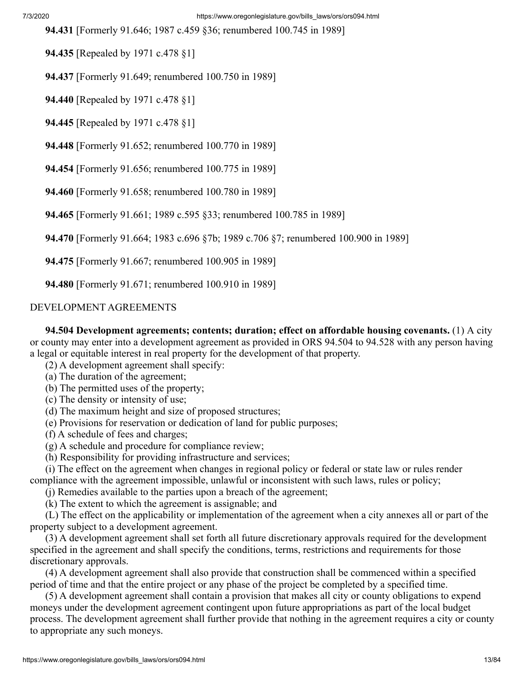**94.431** [Formerly 91.646; 1987 c.459 §36; renumbered 100.745 in 1989]

 **94.435** [Repealed by 1971 c.478 §1]

 **94.437** [Formerly 91.649; renumbered 100.750 in 1989]

 **94.440** [Repealed by 1971 c.478 §1]

 **94.445** [Repealed by 1971 c.478 §1]

 **94.448** [Formerly 91.652; renumbered 100.770 in 1989]

 **94.454** [Formerly 91.656; renumbered 100.775 in 1989]

 **94.460** [Formerly 91.658; renumbered 100.780 in 1989]

 **94.465** [Formerly 91.661; 1989 c.595 §33; renumbered 100.785 in 1989]

 **94.470** [Formerly 91.664; 1983 c.696 §7b; 1989 c.706 §7; renumbered 100.900 in 1989]

 **94.475** [Formerly 91.667; renumbered 100.905 in 1989]

 **94.480** [Formerly 91.671; renumbered 100.910 in 1989]

#### DEVELOPMENT AGREEMENTS

 **94.504 Development agreements; contents; duration; effect on affordable housing covenants.** (1) A city or county may enter into a development agreement as provided in ORS 94.504 to 94.528 with any person having a legal or equitable interest in real property for the development of that property.

(2) A development agreement shall specify:

(a) The duration of the agreement;

(b) The permitted uses of the property;

- (c) The density or intensity of use;
- (d) The maximum height and size of proposed structures;
- (e) Provisions for reservation or dedication of land for public purposes;
- (f) A schedule of fees and charges;
- (g) A schedule and procedure for compliance review;
- (h) Responsibility for providing infrastructure and services;

 (i) The effect on the agreement when changes in regional policy or federal or state law or rules render compliance with the agreement impossible, unlawful or inconsistent with such laws, rules or policy;

(j) Remedies available to the parties upon a breach of the agreement;

(k) The extent to which the agreement is assignable; and

 (L) The effect on the applicability or implementation of the agreement when a city annexes all or part of the property subject to a development agreement.

 (3) A development agreement shall set forth all future discretionary approvals required for the development specified in the agreement and shall specify the conditions, terms, restrictions and requirements for those discretionary approvals.

 (4) A development agreement shall also provide that construction shall be commenced within a specified period of time and that the entire project or any phase of the project be completed by a specified time.

 (5) A development agreement shall contain a provision that makes all city or county obligations to expend moneys under the development agreement contingent upon future appropriations as part of the local budget process. The development agreement shall further provide that nothing in the agreement requires a city or county to appropriate any such moneys.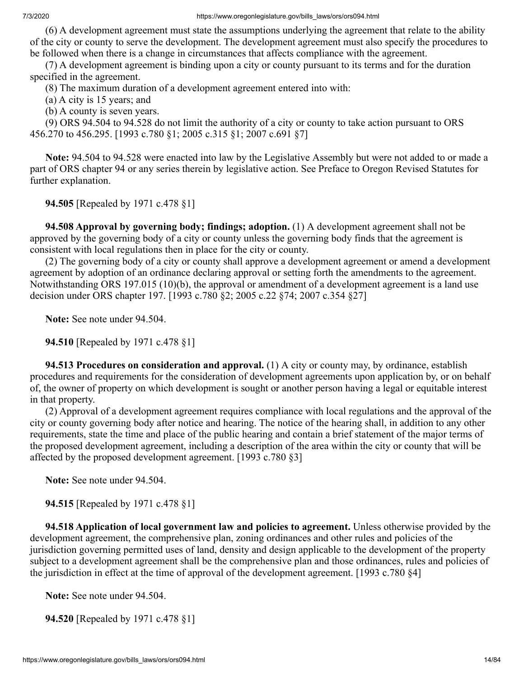(6) A development agreement must state the assumptions underlying the agreement that relate to the ability of the city or county to serve the development. The development agreement must also specify the procedures to be followed when there is a change in circumstances that affects compliance with the agreement.

 (7) A development agreement is binding upon a city or county pursuant to its terms and for the duration specified in the agreement.

(8) The maximum duration of a development agreement entered into with:

(a) A city is 15 years; and

(b) A county is seven years.

 (9) ORS 94.504 to 94.528 do not limit the authority of a city or county to take action pursuant to ORS 456.270 to 456.295. [1993 c.780 §1; 2005 c.315 §1; 2007 c.691 §7]

 **Note:** 94.504 to 94.528 were enacted into law by the Legislative Assembly but were not added to or made a part of ORS chapter 94 or any series therein by legislative action. See Preface to Oregon Revised Statutes for further explanation.

 **94.505** [Repealed by 1971 c.478 §1]

 **94.508 Approval by governing body; findings; adoption.** (1) A development agreement shall not be approved by the governing body of a city or county unless the governing body finds that the agreement is consistent with local regulations then in place for the city or county.

 (2) The governing body of a city or county shall approve a development agreement or amend a development agreement by adoption of an ordinance declaring approval or setting forth the amendments to the agreement. Notwithstanding ORS 197.015 (10)(b), the approval or amendment of a development agreement is a land use decision under ORS chapter 197. [1993 c.780 §2; 2005 c.22 §74; 2007 c.354 §27]

 **Note:** See note under 94.504.

 **94.510** [Repealed by 1971 c.478 §1]

 **94.513 Procedures on consideration and approval.** (1) A city or county may, by ordinance, establish procedures and requirements for the consideration of development agreements upon application by, or on behalf of, the owner of property on which development is sought or another person having a legal or equitable interest in that property.

 (2) Approval of a development agreement requires compliance with local regulations and the approval of the city or county governing body after notice and hearing. The notice of the hearing shall, in addition to any other requirements, state the time and place of the public hearing and contain a brief statement of the major terms of the proposed development agreement, including a description of the area within the city or county that will be affected by the proposed development agreement. [1993 c.780 §3]

 **Note:** See note under 94.504.

 **94.515** [Repealed by 1971 c.478 §1]

 **94.518 Application of local government law and policies to agreement.** Unless otherwise provided by the development agreement, the comprehensive plan, zoning ordinances and other rules and policies of the jurisdiction governing permitted uses of land, density and design applicable to the development of the property subject to a development agreement shall be the comprehensive plan and those ordinances, rules and policies of the jurisdiction in effect at the time of approval of the development agreement. [1993 c.780 §4]

 **Note:** See note under 94.504.

 **94.520** [Repealed by 1971 c.478 §1]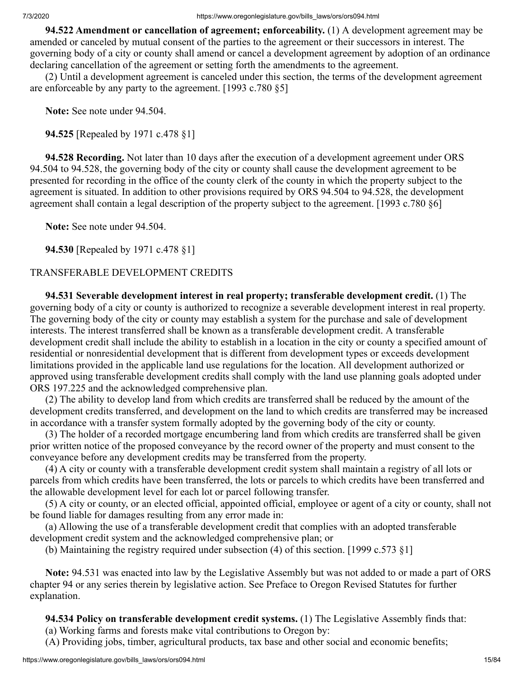**94.522 Amendment or cancellation of agreement; enforceability.** (1) A development agreement may be amended or canceled by mutual consent of the parties to the agreement or their successors in interest. The governing body of a city or county shall amend or cancel a development agreement by adoption of an ordinance declaring cancellation of the agreement or setting forth the amendments to the agreement.

 (2) Until a development agreement is canceled under this section, the terms of the development agreement are enforceable by any party to the agreement. [1993 c.780 §5]

 **Note:** See note under 94.504.

 **94.525** [Repealed by 1971 c.478 §1]

 **94.528 Recording.** Not later than 10 days after the execution of a development agreement under ORS 94.504 to 94.528, the governing body of the city or county shall cause the development agreement to be presented for recording in the office of the county clerk of the county in which the property subject to the agreement is situated. In addition to other provisions required by ORS 94.504 to 94.528, the development agreement shall contain a legal description of the property subject to the agreement. [1993 c.780 §6]

 **Note:** See note under 94.504.

 **94.530** [Repealed by 1971 c.478 §1]

## TRANSFERABLE DEVELOPMENT CREDITS

 **94.531 Severable development interest in real property; transferable development credit.** (1) The governing body of a city or county is authorized to recognize a severable development interest in real property. The governing body of the city or county may establish a system for the purchase and sale of development interests. The interest transferred shall be known as a transferable development credit. A transferable development credit shall include the ability to establish in a location in the city or county a specified amount of residential or nonresidential development that is different from development types or exceeds development limitations provided in the applicable land use regulations for the location. All development authorized or approved using transferable development credits shall comply with the land use planning goals adopted under ORS 197.225 and the acknowledged comprehensive plan.

 (2) The ability to develop land from which credits are transferred shall be reduced by the amount of the development credits transferred, and development on the land to which credits are transferred may be increased in accordance with a transfer system formally adopted by the governing body of the city or county.

 (3) The holder of a recorded mortgage encumbering land from which credits are transferred shall be given prior written notice of the proposed conveyance by the record owner of the property and must consent to the conveyance before any development credits may be transferred from the property.

 (4) A city or county with a transferable development credit system shall maintain a registry of all lots or parcels from which credits have been transferred, the lots or parcels to which credits have been transferred and the allowable development level for each lot or parcel following transfer.

 (5) A city or county, or an elected official, appointed official, employee or agent of a city or county, shall not be found liable for damages resulting from any error made in:

 (a) Allowing the use of a transferable development credit that complies with an adopted transferable development credit system and the acknowledged comprehensive plan; or

(b) Maintaining the registry required under subsection (4) of this section. [1999 c.573 §1]

 **Note:** 94.531 was enacted into law by the Legislative Assembly but was not added to or made a part of ORS chapter 94 or any series therein by legislative action. See Preface to Oregon Revised Statutes for further explanation.

 **94.534 Policy on transferable development credit systems.** (1) The Legislative Assembly finds that:

(a) Working farms and forests make vital contributions to Oregon by:

(A) Providing jobs, timber, agricultural products, tax base and other social and economic benefits;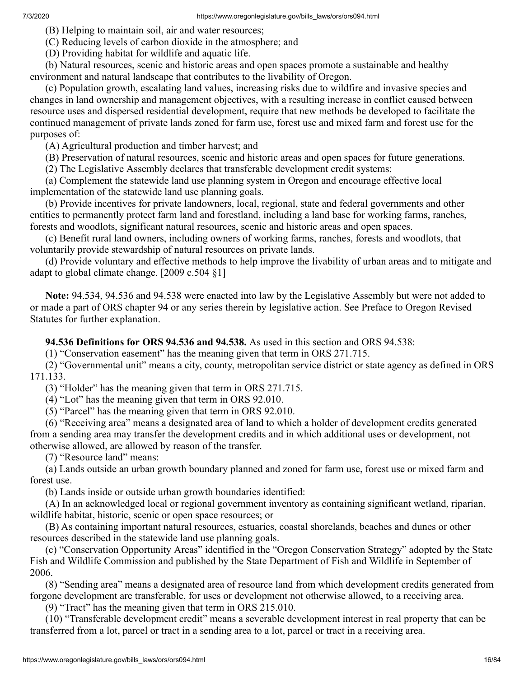(B) Helping to maintain soil, air and water resources;

(C) Reducing levels of carbon dioxide in the atmosphere; and

(D) Providing habitat for wildlife and aquatic life.

 (b) Natural resources, scenic and historic areas and open spaces promote a sustainable and healthy environment and natural landscape that contributes to the livability of Oregon.

 (c) Population growth, escalating land values, increasing risks due to wildfire and invasive species and changes in land ownership and management objectives, with a resulting increase in conflict caused between resource uses and dispersed residential development, require that new methods be developed to facilitate the continued management of private lands zoned for farm use, forest use and mixed farm and forest use for the purposes of:

(A) Agricultural production and timber harvest; and

(B) Preservation of natural resources, scenic and historic areas and open spaces for future generations.

(2) The Legislative Assembly declares that transferable development credit systems:

 (a) Complement the statewide land use planning system in Oregon and encourage effective local implementation of the statewide land use planning goals.

 (b) Provide incentives for private landowners, local, regional, state and federal governments and other entities to permanently protect farm land and forestland, including a land base for working farms, ranches, forests and woodlots, significant natural resources, scenic and historic areas and open spaces.

 (c) Benefit rural land owners, including owners of working farms, ranches, forests and woodlots, that voluntarily provide stewardship of natural resources on private lands.

 (d) Provide voluntary and effective methods to help improve the livability of urban areas and to mitigate and adapt to global climate change. [2009 c.504 §1]

 **Note:** 94.534, 94.536 and 94.538 were enacted into law by the Legislative Assembly but were not added to or made a part of ORS chapter 94 or any series therein by legislative action. See Preface to Oregon Revised Statutes for further explanation.

 **94.536 Definitions for ORS 94.536 and 94.538.** As used in this section and ORS 94.538:

(1) "Conservation easement" has the meaning given that term in ORS 271.715.

 (2) "Governmental unit" means a city, county, metropolitan service district or state agency as defined in ORS 171.133.

(3) "Holder" has the meaning given that term in ORS 271.715.

(4) "Lot" has the meaning given that term in ORS 92.010.

(5) "Parcel" has the meaning given that term in ORS 92.010.

 (6) "Receiving area" means a designated area of land to which a holder of development credits generated from a sending area may transfer the development credits and in which additional uses or development, not otherwise allowed, are allowed by reason of the transfer.

(7) "Resource land" means:

 (a) Lands outside an urban growth boundary planned and zoned for farm use, forest use or mixed farm and forest use.

(b) Lands inside or outside urban growth boundaries identified:

 (A) In an acknowledged local or regional government inventory as containing significant wetland, riparian, wildlife habitat, historic, scenic or open space resources; or

 (B) As containing important natural resources, estuaries, coastal shorelands, beaches and dunes or other resources described in the statewide land use planning goals.

 (c) "Conservation Opportunity Areas" identified in the "Oregon Conservation Strategy" adopted by the State Fish and Wildlife Commission and published by the State Department of Fish and Wildlife in September of 2006.

 (8) "Sending area" means a designated area of resource land from which development credits generated from forgone development are transferable, for uses or development not otherwise allowed, to a receiving area.

(9) "Tract" has the meaning given that term in ORS 215.010.

 (10) "Transferable development credit" means a severable development interest in real property that can be transferred from a lot, parcel or tract in a sending area to a lot, parcel or tract in a receiving area.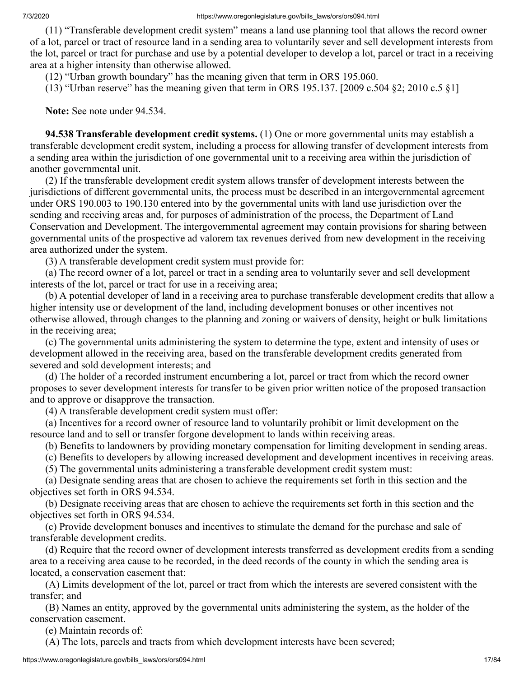(11) "Transferable development credit system" means a land use planning tool that allows the record owner of a lot, parcel or tract of resource land in a sending area to voluntarily sever and sell development interests from the lot, parcel or tract for purchase and use by a potential developer to develop a lot, parcel or tract in a receiving area at a higher intensity than otherwise allowed.

(12) "Urban growth boundary" has the meaning given that term in ORS 195.060.

(13) "Urban reserve" has the meaning given that term in ORS 195.137. [2009 c.504  $\S$ 2; 2010 c.5  $\S$ 1]

 **Note:** See note under 94.534.

 **94.538 Transferable development credit systems.** (1) One or more governmental units may establish a transferable development credit system, including a process for allowing transfer of development interests from a sending area within the jurisdiction of one governmental unit to a receiving area within the jurisdiction of another governmental unit.

 (2) If the transferable development credit system allows transfer of development interests between the jurisdictions of different governmental units, the process must be described in an intergovernmental agreement under ORS 190.003 to 190.130 entered into by the governmental units with land use jurisdiction over the sending and receiving areas and, for purposes of administration of the process, the Department of Land Conservation and Development. The intergovernmental agreement may contain provisions for sharing between governmental units of the prospective ad valorem tax revenues derived from new development in the receiving area authorized under the system.

(3) A transferable development credit system must provide for:

 (a) The record owner of a lot, parcel or tract in a sending area to voluntarily sever and sell development interests of the lot, parcel or tract for use in a receiving area;

 (b) A potential developer of land in a receiving area to purchase transferable development credits that allow a higher intensity use or development of the land, including development bonuses or other incentives not otherwise allowed, through changes to the planning and zoning or waivers of density, height or bulk limitations in the receiving area;

 (c) The governmental units administering the system to determine the type, extent and intensity of uses or development allowed in the receiving area, based on the transferable development credits generated from severed and sold development interests; and

 (d) The holder of a recorded instrument encumbering a lot, parcel or tract from which the record owner proposes to sever development interests for transfer to be given prior written notice of the proposed transaction and to approve or disapprove the transaction.

(4) A transferable development credit system must offer:

 (a) Incentives for a record owner of resource land to voluntarily prohibit or limit development on the resource land and to sell or transfer forgone development to lands within receiving areas.

(b) Benefits to landowners by providing monetary compensation for limiting development in sending areas.

(c) Benefits to developers by allowing increased development and development incentives in receiving areas.

(5) The governmental units administering a transferable development credit system must:

 (a) Designate sending areas that are chosen to achieve the requirements set forth in this section and the objectives set forth in ORS 94.534.

 (b) Designate receiving areas that are chosen to achieve the requirements set forth in this section and the objectives set forth in ORS 94.534.

 (c) Provide development bonuses and incentives to stimulate the demand for the purchase and sale of transferable development credits.

 (d) Require that the record owner of development interests transferred as development credits from a sending area to a receiving area cause to be recorded, in the deed records of the county in which the sending area is located, a conservation easement that:

 (A) Limits development of the lot, parcel or tract from which the interests are severed consistent with the transfer; and

 (B) Names an entity, approved by the governmental units administering the system, as the holder of the conservation easement.

(e) Maintain records of:

(A) The lots, parcels and tracts from which development interests have been severed;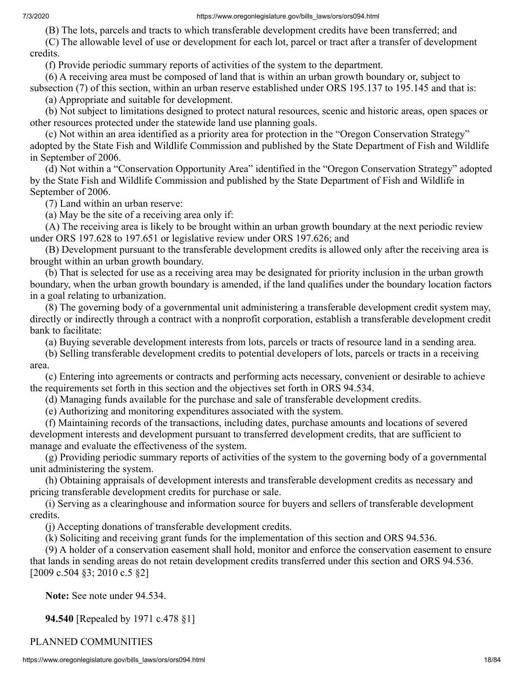(B) The lots, parcels and tracts to which transferable development credits have been transferred; and

 (C) The allowable level of use or development for each lot, parcel or tract after a transfer of development credits.

(f) Provide periodic summary reports of activities of the system to the department.

 (6) A receiving area must be composed of land that is within an urban growth boundary or, subject to subsection (7) of this section, within an urban reserve established under ORS 195.137 to 195.145 and that is:

(a) Appropriate and suitable for development.

 (b) Not subject to limitations designed to protect natural resources, scenic and historic areas, open spaces or other resources protected under the statewide land use planning goals.

 (c) Not within an area identified as a priority area for protection in the "Oregon Conservation Strategy" adopted by the State Fish and Wildlife Commission and published by the State Department of Fish and Wildlife in September of 2006.

 (d) Not within a "Conservation Opportunity Area" identified in the "Oregon Conservation Strategy" adopted by the State Fish and Wildlife Commission and published by the State Department of Fish and Wildlife in September of 2006.

(7) Land within an urban reserve:

(a) May be the site of a receiving area only if:

 (A) The receiving area is likely to be brought within an urban growth boundary at the next periodic review under ORS 197.628 to 197.651 or legislative review under ORS 197.626; and

 (B) Development pursuant to the transferable development credits is allowed only after the receiving area is brought within an urban growth boundary.

 (b) That is selected for use as a receiving area may be designated for priority inclusion in the urban growth boundary, when the urban growth boundary is amended, if the land qualifies under the boundary location factors in a goal relating to urbanization.

 (8) The governing body of a governmental unit administering a transferable development credit system may, directly or indirectly through a contract with a nonprofit corporation, establish a transferable development credit bank to facilitate:

(a) Buying severable development interests from lots, parcels or tracts of resource land in a sending area.

 (b) Selling transferable development credits to potential developers of lots, parcels or tracts in a receiving area.

 (c) Entering into agreements or contracts and performing acts necessary, convenient or desirable to achieve the requirements set forth in this section and the objectives set forth in ORS 94.534.

(d) Managing funds available for the purchase and sale of transferable development credits.

(e) Authorizing and monitoring expenditures associated with the system.

 (f) Maintaining records of the transactions, including dates, purchase amounts and locations of severed development interests and development pursuant to transferred development credits, that are sufficient to manage and evaluate the effectiveness of the system.

 (g) Providing periodic summary reports of activities of the system to the governing body of a governmental unit administering the system.

 (h) Obtaining appraisals of development interests and transferable development credits as necessary and pricing transferable development credits for purchase or sale.

 (i) Serving as a clearinghouse and information source for buyers and sellers of transferable development credits.

(j) Accepting donations of transferable development credits.

(k) Soliciting and receiving grant funds for the implementation of this section and ORS 94.536.

 (9) A holder of a conservation easement shall hold, monitor and enforce the conservation easement to ensure that lands in sending areas do not retain development credits transferred under this section and ORS 94.536. [2009 c.504 §3; 2010 c.5 §2]

 **Note:** See note under 94.534.

 **94.540** [Repealed by 1971 c.478 §1]

PLANNED COMMUNITIES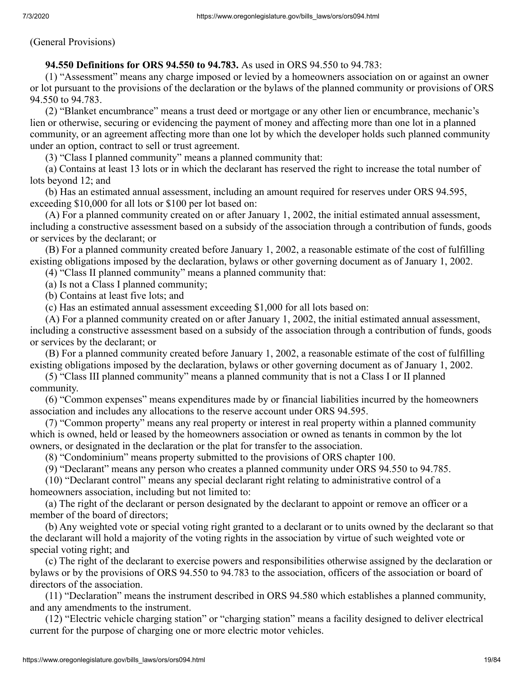(General Provisions)

# **94.550 Definitions for ORS 94.550 to 94.783.** As used in ORS 94.550 to 94.783:

 (1) "Assessment" means any charge imposed or levied by a homeowners association on or against an owner or lot pursuant to the provisions of the declaration or the bylaws of the planned community or provisions of ORS 94.550 to 94.783.

 (2) "Blanket encumbrance" means a trust deed or mortgage or any other lien or encumbrance, mechanic's lien or otherwise, securing or evidencing the payment of money and affecting more than one lot in a planned community, or an agreement affecting more than one lot by which the developer holds such planned community under an option, contract to sell or trust agreement.

(3) "Class I planned community" means a planned community that:

 (a) Contains at least 13 lots or in which the declarant has reserved the right to increase the total number of lots beyond 12; and

 (b) Has an estimated annual assessment, including an amount required for reserves under ORS 94.595, exceeding \$10,000 for all lots or \$100 per lot based on:

 (A) For a planned community created on or after January 1, 2002, the initial estimated annual assessment, including a constructive assessment based on a subsidy of the association through a contribution of funds, goods or services by the declarant; or

 (B) For a planned community created before January 1, 2002, a reasonable estimate of the cost of fulfilling existing obligations imposed by the declaration, bylaws or other governing document as of January 1, 2002.

(4) "Class II planned community" means a planned community that:

(a) Is not a Class I planned community;

(b) Contains at least five lots; and

(c) Has an estimated annual assessment exceeding \$1,000 for all lots based on:

 (A) For a planned community created on or after January 1, 2002, the initial estimated annual assessment, including a constructive assessment based on a subsidy of the association through a contribution of funds, goods or services by the declarant; or

 (B) For a planned community created before January 1, 2002, a reasonable estimate of the cost of fulfilling existing obligations imposed by the declaration, bylaws or other governing document as of January 1, 2002.

 (5) "Class III planned community" means a planned community that is not a Class I or II planned community.

 (6) "Common expenses" means expenditures made by or financial liabilities incurred by the homeowners association and includes any allocations to the reserve account under ORS 94.595.

 (7) "Common property" means any real property or interest in real property within a planned community which is owned, held or leased by the homeowners association or owned as tenants in common by the lot owners, or designated in the declaration or the plat for transfer to the association.

(8) "Condominium" means property submitted to the provisions of ORS chapter 100.

(9) "Declarant" means any person who creates a planned community under ORS 94.550 to 94.785.

 (10) "Declarant control" means any special declarant right relating to administrative control of a homeowners association, including but not limited to:

 (a) The right of the declarant or person designated by the declarant to appoint or remove an officer or a member of the board of directors;

 (b) Any weighted vote or special voting right granted to a declarant or to units owned by the declarant so that the declarant will hold a majority of the voting rights in the association by virtue of such weighted vote or special voting right; and

 (c) The right of the declarant to exercise powers and responsibilities otherwise assigned by the declaration or bylaws or by the provisions of ORS 94.550 to 94.783 to the association, officers of the association or board of directors of the association.

 (11) "Declaration" means the instrument described in ORS 94.580 which establishes a planned community, and any amendments to the instrument.

 (12) "Electric vehicle charging station" or "charging station" means a facility designed to deliver electrical current for the purpose of charging one or more electric motor vehicles.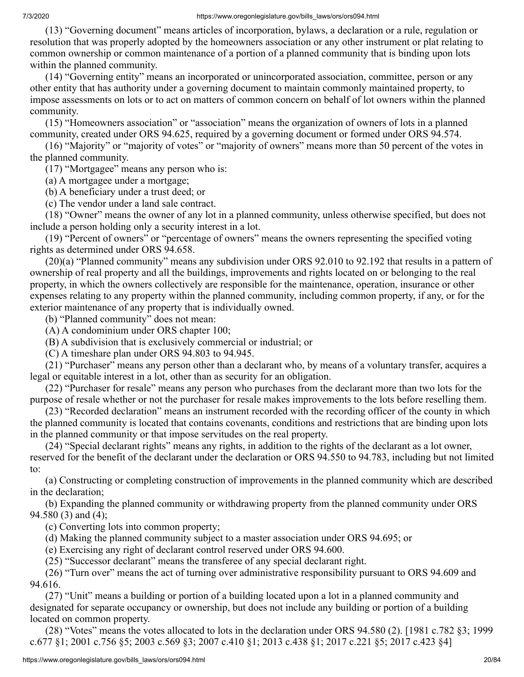(13) "Governing document" means articles of incorporation, bylaws, a declaration or a rule, regulation or resolution that was properly adopted by the homeowners association or any other instrument or plat relating to common ownership or common maintenance of a portion of a planned community that is binding upon lots within the planned community.

 (14) "Governing entity" means an incorporated or unincorporated association, committee, person or any other entity that has authority under a governing document to maintain commonly maintained property, to impose assessments on lots or to act on matters of common concern on behalf of lot owners within the planned community.

 (15) "Homeowners association" or "association" means the organization of owners of lots in a planned community, created under ORS 94.625, required by a governing document or formed under ORS 94.574.

 (16) "Majority" or "majority of votes" or "majority of owners" means more than 50 percent of the votes in the planned community.

(17) "Mortgagee" means any person who is:

(a) A mortgagee under a mortgage;

(b) A beneficiary under a trust deed; or

(c) The vendor under a land sale contract.

 (18) "Owner" means the owner of any lot in a planned community, unless otherwise specified, but does not include a person holding only a security interest in a lot.

 (19) "Percent of owners" or "percentage of owners" means the owners representing the specified voting rights as determined under ORS 94.658.

 (20)(a) "Planned community" means any subdivision under ORS 92.010 to 92.192 that results in a pattern of ownership of real property and all the buildings, improvements and rights located on or belonging to the real property, in which the owners collectively are responsible for the maintenance, operation, insurance or other expenses relating to any property within the planned community, including common property, if any, or for the exterior maintenance of any property that is individually owned.

(b) "Planned community" does not mean:

(A) A condominium under ORS chapter 100;

(B) A subdivision that is exclusively commercial or industrial; or

(C) A timeshare plan under ORS 94.803 to 94.945.

 (21) "Purchaser" means any person other than a declarant who, by means of a voluntary transfer, acquires a legal or equitable interest in a lot, other than as security for an obligation.

 (22) "Purchaser for resale" means any person who purchases from the declarant more than two lots for the purpose of resale whether or not the purchaser for resale makes improvements to the lots before reselling them.

 (23) "Recorded declaration" means an instrument recorded with the recording officer of the county in which the planned community is located that contains covenants, conditions and restrictions that are binding upon lots in the planned community or that impose servitudes on the real property.

 (24) "Special declarant rights" means any rights, in addition to the rights of the declarant as a lot owner, reserved for the benefit of the declarant under the declaration or ORS 94.550 to 94.783, including but not limited to:

 (a) Constructing or completing construction of improvements in the planned community which are described in the declaration;

 (b) Expanding the planned community or withdrawing property from the planned community under ORS 94.580 (3) and (4);

(c) Converting lots into common property;

(d) Making the planned community subject to a master association under ORS 94.695; or

(e) Exercising any right of declarant control reserved under ORS 94.600.

(25) "Successor declarant" means the transferee of any special declarant right.

 (26) "Turn over" means the act of turning over administrative responsibility pursuant to ORS 94.609 and 94.616.

 (27) "Unit" means a building or portion of a building located upon a lot in a planned community and designated for separate occupancy or ownership, but does not include any building or portion of a building located on common property.

 (28) "Votes" means the votes allocated to lots in the declaration under ORS 94.580 (2). [1981 c.782 §3; 1999 c.677 §1; 2001 c.756 §5; 2003 c.569 §3; 2007 c.410 §1; 2013 c.438 §1; 2017 c.221 §5; 2017 c.423 §4]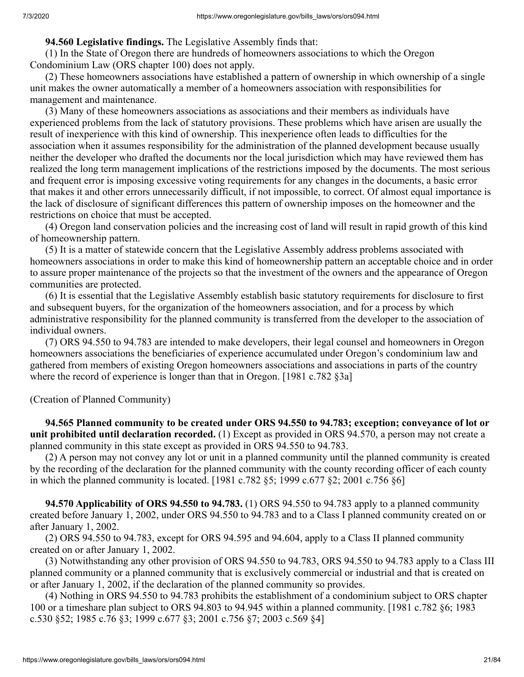# **94.560 Legislative findings.** The Legislative Assembly finds that:

 (1) In the State of Oregon there are hundreds of homeowners associations to which the Oregon Condominium Law (ORS chapter 100) does not apply.

 (2) These homeowners associations have established a pattern of ownership in which ownership of a single unit makes the owner automatically a member of a homeowners association with responsibilities for management and maintenance.

 (3) Many of these homeowners associations as associations and their members as individuals have experienced problems from the lack of statutory provisions. These problems which have arisen are usually the result of inexperience with this kind of ownership. This inexperience often leads to difficulties for the association when it assumes responsibility for the administration of the planned development because usually neither the developer who drafted the documents nor the local jurisdiction which may have reviewed them has realized the long term management implications of the restrictions imposed by the documents. The most serious and frequent error is imposing excessive voting requirements for any changes in the documents, a basic error that makes it and other errors unnecessarily difficult, if not impossible, to correct. Of almost equal importance is the lack of disclosure of significant differences this pattern of ownership imposes on the homeowner and the restrictions on choice that must be accepted.

 (4) Oregon land conservation policies and the increasing cost of land will result in rapid growth of this kind of homeownership pattern.

 (5) It is a matter of statewide concern that the Legislative Assembly address problems associated with homeowners associations in order to make this kind of homeownership pattern an acceptable choice and in order to assure proper maintenance of the projects so that the investment of the owners and the appearance of Oregon communities are protected.

 (6) It is essential that the Legislative Assembly establish basic statutory requirements for disclosure to first and subsequent buyers, for the organization of the homeowners association, and for a process by which administrative responsibility for the planned community is transferred from the developer to the association of individual owners.

 (7) ORS 94.550 to 94.783 are intended to make developers, their legal counsel and homeowners in Oregon homeowners associations the beneficiaries of experience accumulated under Oregon's condominium law and gathered from members of existing Oregon homeowners associations and associations in parts of the country where the record of experience is longer than that in Oregon. [1981 c.782 §3a]

(Creation of Planned Community)

 **94.565 Planned community to be created under ORS 94.550 to 94.783; exception; conveyance of lot or unit prohibited until declaration recorded.** (1) Except as provided in ORS 94.570, a person may not create a planned community in this state except as provided in ORS 94.550 to 94.783.

 (2) A person may not convey any lot or unit in a planned community until the planned community is created by the recording of the declaration for the planned community with the county recording officer of each county in which the planned community is located. [1981 c.782 §5; 1999 c.677 §2; 2001 c.756 §6]

 **94.570 Applicability of ORS 94.550 to 94.783.** (1) ORS 94.550 to 94.783 apply to a planned community created before January 1, 2002, under ORS 94.550 to 94.783 and to a Class I planned community created on or after January 1, 2002.

 (2) ORS 94.550 to 94.783, except for ORS 94.595 and 94.604, apply to a Class II planned community created on or after January 1, 2002.

 (3) Notwithstanding any other provision of ORS 94.550 to 94.783, ORS 94.550 to 94.783 apply to a Class III planned community or a planned community that is exclusively commercial or industrial and that is created on or after January 1, 2002, if the declaration of the planned community so provides.

 (4) Nothing in ORS 94.550 to 94.783 prohibits the establishment of a condominium subject to ORS chapter 100 or a timeshare plan subject to ORS 94.803 to 94.945 within a planned community. [1981 c.782 §6; 1983 c.530 §52; 1985 c.76 §3; 1999 c.677 §3; 2001 c.756 §7; 2003 c.569 §4]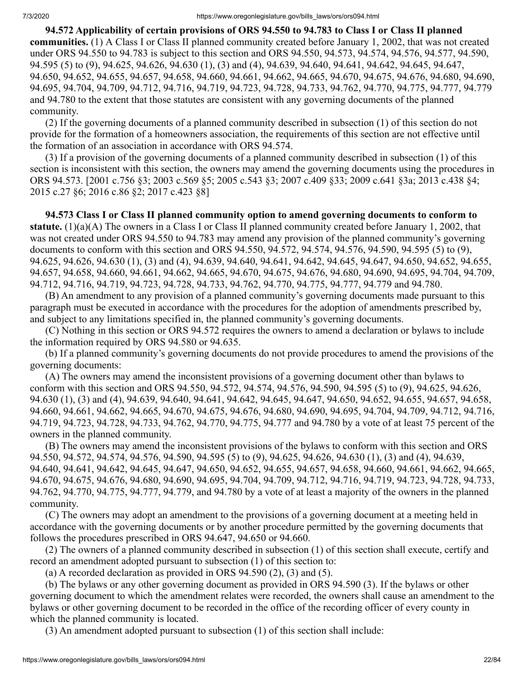**94.572 Applicability of certain provisions of ORS 94.550 to 94.783 to Class I or Class II planned communities.** (1) A Class I or Class II planned community created before January 1, 2002, that was not created under ORS 94.550 to 94.783 is subject to this section and ORS 94.550, 94.573, 94.574, 94.576, 94.577, 94.590, 94.595 (5) to (9), 94.625, 94.626, 94.630 (1), (3) and (4), 94.639, 94.640, 94.641, 94.642, 94.645, 94.647, 94.650, 94.652, 94.655, 94.657, 94.658, 94.660, 94.661, 94.662, 94.665, 94.670, 94.675, 94.676, 94.680, 94.690, 94.695, 94.704, 94.709, 94.712, 94.716, 94.719, 94.723, 94.728, 94.733, 94.762, 94.770, 94.775, 94.777, 94.779 and 94.780 to the extent that those statutes are consistent with any governing documents of the planned community.

 (2) If the governing documents of a planned community described in subsection (1) of this section do not provide for the formation of a homeowners association, the requirements of this section are not effective until the formation of an association in accordance with ORS 94.574.

 (3) If a provision of the governing documents of a planned community described in subsection (1) of this section is inconsistent with this section, the owners may amend the governing documents using the procedures in ORS 94.573. [2001 c.756 §3; 2003 c.569 §5; 2005 c.543 §3; 2007 c.409 §33; 2009 c.641 §3a; 2013 c.438 §4; 2015 c.27 §6; 2016 c.86 §2; 2017 c.423 §8]

 **94.573 Class I or Class II planned community option to amend governing documents to conform to statute.** (1)(a)(A) The owners in a Class I or Class II planned community created before January 1, 2002, that was not created under ORS 94.550 to 94.783 may amend any provision of the planned community's governing documents to conform with this section and ORS 94.550, 94.572, 94.574, 94.576, 94.590, 94.595 (5) to (9), 94.625, 94.626, 94.630 (1), (3) and (4), 94.639, 94.640, 94.641, 94.642, 94.645, 94.647, 94.650, 94.652, 94.655, 94.657, 94.658, 94.660, 94.661, 94.662, 94.665, 94.670, 94.675, 94.676, 94.680, 94.690, 94.695, 94.704, 94.709, 94.712, 94.716, 94.719, 94.723, 94.728, 94.733, 94.762, 94.770, 94.775, 94.777, 94.779 and 94.780.

 (B) An amendment to any provision of a planned community's governing documents made pursuant to this paragraph must be executed in accordance with the procedures for the adoption of amendments prescribed by, and subject to any limitations specified in, the planned community's governing documents.

 (C) Nothing in this section or ORS 94.572 requires the owners to amend a declaration or bylaws to include the information required by ORS 94.580 or 94.635.

 (b) If a planned community's governing documents do not provide procedures to amend the provisions of the governing documents:

 (A) The owners may amend the inconsistent provisions of a governing document other than bylaws to conform with this section and ORS 94.550, 94.572, 94.574, 94.576, 94.590, 94.595 (5) to (9), 94.625, 94.626, 94.630 (1), (3) and (4), 94.639, 94.640, 94.641, 94.642, 94.645, 94.647, 94.650, 94.652, 94.655, 94.657, 94.658, 94.660, 94.661, 94.662, 94.665, 94.670, 94.675, 94.676, 94.680, 94.690, 94.695, 94.704, 94.709, 94.712, 94.716, 94.719, 94.723, 94.728, 94.733, 94.762, 94.770, 94.775, 94.777 and 94.780 by a vote of at least 75 percent of the owners in the planned community.

 (B) The owners may amend the inconsistent provisions of the bylaws to conform with this section and ORS 94.550, 94.572, 94.574, 94.576, 94.590, 94.595 (5) to (9), 94.625, 94.626, 94.630 (1), (3) and (4), 94.639, 94.640, 94.641, 94.642, 94.645, 94.647, 94.650, 94.652, 94.655, 94.657, 94.658, 94.660, 94.661, 94.662, 94.665, 94.670, 94.675, 94.676, 94.680, 94.690, 94.695, 94.704, 94.709, 94.712, 94.716, 94.719, 94.723, 94.728, 94.733, 94.762, 94.770, 94.775, 94.777, 94.779, and 94.780 by a vote of at least a majority of the owners in the planned community.

 (C) The owners may adopt an amendment to the provisions of a governing document at a meeting held in accordance with the governing documents or by another procedure permitted by the governing documents that follows the procedures prescribed in ORS 94.647, 94.650 or 94.660.

 (2) The owners of a planned community described in subsection (1) of this section shall execute, certify and record an amendment adopted pursuant to subsection (1) of this section to:

(a) A recorded declaration as provided in ORS  $94.590(2)$ , (3) and (5).

 (b) The bylaws or any other governing document as provided in ORS 94.590 (3). If the bylaws or other governing document to which the amendment relates were recorded, the owners shall cause an amendment to the bylaws or other governing document to be recorded in the office of the recording officer of every county in which the planned community is located.

(3) An amendment adopted pursuant to subsection (1) of this section shall include: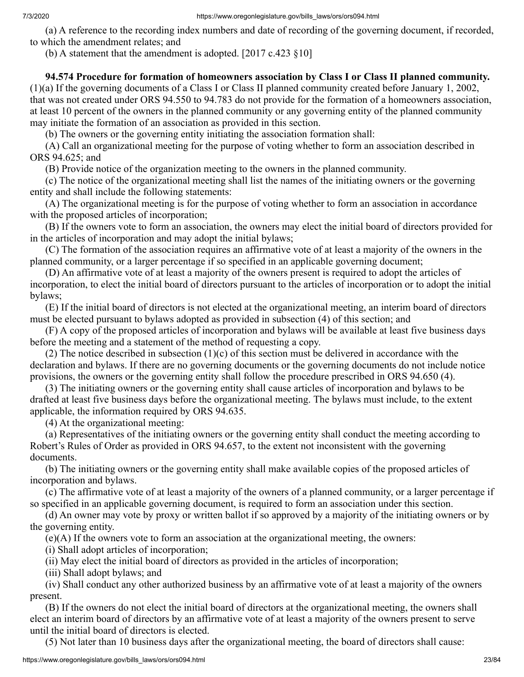(a) A reference to the recording index numbers and date of recording of the governing document, if recorded, to which the amendment relates; and

(b) A statement that the amendment is adopted.  $[2017 \text{ c}.423 \text{ §}10]$ 

# **94.574 Procedure for formation of homeowners association by Class I or Class II planned community.**

(1)(a) If the governing documents of a Class I or Class II planned community created before January 1, 2002, that was not created under ORS 94.550 to 94.783 do not provide for the formation of a homeowners association, at least 10 percent of the owners in the planned community or any governing entity of the planned community may initiate the formation of an association as provided in this section.

(b) The owners or the governing entity initiating the association formation shall:

 (A) Call an organizational meeting for the purpose of voting whether to form an association described in ORS 94.625; and

(B) Provide notice of the organization meeting to the owners in the planned community.

 (c) The notice of the organizational meeting shall list the names of the initiating owners or the governing entity and shall include the following statements:

 (A) The organizational meeting is for the purpose of voting whether to form an association in accordance with the proposed articles of incorporation;

 (B) If the owners vote to form an association, the owners may elect the initial board of directors provided for in the articles of incorporation and may adopt the initial bylaws;

 (C) The formation of the association requires an affirmative vote of at least a majority of the owners in the planned community, or a larger percentage if so specified in an applicable governing document;

 (D) An affirmative vote of at least a majority of the owners present is required to adopt the articles of incorporation, to elect the initial board of directors pursuant to the articles of incorporation or to adopt the initial bylaws;

 (E) If the initial board of directors is not elected at the organizational meeting, an interim board of directors must be elected pursuant to bylaws adopted as provided in subsection (4) of this section; and

 (F) A copy of the proposed articles of incorporation and bylaws will be available at least five business days before the meeting and a statement of the method of requesting a copy.

 (2) The notice described in subsection (1)(c) of this section must be delivered in accordance with the declaration and bylaws. If there are no governing documents or the governing documents do not include notice provisions, the owners or the governing entity shall follow the procedure prescribed in ORS 94.650 (4).

 (3) The initiating owners or the governing entity shall cause articles of incorporation and bylaws to be drafted at least five business days before the organizational meeting. The bylaws must include, to the extent applicable, the information required by ORS 94.635.

(4) At the organizational meeting:

 (a) Representatives of the initiating owners or the governing entity shall conduct the meeting according to Robert's Rules of Order as provided in ORS 94.657, to the extent not inconsistent with the governing documents.

 (b) The initiating owners or the governing entity shall make available copies of the proposed articles of incorporation and bylaws.

 (c) The affirmative vote of at least a majority of the owners of a planned community, or a larger percentage if so specified in an applicable governing document, is required to form an association under this section.

 (d) An owner may vote by proxy or written ballot if so approved by a majority of the initiating owners or by the governing entity.

(e)(A) If the owners vote to form an association at the organizational meeting, the owners:

(i) Shall adopt articles of incorporation;

(ii) May elect the initial board of directors as provided in the articles of incorporation;

(iii) Shall adopt bylaws; and

 (iv) Shall conduct any other authorized business by an affirmative vote of at least a majority of the owners present.

 (B) If the owners do not elect the initial board of directors at the organizational meeting, the owners shall elect an interim board of directors by an affirmative vote of at least a majority of the owners present to serve until the initial board of directors is elected.

(5) Not later than 10 business days after the organizational meeting, the board of directors shall cause: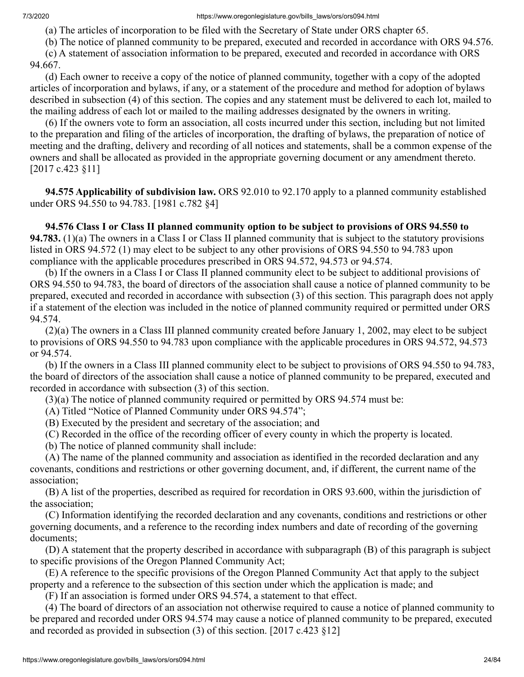(a) The articles of incorporation to be filed with the Secretary of State under ORS chapter 65.

(b) The notice of planned community to be prepared, executed and recorded in accordance with ORS 94.576.

 (c) A statement of association information to be prepared, executed and recorded in accordance with ORS 94.667.

 (d) Each owner to receive a copy of the notice of planned community, together with a copy of the adopted articles of incorporation and bylaws, if any, or a statement of the procedure and method for adoption of bylaws described in subsection (4) of this section. The copies and any statement must be delivered to each lot, mailed to the mailing address of each lot or mailed to the mailing addresses designated by the owners in writing.

 (6) If the owners vote to form an association, all costs incurred under this section, including but not limited to the preparation and filing of the articles of incorporation, the drafting of bylaws, the preparation of notice of meeting and the drafting, delivery and recording of all notices and statements, shall be a common expense of the owners and shall be allocated as provided in the appropriate governing document or any amendment thereto. [2017 c.423 §11]

 **94.575 Applicability of subdivision law.** ORS 92.010 to 92.170 apply to a planned community established under ORS 94.550 to 94.783. [1981 c.782 §4]

 **94.576 Class I or Class II planned community option to be subject to provisions of ORS 94.550 to 94.783.** (1)(a) The owners in a Class I or Class II planned community that is subject to the statutory provisions listed in ORS 94.572 (1) may elect to be subject to any other provisions of ORS 94.550 to 94.783 upon compliance with the applicable procedures prescribed in ORS 94.572, 94.573 or 94.574.

 (b) If the owners in a Class I or Class II planned community elect to be subject to additional provisions of ORS 94.550 to 94.783, the board of directors of the association shall cause a notice of planned community to be prepared, executed and recorded in accordance with subsection (3) of this section. This paragraph does not apply if a statement of the election was included in the notice of planned community required or permitted under ORS 94.574.

 (2)(a) The owners in a Class III planned community created before January 1, 2002, may elect to be subject to provisions of ORS 94.550 to 94.783 upon compliance with the applicable procedures in ORS 94.572, 94.573 or 94.574.

 (b) If the owners in a Class III planned community elect to be subject to provisions of ORS 94.550 to 94.783, the board of directors of the association shall cause a notice of planned community to be prepared, executed and recorded in accordance with subsection (3) of this section.

(3)(a) The notice of planned community required or permitted by ORS 94.574 must be:

(A) Titled "Notice of Planned Community under ORS 94.574";

(B) Executed by the president and secretary of the association; and

(C) Recorded in the office of the recording officer of every county in which the property is located.

(b) The notice of planned community shall include:

 (A) The name of the planned community and association as identified in the recorded declaration and any covenants, conditions and restrictions or other governing document, and, if different, the current name of the association;

 (B) A list of the properties, described as required for recordation in ORS 93.600, within the jurisdiction of the association;

 (C) Information identifying the recorded declaration and any covenants, conditions and restrictions or other governing documents, and a reference to the recording index numbers and date of recording of the governing documents;

 (D) A statement that the property described in accordance with subparagraph (B) of this paragraph is subject to specific provisions of the Oregon Planned Community Act;

 (E) A reference to the specific provisions of the Oregon Planned Community Act that apply to the subject property and a reference to the subsection of this section under which the application is made; and

(F) If an association is formed under ORS 94.574, a statement to that effect.

 (4) The board of directors of an association not otherwise required to cause a notice of planned community to be prepared and recorded under ORS 94.574 may cause a notice of planned community to be prepared, executed and recorded as provided in subsection (3) of this section. [2017 c.423 §12]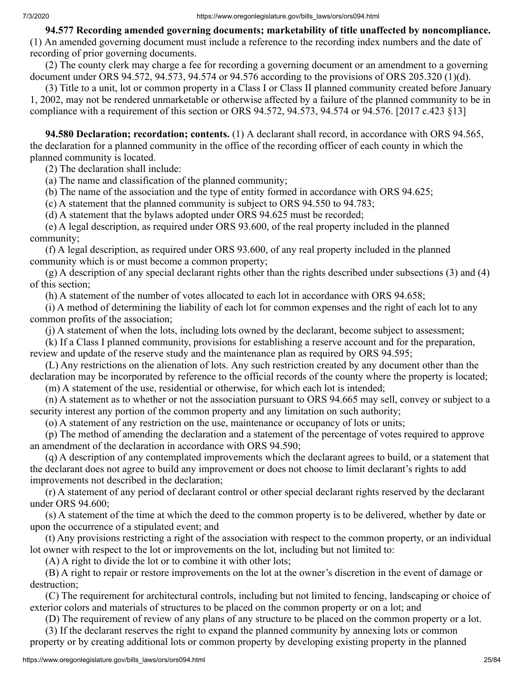**94.577 Recording amended governing documents; marketability of title unaffected by noncompliance.** (1) An amended governing document must include a reference to the recording index numbers and the date of recording of prior governing documents.

 (2) The county clerk may charge a fee for recording a governing document or an amendment to a governing document under ORS 94.572, 94.573, 94.574 or 94.576 according to the provisions of ORS 205.320 (1)(d).

 (3) Title to a unit, lot or common property in a Class I or Class II planned community created before January 1, 2002, may not be rendered unmarketable or otherwise affected by a failure of the planned community to be in compliance with a requirement of this section or ORS 94.572, 94.573, 94.574 or 94.576. [2017 c.423 §13]

 **94.580 Declaration; recordation; contents.** (1) A declarant shall record, in accordance with ORS 94.565, the declaration for a planned community in the office of the recording officer of each county in which the planned community is located.

(2) The declaration shall include:

(a) The name and classification of the planned community;

(b) The name of the association and the type of entity formed in accordance with ORS 94.625;

(c) A statement that the planned community is subject to ORS 94.550 to 94.783;

(d) A statement that the bylaws adopted under ORS 94.625 must be recorded;

 (e) A legal description, as required under ORS 93.600, of the real property included in the planned community;

 (f) A legal description, as required under ORS 93.600, of any real property included in the planned community which is or must become a common property;

 $(g)$  A description of any special declarant rights other than the rights described under subsections (3) and (4) of this section;

(h) A statement of the number of votes allocated to each lot in accordance with ORS 94.658;

 (i) A method of determining the liability of each lot for common expenses and the right of each lot to any common profits of the association;

(j) A statement of when the lots, including lots owned by the declarant, become subject to assessment;

 (k) If a Class I planned community, provisions for establishing a reserve account and for the preparation, review and update of the reserve study and the maintenance plan as required by ORS 94.595;

 (L) Any restrictions on the alienation of lots. Any such restriction created by any document other than the declaration may be incorporated by reference to the official records of the county where the property is located;

(m) A statement of the use, residential or otherwise, for which each lot is intended;

 (n) A statement as to whether or not the association pursuant to ORS 94.665 may sell, convey or subject to a security interest any portion of the common property and any limitation on such authority;

(o) A statement of any restriction on the use, maintenance or occupancy of lots or units;

 (p) The method of amending the declaration and a statement of the percentage of votes required to approve an amendment of the declaration in accordance with ORS 94.590;

 (q) A description of any contemplated improvements which the declarant agrees to build, or a statement that the declarant does not agree to build any improvement or does not choose to limit declarant's rights to add improvements not described in the declaration;

 (r) A statement of any period of declarant control or other special declarant rights reserved by the declarant under ORS 94.600;

 (s) A statement of the time at which the deed to the common property is to be delivered, whether by date or upon the occurrence of a stipulated event; and

 (t) Any provisions restricting a right of the association with respect to the common property, or an individual lot owner with respect to the lot or improvements on the lot, including but not limited to:

(A) A right to divide the lot or to combine it with other lots;

 (B) A right to repair or restore improvements on the lot at the owner's discretion in the event of damage or destruction;

 (C) The requirement for architectural controls, including but not limited to fencing, landscaping or choice of exterior colors and materials of structures to be placed on the common property or on a lot; and

(D) The requirement of review of any plans of any structure to be placed on the common property or a lot.

 (3) If the declarant reserves the right to expand the planned community by annexing lots or common property or by creating additional lots or common property by developing existing property in the planned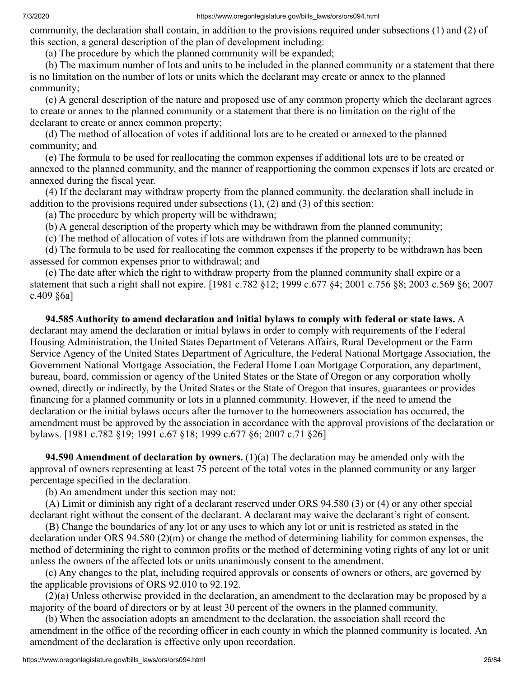community, the declaration shall contain, in addition to the provisions required under subsections (1) and (2) of this section, a general description of the plan of development including:

(a) The procedure by which the planned community will be expanded;

 (b) The maximum number of lots and units to be included in the planned community or a statement that there is no limitation on the number of lots or units which the declarant may create or annex to the planned community;

 (c) A general description of the nature and proposed use of any common property which the declarant agrees to create or annex to the planned community or a statement that there is no limitation on the right of the declarant to create or annex common property;

 (d) The method of allocation of votes if additional lots are to be created or annexed to the planned community; and

 (e) The formula to be used for reallocating the common expenses if additional lots are to be created or annexed to the planned community, and the manner of reapportioning the common expenses if lots are created or annexed during the fiscal year.

 (4) If the declarant may withdraw property from the planned community, the declaration shall include in addition to the provisions required under subsections (1), (2) and (3) of this section:

(a) The procedure by which property will be withdrawn;

(b) A general description of the property which may be withdrawn from the planned community;

(c) The method of allocation of votes if lots are withdrawn from the planned community;

 (d) The formula to be used for reallocating the common expenses if the property to be withdrawn has been assessed for common expenses prior to withdrawal; and

 (e) The date after which the right to withdraw property from the planned community shall expire or a statement that such a right shall not expire. [1981 c.782 §12; 1999 c.677 §4; 2001 c.756 §8; 2003 c.569 §6; 2007 c.409 §6a]

 **94.585 Authority to amend declaration and initial bylaws to comply with federal or state laws.** A declarant may amend the declaration or initial bylaws in order to comply with requirements of the Federal Housing Administration, the United States Department of Veterans Affairs, Rural Development or the Farm Service Agency of the United States Department of Agriculture, the Federal National Mortgage Association, the Government National Mortgage Association, the Federal Home Loan Mortgage Corporation, any department, bureau, board, commission or agency of the United States or the State of Oregon or any corporation wholly owned, directly or indirectly, by the United States or the State of Oregon that insures, guarantees or provides financing for a planned community or lots in a planned community. However, if the need to amend the declaration or the initial bylaws occurs after the turnover to the homeowners association has occurred, the amendment must be approved by the association in accordance with the approval provisions of the declaration or bylaws. [1981 c.782 §19; 1991 c.67 §18; 1999 c.677 §6; 2007 c.71 §26]

 **94.590 Amendment of declaration by owners.** (1)(a) The declaration may be amended only with the approval of owners representing at least 75 percent of the total votes in the planned community or any larger percentage specified in the declaration.

(b) An amendment under this section may not:

 (A) Limit or diminish any right of a declarant reserved under ORS 94.580 (3) or (4) or any other special declarant right without the consent of the declarant. A declarant may waive the declarant's right of consent.

 (B) Change the boundaries of any lot or any uses to which any lot or unit is restricted as stated in the declaration under ORS 94.580 (2)(m) or change the method of determining liability for common expenses, the method of determining the right to common profits or the method of determining voting rights of any lot or unit unless the owners of the affected lots or units unanimously consent to the amendment.

 (c) Any changes to the plat, including required approvals or consents of owners or others, are governed by the applicable provisions of ORS 92.010 to 92.192.

 (2)(a) Unless otherwise provided in the declaration, an amendment to the declaration may be proposed by a majority of the board of directors or by at least 30 percent of the owners in the planned community.

 (b) When the association adopts an amendment to the declaration, the association shall record the amendment in the office of the recording officer in each county in which the planned community is located. An amendment of the declaration is effective only upon recordation.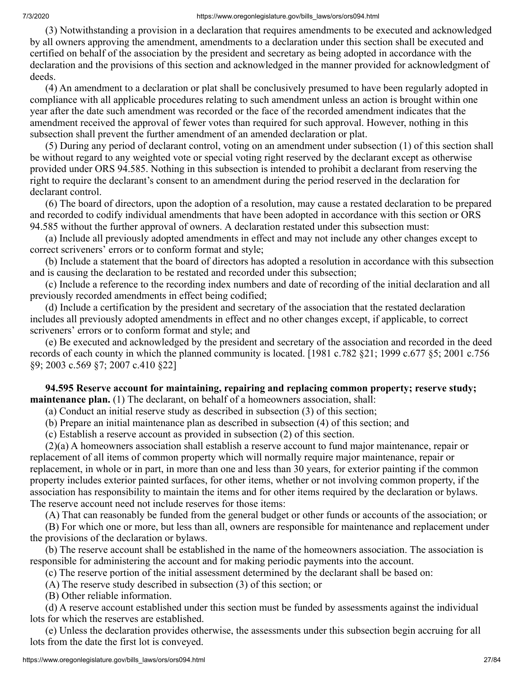(3) Notwithstanding a provision in a declaration that requires amendments to be executed and acknowledged by all owners approving the amendment, amendments to a declaration under this section shall be executed and certified on behalf of the association by the president and secretary as being adopted in accordance with the declaration and the provisions of this section and acknowledged in the manner provided for acknowledgment of deeds.

 (4) An amendment to a declaration or plat shall be conclusively presumed to have been regularly adopted in compliance with all applicable procedures relating to such amendment unless an action is brought within one year after the date such amendment was recorded or the face of the recorded amendment indicates that the amendment received the approval of fewer votes than required for such approval. However, nothing in this subsection shall prevent the further amendment of an amended declaration or plat.

 (5) During any period of declarant control, voting on an amendment under subsection (1) of this section shall be without regard to any weighted vote or special voting right reserved by the declarant except as otherwise provided under ORS 94.585. Nothing in this subsection is intended to prohibit a declarant from reserving the right to require the declarant's consent to an amendment during the period reserved in the declaration for declarant control.

 (6) The board of directors, upon the adoption of a resolution, may cause a restated declaration to be prepared and recorded to codify individual amendments that have been adopted in accordance with this section or ORS 94.585 without the further approval of owners. A declaration restated under this subsection must:

 (a) Include all previously adopted amendments in effect and may not include any other changes except to correct scriveners' errors or to conform format and style;

 (b) Include a statement that the board of directors has adopted a resolution in accordance with this subsection and is causing the declaration to be restated and recorded under this subsection;

 (c) Include a reference to the recording index numbers and date of recording of the initial declaration and all previously recorded amendments in effect being codified;

 (d) Include a certification by the president and secretary of the association that the restated declaration includes all previously adopted amendments in effect and no other changes except, if applicable, to correct scriveners' errors or to conform format and style; and

 (e) Be executed and acknowledged by the president and secretary of the association and recorded in the deed records of each county in which the planned community is located. [1981 c.782 §21; 1999 c.677 §5; 2001 c.756 §9; 2003 c.569 §7; 2007 c.410 §22]

 **94.595 Reserve account for maintaining, repairing and replacing common property; reserve study; maintenance plan.** (1) The declarant, on behalf of a homeowners association, shall:

(a) Conduct an initial reserve study as described in subsection (3) of this section;

(b) Prepare an initial maintenance plan as described in subsection (4) of this section; and

(c) Establish a reserve account as provided in subsection (2) of this section.

 (2)(a) A homeowners association shall establish a reserve account to fund major maintenance, repair or replacement of all items of common property which will normally require major maintenance, repair or replacement, in whole or in part, in more than one and less than 30 years, for exterior painting if the common property includes exterior painted surfaces, for other items, whether or not involving common property, if the association has responsibility to maintain the items and for other items required by the declaration or bylaws. The reserve account need not include reserves for those items:

(A) That can reasonably be funded from the general budget or other funds or accounts of the association; or

 (B) For which one or more, but less than all, owners are responsible for maintenance and replacement under the provisions of the declaration or bylaws.

 (b) The reserve account shall be established in the name of the homeowners association. The association is responsible for administering the account and for making periodic payments into the account.

(c) The reserve portion of the initial assessment determined by the declarant shall be based on:

(A) The reserve study described in subsection (3) of this section; or

(B) Other reliable information.

 (d) A reserve account established under this section must be funded by assessments against the individual lots for which the reserves are established.

 (e) Unless the declaration provides otherwise, the assessments under this subsection begin accruing for all lots from the date the first lot is conveyed.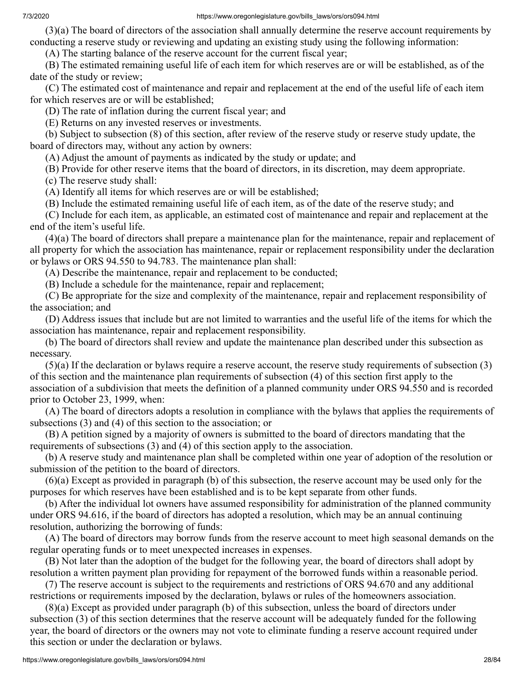(3)(a) The board of directors of the association shall annually determine the reserve account requirements by conducting a reserve study or reviewing and updating an existing study using the following information:

(A) The starting balance of the reserve account for the current fiscal year;

 (B) The estimated remaining useful life of each item for which reserves are or will be established, as of the date of the study or review;

 (C) The estimated cost of maintenance and repair and replacement at the end of the useful life of each item for which reserves are or will be established;

(D) The rate of inflation during the current fiscal year; and

(E) Returns on any invested reserves or investments.

 (b) Subject to subsection (8) of this section, after review of the reserve study or reserve study update, the board of directors may, without any action by owners:

(A) Adjust the amount of payments as indicated by the study or update; and

(B) Provide for other reserve items that the board of directors, in its discretion, may deem appropriate.

(c) The reserve study shall:

(A) Identify all items for which reserves are or will be established;

(B) Include the estimated remaining useful life of each item, as of the date of the reserve study; and

 (C) Include for each item, as applicable, an estimated cost of maintenance and repair and replacement at the end of the item's useful life.

 (4)(a) The board of directors shall prepare a maintenance plan for the maintenance, repair and replacement of all property for which the association has maintenance, repair or replacement responsibility under the declaration or bylaws or ORS 94.550 to 94.783. The maintenance plan shall:

(A) Describe the maintenance, repair and replacement to be conducted;

(B) Include a schedule for the maintenance, repair and replacement;

 (C) Be appropriate for the size and complexity of the maintenance, repair and replacement responsibility of the association; and

 (D) Address issues that include but are not limited to warranties and the useful life of the items for which the association has maintenance, repair and replacement responsibility.

 (b) The board of directors shall review and update the maintenance plan described under this subsection as necessary.

 (5)(a) If the declaration or bylaws require a reserve account, the reserve study requirements of subsection (3) of this section and the maintenance plan requirements of subsection (4) of this section first apply to the association of a subdivision that meets the definition of a planned community under ORS 94.550 and is recorded prior to October 23, 1999, when:

 (A) The board of directors adopts a resolution in compliance with the bylaws that applies the requirements of subsections (3) and (4) of this section to the association; or

 (B) A petition signed by a majority of owners is submitted to the board of directors mandating that the requirements of subsections (3) and (4) of this section apply to the association.

 (b) A reserve study and maintenance plan shall be completed within one year of adoption of the resolution or submission of the petition to the board of directors.

 (6)(a) Except as provided in paragraph (b) of this subsection, the reserve account may be used only for the purposes for which reserves have been established and is to be kept separate from other funds.

 (b) After the individual lot owners have assumed responsibility for administration of the planned community under ORS 94.616, if the board of directors has adopted a resolution, which may be an annual continuing resolution, authorizing the borrowing of funds:

 (A) The board of directors may borrow funds from the reserve account to meet high seasonal demands on the regular operating funds or to meet unexpected increases in expenses.

 (B) Not later than the adoption of the budget for the following year, the board of directors shall adopt by resolution a written payment plan providing for repayment of the borrowed funds within a reasonable period.

 (7) The reserve account is subject to the requirements and restrictions of ORS 94.670 and any additional restrictions or requirements imposed by the declaration, bylaws or rules of the homeowners association.

 (8)(a) Except as provided under paragraph (b) of this subsection, unless the board of directors under subsection (3) of this section determines that the reserve account will be adequately funded for the following year, the board of directors or the owners may not vote to eliminate funding a reserve account required under this section or under the declaration or bylaws.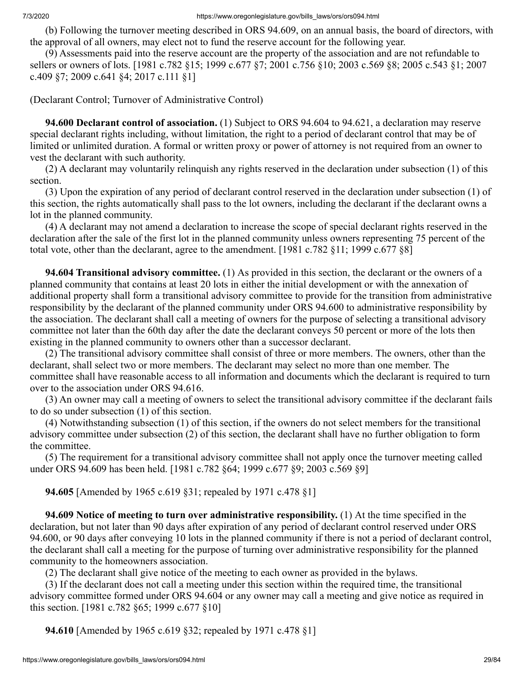(b) Following the turnover meeting described in ORS 94.609, on an annual basis, the board of directors, with the approval of all owners, may elect not to fund the reserve account for the following year.

 (9) Assessments paid into the reserve account are the property of the association and are not refundable to sellers or owners of lots. [1981 c.782 §15; 1999 c.677 §7; 2001 c.756 §10; 2003 c.569 §8; 2005 c.543 §1; 2007 c.409 §7; 2009 c.641 §4; 2017 c.111 §1]

(Declarant Control; Turnover of Administrative Control)

 **94.600 Declarant control of association.** (1) Subject to ORS 94.604 to 94.621, a declaration may reserve special declarant rights including, without limitation, the right to a period of declarant control that may be of limited or unlimited duration. A formal or written proxy or power of attorney is not required from an owner to vest the declarant with such authority.

 (2) A declarant may voluntarily relinquish any rights reserved in the declaration under subsection (1) of this section.

 (3) Upon the expiration of any period of declarant control reserved in the declaration under subsection (1) of this section, the rights automatically shall pass to the lot owners, including the declarant if the declarant owns a lot in the planned community.

 (4) A declarant may not amend a declaration to increase the scope of special declarant rights reserved in the declaration after the sale of the first lot in the planned community unless owners representing 75 percent of the total vote, other than the declarant, agree to the amendment. [1981 c.782 §11; 1999 c.677 §8]

 **94.604 Transitional advisory committee.** (1) As provided in this section, the declarant or the owners of a planned community that contains at least 20 lots in either the initial development or with the annexation of additional property shall form a transitional advisory committee to provide for the transition from administrative responsibility by the declarant of the planned community under ORS 94.600 to administrative responsibility by the association. The declarant shall call a meeting of owners for the purpose of selecting a transitional advisory committee not later than the 60th day after the date the declarant conveys 50 percent or more of the lots then existing in the planned community to owners other than a successor declarant.

 (2) The transitional advisory committee shall consist of three or more members. The owners, other than the declarant, shall select two or more members. The declarant may select no more than one member. The committee shall have reasonable access to all information and documents which the declarant is required to turn over to the association under ORS 94.616.

 (3) An owner may call a meeting of owners to select the transitional advisory committee if the declarant fails to do so under subsection (1) of this section.

 (4) Notwithstanding subsection (1) of this section, if the owners do not select members for the transitional advisory committee under subsection (2) of this section, the declarant shall have no further obligation to form the committee.

 (5) The requirement for a transitional advisory committee shall not apply once the turnover meeting called under ORS 94.609 has been held. [1981 c.782 §64; 1999 c.677 §9; 2003 c.569 §9]

 **94.605** [Amended by 1965 c.619 §31; repealed by 1971 c.478 §1]

 **94.609 Notice of meeting to turn over administrative responsibility.** (1) At the time specified in the declaration, but not later than 90 days after expiration of any period of declarant control reserved under ORS 94.600, or 90 days after conveying 10 lots in the planned community if there is not a period of declarant control, the declarant shall call a meeting for the purpose of turning over administrative responsibility for the planned community to the homeowners association.

(2) The declarant shall give notice of the meeting to each owner as provided in the bylaws.

 (3) If the declarant does not call a meeting under this section within the required time, the transitional advisory committee formed under ORS 94.604 or any owner may call a meeting and give notice as required in this section. [1981 c.782 §65; 1999 c.677 §10]

 **94.610** [Amended by 1965 c.619 §32; repealed by 1971 c.478 §1]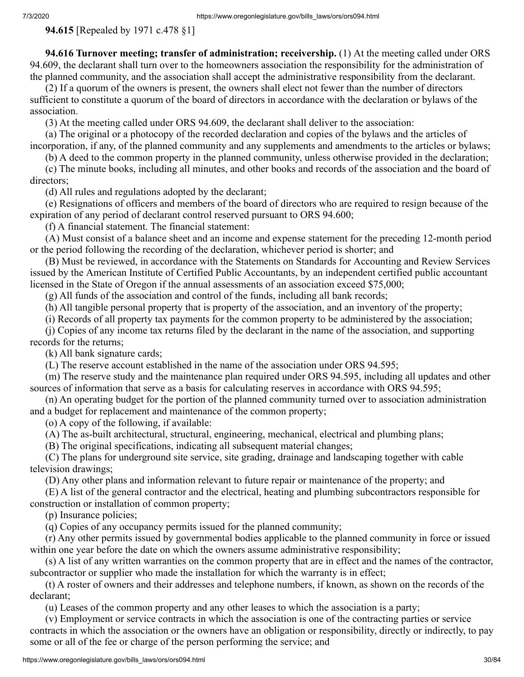**94.615** [Repealed by 1971 c.478 §1]

 **94.616 Turnover meeting; transfer of administration; receivership.** (1) At the meeting called under ORS 94.609, the declarant shall turn over to the homeowners association the responsibility for the administration of the planned community, and the association shall accept the administrative responsibility from the declarant.

 (2) If a quorum of the owners is present, the owners shall elect not fewer than the number of directors sufficient to constitute a quorum of the board of directors in accordance with the declaration or bylaws of the association.

(3) At the meeting called under ORS 94.609, the declarant shall deliver to the association:

 (a) The original or a photocopy of the recorded declaration and copies of the bylaws and the articles of incorporation, if any, of the planned community and any supplements and amendments to the articles or bylaws;

(b) A deed to the common property in the planned community, unless otherwise provided in the declaration;

 (c) The minute books, including all minutes, and other books and records of the association and the board of directors;

(d) All rules and regulations adopted by the declarant;

 (e) Resignations of officers and members of the board of directors who are required to resign because of the expiration of any period of declarant control reserved pursuant to ORS 94.600;

(f) A financial statement. The financial statement:

 (A) Must consist of a balance sheet and an income and expense statement for the preceding 12-month period or the period following the recording of the declaration, whichever period is shorter; and

 (B) Must be reviewed, in accordance with the Statements on Standards for Accounting and Review Services issued by the American Institute of Certified Public Accountants, by an independent certified public accountant licensed in the State of Oregon if the annual assessments of an association exceed \$75,000;

(g) All funds of the association and control of the funds, including all bank records;

(h) All tangible personal property that is property of the association, and an inventory of the property;

(i) Records of all property tax payments for the common property to be administered by the association;

 (j) Copies of any income tax returns filed by the declarant in the name of the association, and supporting records for the returns;

(k) All bank signature cards;

(L) The reserve account established in the name of the association under ORS 94.595;

 (m) The reserve study and the maintenance plan required under ORS 94.595, including all updates and other sources of information that serve as a basis for calculating reserves in accordance with ORS 94.595;

 (n) An operating budget for the portion of the planned community turned over to association administration and a budget for replacement and maintenance of the common property;

(o) A copy of the following, if available:

(A) The as-built architectural, structural, engineering, mechanical, electrical and plumbing plans;

(B) The original specifications, indicating all subsequent material changes;

 (C) The plans for underground site service, site grading, drainage and landscaping together with cable television drawings;

(D) Any other plans and information relevant to future repair or maintenance of the property; and

 (E) A list of the general contractor and the electrical, heating and plumbing subcontractors responsible for construction or installation of common property;

(p) Insurance policies;

(q) Copies of any occupancy permits issued for the planned community;

 (r) Any other permits issued by governmental bodies applicable to the planned community in force or issued within one year before the date on which the owners assume administrative responsibility;

 (s) A list of any written warranties on the common property that are in effect and the names of the contractor, subcontractor or supplier who made the installation for which the warranty is in effect;

 (t) A roster of owners and their addresses and telephone numbers, if known, as shown on the records of the declarant;

(u) Leases of the common property and any other leases to which the association is a party;

 (v) Employment or service contracts in which the association is one of the contracting parties or service contracts in which the association or the owners have an obligation or responsibility, directly or indirectly, to pay some or all of the fee or charge of the person performing the service; and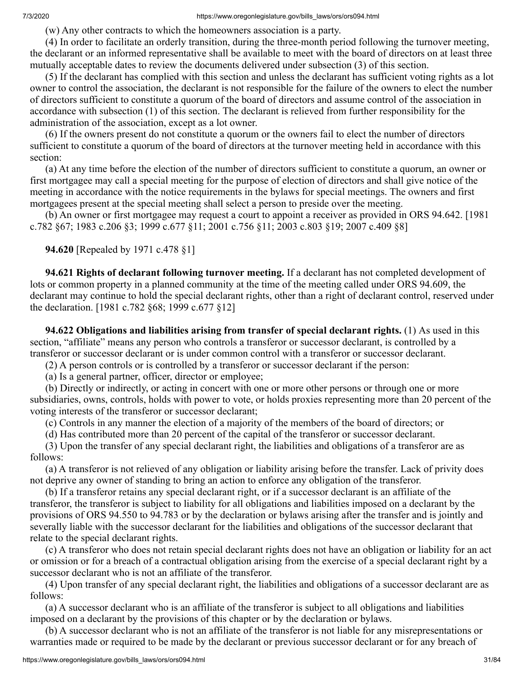(w) Any other contracts to which the homeowners association is a party.

 (4) In order to facilitate an orderly transition, during the three-month period following the turnover meeting, the declarant or an informed representative shall be available to meet with the board of directors on at least three mutually acceptable dates to review the documents delivered under subsection (3) of this section.

 (5) If the declarant has complied with this section and unless the declarant has sufficient voting rights as a lot owner to control the association, the declarant is not responsible for the failure of the owners to elect the number of directors sufficient to constitute a quorum of the board of directors and assume control of the association in accordance with subsection (1) of this section. The declarant is relieved from further responsibility for the administration of the association, except as a lot owner.

 (6) If the owners present do not constitute a quorum or the owners fail to elect the number of directors sufficient to constitute a quorum of the board of directors at the turnover meeting held in accordance with this section:

 (a) At any time before the election of the number of directors sufficient to constitute a quorum, an owner or first mortgagee may call a special meeting for the purpose of election of directors and shall give notice of the meeting in accordance with the notice requirements in the bylaws for special meetings. The owners and first mortgagees present at the special meeting shall select a person to preside over the meeting.

 (b) An owner or first mortgagee may request a court to appoint a receiver as provided in ORS 94.642. [1981 c.782 §67; 1983 c.206 §3; 1999 c.677 §11; 2001 c.756 §11; 2003 c.803 §19; 2007 c.409 §8]

 **94.620** [Repealed by 1971 c.478 §1]

 **94.621 Rights of declarant following turnover meeting.** If a declarant has not completed development of lots or common property in a planned community at the time of the meeting called under ORS 94.609, the declarant may continue to hold the special declarant rights, other than a right of declarant control, reserved under the declaration. [1981 c.782 §68; 1999 c.677 §12]

 **94.622 Obligations and liabilities arising from transfer of special declarant rights.** (1) As used in this section, "affiliate" means any person who controls a transferor or successor declarant, is controlled by a transferor or successor declarant or is under common control with a transferor or successor declarant.

(2) A person controls or is controlled by a transferor or successor declarant if the person:

(a) Is a general partner, officer, director or employee;

 (b) Directly or indirectly, or acting in concert with one or more other persons or through one or more subsidiaries, owns, controls, holds with power to vote, or holds proxies representing more than 20 percent of the voting interests of the transferor or successor declarant;

(c) Controls in any manner the election of a majority of the members of the board of directors; or

(d) Has contributed more than 20 percent of the capital of the transferor or successor declarant.

 (3) Upon the transfer of any special declarant right, the liabilities and obligations of a transferor are as follows:

 (a) A transferor is not relieved of any obligation or liability arising before the transfer. Lack of privity does not deprive any owner of standing to bring an action to enforce any obligation of the transferor.

 (b) If a transferor retains any special declarant right, or if a successor declarant is an affiliate of the transferor, the transferor is subject to liability for all obligations and liabilities imposed on a declarant by the provisions of ORS 94.550 to 94.783 or by the declaration or bylaws arising after the transfer and is jointly and severally liable with the successor declarant for the liabilities and obligations of the successor declarant that relate to the special declarant rights.

 (c) A transferor who does not retain special declarant rights does not have an obligation or liability for an act or omission or for a breach of a contractual obligation arising from the exercise of a special declarant right by a successor declarant who is not an affiliate of the transferor.

 (4) Upon transfer of any special declarant right, the liabilities and obligations of a successor declarant are as follows:

 (a) A successor declarant who is an affiliate of the transferor is subject to all obligations and liabilities imposed on a declarant by the provisions of this chapter or by the declaration or bylaws.

 (b) A successor declarant who is not an affiliate of the transferor is not liable for any misrepresentations or warranties made or required to be made by the declarant or previous successor declarant or for any breach of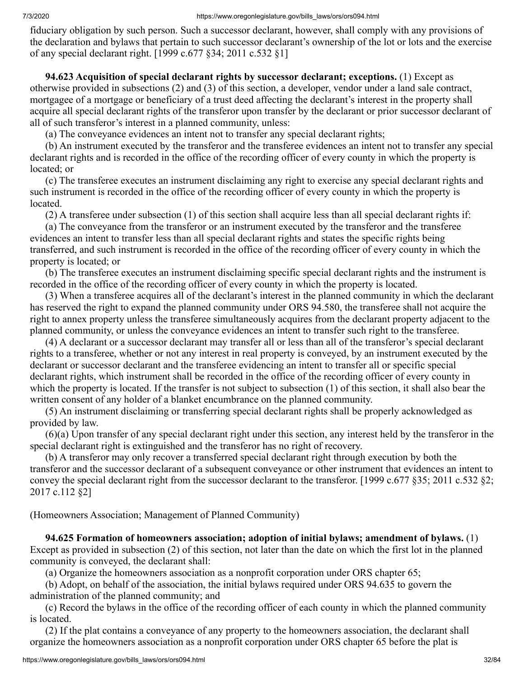fiduciary obligation by such person. Such a successor declarant, however, shall comply with any provisions of the declaration and bylaws that pertain to such successor declarant's ownership of the lot or lots and the exercise of any special declarant right. [1999 c.677 §34; 2011 c.532 §1]

 **94.623 Acquisition of special declarant rights by successor declarant; exceptions.** (1) Except as otherwise provided in subsections (2) and (3) of this section, a developer, vendor under a land sale contract, mortgagee of a mortgage or beneficiary of a trust deed affecting the declarant's interest in the property shall acquire all special declarant rights of the transferor upon transfer by the declarant or prior successor declarant of all of such transferor's interest in a planned community, unless:

(a) The conveyance evidences an intent not to transfer any special declarant rights;

 (b) An instrument executed by the transferor and the transferee evidences an intent not to transfer any special declarant rights and is recorded in the office of the recording officer of every county in which the property is located; or

 (c) The transferee executes an instrument disclaiming any right to exercise any special declarant rights and such instrument is recorded in the office of the recording officer of every county in which the property is located.

(2) A transferee under subsection (1) of this section shall acquire less than all special declarant rights if:

 (a) The conveyance from the transferor or an instrument executed by the transferor and the transferee evidences an intent to transfer less than all special declarant rights and states the specific rights being transferred, and such instrument is recorded in the office of the recording officer of every county in which the property is located; or

 (b) The transferee executes an instrument disclaiming specific special declarant rights and the instrument is recorded in the office of the recording officer of every county in which the property is located.

 (3) When a transferee acquires all of the declarant's interest in the planned community in which the declarant has reserved the right to expand the planned community under ORS 94.580, the transferee shall not acquire the right to annex property unless the transferee simultaneously acquires from the declarant property adjacent to the planned community, or unless the conveyance evidences an intent to transfer such right to the transferee.

 (4) A declarant or a successor declarant may transfer all or less than all of the transferor's special declarant rights to a transferee, whether or not any interest in real property is conveyed, by an instrument executed by the declarant or successor declarant and the transferee evidencing an intent to transfer all or specific special declarant rights, which instrument shall be recorded in the office of the recording officer of every county in which the property is located. If the transfer is not subject to subsection (1) of this section, it shall also bear the written consent of any holder of a blanket encumbrance on the planned community.

 (5) An instrument disclaiming or transferring special declarant rights shall be properly acknowledged as provided by law.

 (6)(a) Upon transfer of any special declarant right under this section, any interest held by the transferor in the special declarant right is extinguished and the transferor has no right of recovery.

 (b) A transferor may only recover a transferred special declarant right through execution by both the transferor and the successor declarant of a subsequent conveyance or other instrument that evidences an intent to convey the special declarant right from the successor declarant to the transferor. [1999 c.677 §35; 2011 c.532 §2; 2017 c.112 §2]

(Homeowners Association; Management of Planned Community)

 **94.625 Formation of homeowners association; adoption of initial bylaws; amendment of bylaws.** (1) Except as provided in subsection (2) of this section, not later than the date on which the first lot in the planned community is conveyed, the declarant shall:

(a) Organize the homeowners association as a nonprofit corporation under ORS chapter 65;

 (b) Adopt, on behalf of the association, the initial bylaws required under ORS 94.635 to govern the administration of the planned community; and

 (c) Record the bylaws in the office of the recording officer of each county in which the planned community is located.

 (2) If the plat contains a conveyance of any property to the homeowners association, the declarant shall organize the homeowners association as a nonprofit corporation under ORS chapter 65 before the plat is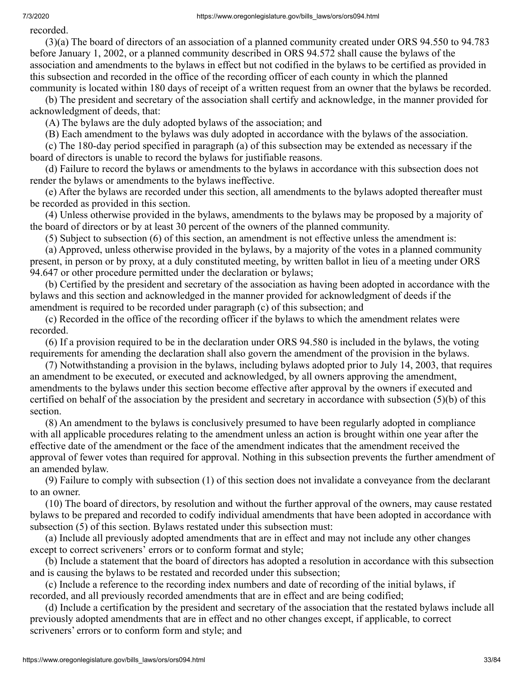recorded.

 (3)(a) The board of directors of an association of a planned community created under ORS 94.550 to 94.783 before January 1, 2002, or a planned community described in ORS 94.572 shall cause the bylaws of the association and amendments to the bylaws in effect but not codified in the bylaws to be certified as provided in this subsection and recorded in the office of the recording officer of each county in which the planned community is located within 180 days of receipt of a written request from an owner that the bylaws be recorded.

 (b) The president and secretary of the association shall certify and acknowledge, in the manner provided for acknowledgment of deeds, that:

(A) The bylaws are the duly adopted bylaws of the association; and

(B) Each amendment to the bylaws was duly adopted in accordance with the bylaws of the association.

 (c) The 180-day period specified in paragraph (a) of this subsection may be extended as necessary if the board of directors is unable to record the bylaws for justifiable reasons.

 (d) Failure to record the bylaws or amendments to the bylaws in accordance with this subsection does not render the bylaws or amendments to the bylaws ineffective.

 (e) After the bylaws are recorded under this section, all amendments to the bylaws adopted thereafter must be recorded as provided in this section.

 (4) Unless otherwise provided in the bylaws, amendments to the bylaws may be proposed by a majority of the board of directors or by at least 30 percent of the owners of the planned community.

(5) Subject to subsection (6) of this section, an amendment is not effective unless the amendment is:

 (a) Approved, unless otherwise provided in the bylaws, by a majority of the votes in a planned community present, in person or by proxy, at a duly constituted meeting, by written ballot in lieu of a meeting under ORS 94.647 or other procedure permitted under the declaration or bylaws;

 (b) Certified by the president and secretary of the association as having been adopted in accordance with the bylaws and this section and acknowledged in the manner provided for acknowledgment of deeds if the amendment is required to be recorded under paragraph (c) of this subsection; and

 (c) Recorded in the office of the recording officer if the bylaws to which the amendment relates were recorded.

 (6) If a provision required to be in the declaration under ORS 94.580 is included in the bylaws, the voting requirements for amending the declaration shall also govern the amendment of the provision in the bylaws.

 (7) Notwithstanding a provision in the bylaws, including bylaws adopted prior to July 14, 2003, that requires an amendment to be executed, or executed and acknowledged, by all owners approving the amendment, amendments to the bylaws under this section become effective after approval by the owners if executed and certified on behalf of the association by the president and secretary in accordance with subsection (5)(b) of this section.

 (8) An amendment to the bylaws is conclusively presumed to have been regularly adopted in compliance with all applicable procedures relating to the amendment unless an action is brought within one year after the effective date of the amendment or the face of the amendment indicates that the amendment received the approval of fewer votes than required for approval. Nothing in this subsection prevents the further amendment of an amended bylaw.

 (9) Failure to comply with subsection (1) of this section does not invalidate a conveyance from the declarant to an owner.

 (10) The board of directors, by resolution and without the further approval of the owners, may cause restated bylaws to be prepared and recorded to codify individual amendments that have been adopted in accordance with subsection (5) of this section. Bylaws restated under this subsection must:

 (a) Include all previously adopted amendments that are in effect and may not include any other changes except to correct scriveners' errors or to conform format and style;

 (b) Include a statement that the board of directors has adopted a resolution in accordance with this subsection and is causing the bylaws to be restated and recorded under this subsection;

 (c) Include a reference to the recording index numbers and date of recording of the initial bylaws, if recorded, and all previously recorded amendments that are in effect and are being codified;

 (d) Include a certification by the president and secretary of the association that the restated bylaws include all previously adopted amendments that are in effect and no other changes except, if applicable, to correct scriveners' errors or to conform form and style; and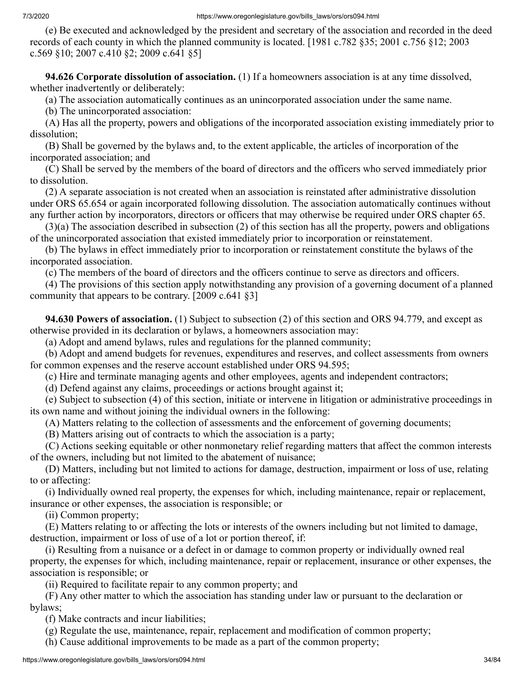(e) Be executed and acknowledged by the president and secretary of the association and recorded in the deed records of each county in which the planned community is located. [1981 c.782 §35; 2001 c.756 §12; 2003 c.569 §10; 2007 c.410 §2; 2009 c.641 §5]

 **94.626 Corporate dissolution of association.** (1) If a homeowners association is at any time dissolved, whether inadvertently or deliberately:

(a) The association automatically continues as an unincorporated association under the same name.

(b) The unincorporated association:

 (A) Has all the property, powers and obligations of the incorporated association existing immediately prior to dissolution;

 (B) Shall be governed by the bylaws and, to the extent applicable, the articles of incorporation of the incorporated association; and

 (C) Shall be served by the members of the board of directors and the officers who served immediately prior to dissolution.

 (2) A separate association is not created when an association is reinstated after administrative dissolution under ORS 65.654 or again incorporated following dissolution. The association automatically continues without any further action by incorporators, directors or officers that may otherwise be required under ORS chapter 65.

 (3)(a) The association described in subsection (2) of this section has all the property, powers and obligations of the unincorporated association that existed immediately prior to incorporation or reinstatement.

 (b) The bylaws in effect immediately prior to incorporation or reinstatement constitute the bylaws of the incorporated association.

(c) The members of the board of directors and the officers continue to serve as directors and officers.

 (4) The provisions of this section apply notwithstanding any provision of a governing document of a planned community that appears to be contrary. [2009 c.641 §3]

 **94.630 Powers of association.** (1) Subject to subsection (2) of this section and ORS 94.779, and except as otherwise provided in its declaration or bylaws, a homeowners association may:

(a) Adopt and amend bylaws, rules and regulations for the planned community;

 (b) Adopt and amend budgets for revenues, expenditures and reserves, and collect assessments from owners for common expenses and the reserve account established under ORS 94.595;

(c) Hire and terminate managing agents and other employees, agents and independent contractors;

(d) Defend against any claims, proceedings or actions brought against it;

 (e) Subject to subsection (4) of this section, initiate or intervene in litigation or administrative proceedings in its own name and without joining the individual owners in the following:

(A) Matters relating to the collection of assessments and the enforcement of governing documents;

(B) Matters arising out of contracts to which the association is a party;

 (C) Actions seeking equitable or other nonmonetary relief regarding matters that affect the common interests of the owners, including but not limited to the abatement of nuisance;

 (D) Matters, including but not limited to actions for damage, destruction, impairment or loss of use, relating to or affecting:

 (i) Individually owned real property, the expenses for which, including maintenance, repair or replacement, insurance or other expenses, the association is responsible; or

(ii) Common property;

 (E) Matters relating to or affecting the lots or interests of the owners including but not limited to damage, destruction, impairment or loss of use of a lot or portion thereof, if:

 (i) Resulting from a nuisance or a defect in or damage to common property or individually owned real property, the expenses for which, including maintenance, repair or replacement, insurance or other expenses, the association is responsible; or

(ii) Required to facilitate repair to any common property; and

 (F) Any other matter to which the association has standing under law or pursuant to the declaration or bylaws;

(f) Make contracts and incur liabilities;

(g) Regulate the use, maintenance, repair, replacement and modification of common property;

(h) Cause additional improvements to be made as a part of the common property;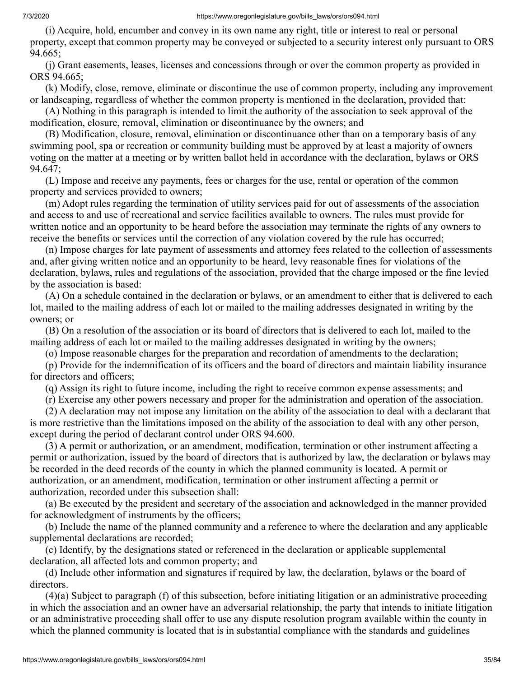(i) Acquire, hold, encumber and convey in its own name any right, title or interest to real or personal property, except that common property may be conveyed or subjected to a security interest only pursuant to ORS 94.665;

 (j) Grant easements, leases, licenses and concessions through or over the common property as provided in ORS 94.665;

 (k) Modify, close, remove, eliminate or discontinue the use of common property, including any improvement or landscaping, regardless of whether the common property is mentioned in the declaration, provided that:

 (A) Nothing in this paragraph is intended to limit the authority of the association to seek approval of the modification, closure, removal, elimination or discontinuance by the owners; and

 (B) Modification, closure, removal, elimination or discontinuance other than on a temporary basis of any swimming pool, spa or recreation or community building must be approved by at least a majority of owners voting on the matter at a meeting or by written ballot held in accordance with the declaration, bylaws or ORS 94.647;

 (L) Impose and receive any payments, fees or charges for the use, rental or operation of the common property and services provided to owners;

 (m) Adopt rules regarding the termination of utility services paid for out of assessments of the association and access to and use of recreational and service facilities available to owners. The rules must provide for written notice and an opportunity to be heard before the association may terminate the rights of any owners to receive the benefits or services until the correction of any violation covered by the rule has occurred;

 (n) Impose charges for late payment of assessments and attorney fees related to the collection of assessments and, after giving written notice and an opportunity to be heard, levy reasonable fines for violations of the declaration, bylaws, rules and regulations of the association, provided that the charge imposed or the fine levied by the association is based:

 (A) On a schedule contained in the declaration or bylaws, or an amendment to either that is delivered to each lot, mailed to the mailing address of each lot or mailed to the mailing addresses designated in writing by the owners; or

 (B) On a resolution of the association or its board of directors that is delivered to each lot, mailed to the mailing address of each lot or mailed to the mailing addresses designated in writing by the owners;

(o) Impose reasonable charges for the preparation and recordation of amendments to the declaration;

 (p) Provide for the indemnification of its officers and the board of directors and maintain liability insurance for directors and officers;

(q) Assign its right to future income, including the right to receive common expense assessments; and

(r) Exercise any other powers necessary and proper for the administration and operation of the association.

 (2) A declaration may not impose any limitation on the ability of the association to deal with a declarant that is more restrictive than the limitations imposed on the ability of the association to deal with any other person, except during the period of declarant control under ORS 94.600.

 (3) A permit or authorization, or an amendment, modification, termination or other instrument affecting a permit or authorization, issued by the board of directors that is authorized by law, the declaration or bylaws may be recorded in the deed records of the county in which the planned community is located. A permit or authorization, or an amendment, modification, termination or other instrument affecting a permit or authorization, recorded under this subsection shall:

 (a) Be executed by the president and secretary of the association and acknowledged in the manner provided for acknowledgment of instruments by the officers;

 (b) Include the name of the planned community and a reference to where the declaration and any applicable supplemental declarations are recorded;

 (c) Identify, by the designations stated or referenced in the declaration or applicable supplemental declaration, all affected lots and common property; and

 (d) Include other information and signatures if required by law, the declaration, bylaws or the board of directors.

 (4)(a) Subject to paragraph (f) of this subsection, before initiating litigation or an administrative proceeding in which the association and an owner have an adversarial relationship, the party that intends to initiate litigation or an administrative proceeding shall offer to use any dispute resolution program available within the county in which the planned community is located that is in substantial compliance with the standards and guidelines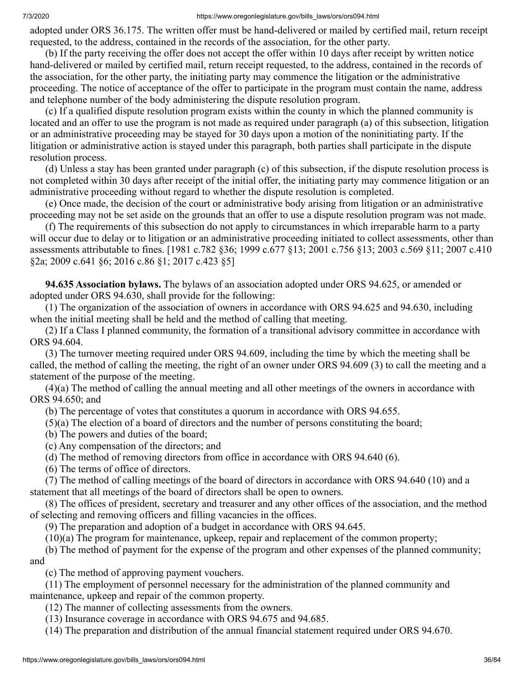adopted under ORS 36.175. The written offer must be hand-delivered or mailed by certified mail, return receipt requested, to the address, contained in the records of the association, for the other party.

 (b) If the party receiving the offer does not accept the offer within 10 days after receipt by written notice hand-delivered or mailed by certified mail, return receipt requested, to the address, contained in the records of the association, for the other party, the initiating party may commence the litigation or the administrative proceeding. The notice of acceptance of the offer to participate in the program must contain the name, address and telephone number of the body administering the dispute resolution program.

 (c) If a qualified dispute resolution program exists within the county in which the planned community is located and an offer to use the program is not made as required under paragraph (a) of this subsection, litigation or an administrative proceeding may be stayed for 30 days upon a motion of the noninitiating party. If the litigation or administrative action is stayed under this paragraph, both parties shall participate in the dispute resolution process.

 (d) Unless a stay has been granted under paragraph (c) of this subsection, if the dispute resolution process is not completed within 30 days after receipt of the initial offer, the initiating party may commence litigation or an administrative proceeding without regard to whether the dispute resolution is completed.

 (e) Once made, the decision of the court or administrative body arising from litigation or an administrative proceeding may not be set aside on the grounds that an offer to use a dispute resolution program was not made.

 (f) The requirements of this subsection do not apply to circumstances in which irreparable harm to a party will occur due to delay or to litigation or an administrative proceeding initiated to collect assessments, other than assessments attributable to fines. [1981 c.782 §36; 1999 c.677 §13; 2001 c.756 §13; 2003 c.569 §11; 2007 c.410 §2a; 2009 c.641 §6; 2016 c.86 §1; 2017 c.423 §5]

 **94.635 Association bylaws.** The bylaws of an association adopted under ORS 94.625, or amended or adopted under ORS 94.630, shall provide for the following:

 (1) The organization of the association of owners in accordance with ORS 94.625 and 94.630, including when the initial meeting shall be held and the method of calling that meeting.

 (2) If a Class I planned community, the formation of a transitional advisory committee in accordance with ORS 94.604.

 (3) The turnover meeting required under ORS 94.609, including the time by which the meeting shall be called, the method of calling the meeting, the right of an owner under ORS 94.609 (3) to call the meeting and a statement of the purpose of the meeting.

 (4)(a) The method of calling the annual meeting and all other meetings of the owners in accordance with ORS 94.650; and

(b) The percentage of votes that constitutes a quorum in accordance with ORS 94.655.

(5)(a) The election of a board of directors and the number of persons constituting the board;

- (b) The powers and duties of the board;
- (c) Any compensation of the directors; and
- (d) The method of removing directors from office in accordance with ORS 94.640 (6).
- (6) The terms of office of directors.

 (7) The method of calling meetings of the board of directors in accordance with ORS 94.640 (10) and a statement that all meetings of the board of directors shall be open to owners.

 (8) The offices of president, secretary and treasurer and any other offices of the association, and the method of selecting and removing officers and filling vacancies in the offices.

(9) The preparation and adoption of a budget in accordance with ORS 94.645.

(10)(a) The program for maintenance, upkeep, repair and replacement of the common property;

 (b) The method of payment for the expense of the program and other expenses of the planned community; and

(c) The method of approving payment vouchers.

 (11) The employment of personnel necessary for the administration of the planned community and maintenance, upkeep and repair of the common property.

(12) The manner of collecting assessments from the owners.

(13) Insurance coverage in accordance with ORS 94.675 and 94.685.

(14) The preparation and distribution of the annual financial statement required under ORS 94.670.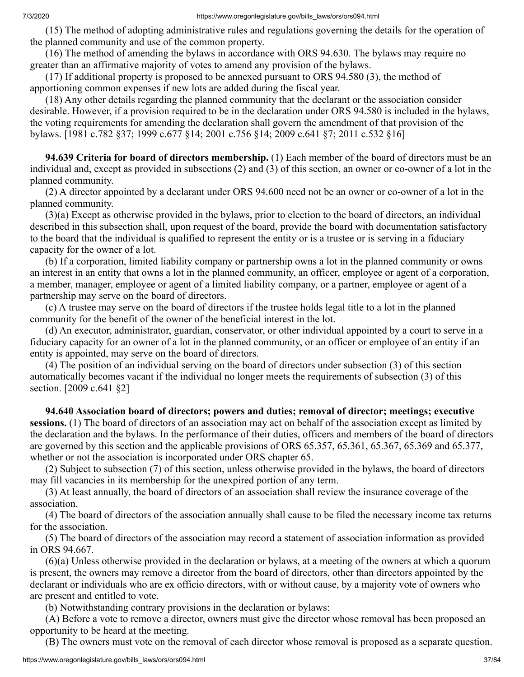(15) The method of adopting administrative rules and regulations governing the details for the operation of the planned community and use of the common property.

 (16) The method of amending the bylaws in accordance with ORS 94.630. The bylaws may require no greater than an affirmative majority of votes to amend any provision of the bylaws.

 (17) If additional property is proposed to be annexed pursuant to ORS 94.580 (3), the method of apportioning common expenses if new lots are added during the fiscal year.

 (18) Any other details regarding the planned community that the declarant or the association consider desirable. However, if a provision required to be in the declaration under ORS 94.580 is included in the bylaws, the voting requirements for amending the declaration shall govern the amendment of that provision of the bylaws. [1981 c.782 §37; 1999 c.677 §14; 2001 c.756 §14; 2009 c.641 §7; 2011 c.532 §16]

 **94.639 Criteria for board of directors membership.** (1) Each member of the board of directors must be an individual and, except as provided in subsections (2) and (3) of this section, an owner or co-owner of a lot in the planned community.

 (2) A director appointed by a declarant under ORS 94.600 need not be an owner or co-owner of a lot in the planned community.

 (3)(a) Except as otherwise provided in the bylaws, prior to election to the board of directors, an individual described in this subsection shall, upon request of the board, provide the board with documentation satisfactory to the board that the individual is qualified to represent the entity or is a trustee or is serving in a fiduciary capacity for the owner of a lot.

 (b) If a corporation, limited liability company or partnership owns a lot in the planned community or owns an interest in an entity that owns a lot in the planned community, an officer, employee or agent of a corporation, a member, manager, employee or agent of a limited liability company, or a partner, employee or agent of a partnership may serve on the board of directors.

 (c) A trustee may serve on the board of directors if the trustee holds legal title to a lot in the planned community for the benefit of the owner of the beneficial interest in the lot.

 (d) An executor, administrator, guardian, conservator, or other individual appointed by a court to serve in a fiduciary capacity for an owner of a lot in the planned community, or an officer or employee of an entity if an entity is appointed, may serve on the board of directors.

 (4) The position of an individual serving on the board of directors under subsection (3) of this section automatically becomes vacant if the individual no longer meets the requirements of subsection (3) of this section. [2009 c.641 §2]

 **94.640 Association board of directors; powers and duties; removal of director; meetings; executive sessions.** (1) The board of directors of an association may act on behalf of the association except as limited by the declaration and the bylaws. In the performance of their duties, officers and members of the board of directors are governed by this section and the applicable provisions of ORS 65.357, 65.361, 65.367, 65.369 and 65.377, whether or not the association is incorporated under ORS chapter 65.

 (2) Subject to subsection (7) of this section, unless otherwise provided in the bylaws, the board of directors may fill vacancies in its membership for the unexpired portion of any term.

 (3) At least annually, the board of directors of an association shall review the insurance coverage of the association.

 (4) The board of directors of the association annually shall cause to be filed the necessary income tax returns for the association.

 (5) The board of directors of the association may record a statement of association information as provided in ORS 94.667.

 (6)(a) Unless otherwise provided in the declaration or bylaws, at a meeting of the owners at which a quorum is present, the owners may remove a director from the board of directors, other than directors appointed by the declarant or individuals who are ex officio directors, with or without cause, by a majority vote of owners who are present and entitled to vote.

(b) Notwithstanding contrary provisions in the declaration or bylaws:

 (A) Before a vote to remove a director, owners must give the director whose removal has been proposed an opportunity to be heard at the meeting.

(B) The owners must vote on the removal of each director whose removal is proposed as a separate question.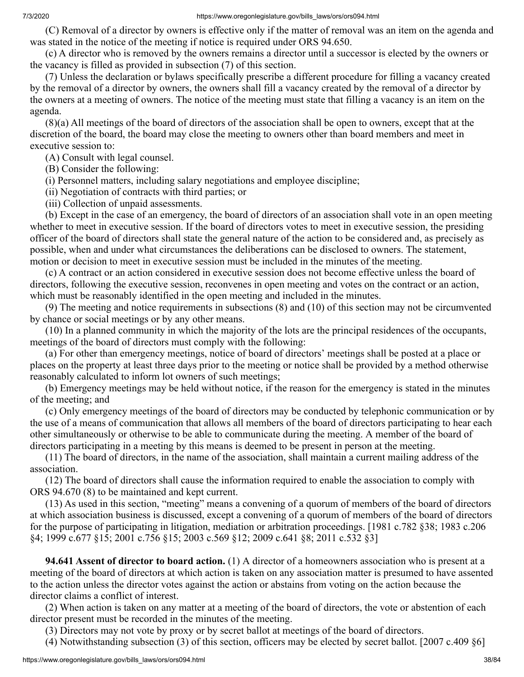(C) Removal of a director by owners is effective only if the matter of removal was an item on the agenda and was stated in the notice of the meeting if notice is required under ORS 94.650.

 (c) A director who is removed by the owners remains a director until a successor is elected by the owners or the vacancy is filled as provided in subsection (7) of this section.

 (7) Unless the declaration or bylaws specifically prescribe a different procedure for filling a vacancy created by the removal of a director by owners, the owners shall fill a vacancy created by the removal of a director by the owners at a meeting of owners. The notice of the meeting must state that filling a vacancy is an item on the agenda.

 (8)(a) All meetings of the board of directors of the association shall be open to owners, except that at the discretion of the board, the board may close the meeting to owners other than board members and meet in executive session to:

(A) Consult with legal counsel.

(B) Consider the following:

(i) Personnel matters, including salary negotiations and employee discipline;

(ii) Negotiation of contracts with third parties; or

(iii) Collection of unpaid assessments.

 (b) Except in the case of an emergency, the board of directors of an association shall vote in an open meeting whether to meet in executive session. If the board of directors votes to meet in executive session, the presiding officer of the board of directors shall state the general nature of the action to be considered and, as precisely as possible, when and under what circumstances the deliberations can be disclosed to owners. The statement, motion or decision to meet in executive session must be included in the minutes of the meeting.

 (c) A contract or an action considered in executive session does not become effective unless the board of directors, following the executive session, reconvenes in open meeting and votes on the contract or an action, which must be reasonably identified in the open meeting and included in the minutes.

 (9) The meeting and notice requirements in subsections (8) and (10) of this section may not be circumvented by chance or social meetings or by any other means.

 (10) In a planned community in which the majority of the lots are the principal residences of the occupants, meetings of the board of directors must comply with the following:

 (a) For other than emergency meetings, notice of board of directors' meetings shall be posted at a place or places on the property at least three days prior to the meeting or notice shall be provided by a method otherwise reasonably calculated to inform lot owners of such meetings;

 (b) Emergency meetings may be held without notice, if the reason for the emergency is stated in the minutes of the meeting; and

 (c) Only emergency meetings of the board of directors may be conducted by telephonic communication or by the use of a means of communication that allows all members of the board of directors participating to hear each other simultaneously or otherwise to be able to communicate during the meeting. A member of the board of directors participating in a meeting by this means is deemed to be present in person at the meeting.

 (11) The board of directors, in the name of the association, shall maintain a current mailing address of the association.

 (12) The board of directors shall cause the information required to enable the association to comply with ORS 94.670 (8) to be maintained and kept current.

 (13) As used in this section, "meeting" means a convening of a quorum of members of the board of directors at which association business is discussed, except a convening of a quorum of members of the board of directors for the purpose of participating in litigation, mediation or arbitration proceedings. [1981 c.782 §38; 1983 c.206 §4; 1999 c.677 §15; 2001 c.756 §15; 2003 c.569 §12; 2009 c.641 §8; 2011 c.532 §3]

 **94.641 Assent of director to board action.** (1) A director of a homeowners association who is present at a meeting of the board of directors at which action is taken on any association matter is presumed to have assented to the action unless the director votes against the action or abstains from voting on the action because the director claims a conflict of interest.

 (2) When action is taken on any matter at a meeting of the board of directors, the vote or abstention of each director present must be recorded in the minutes of the meeting.

(3) Directors may not vote by proxy or by secret ballot at meetings of the board of directors.

(4) Notwithstanding subsection (3) of this section, officers may be elected by secret ballot. [2007 c.409 §6]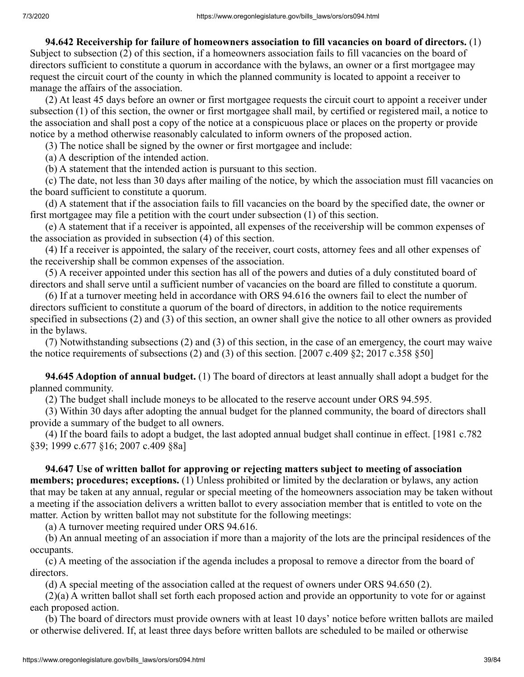**94.642 Receivership for failure of homeowners association to fill vacancies on board of directors.** (1) Subject to subsection (2) of this section, if a homeowners association fails to fill vacancies on the board of directors sufficient to constitute a quorum in accordance with the bylaws, an owner or a first mortgagee may request the circuit court of the county in which the planned community is located to appoint a receiver to manage the affairs of the association.

 (2) At least 45 days before an owner or first mortgagee requests the circuit court to appoint a receiver under subsection (1) of this section, the owner or first mortgagee shall mail, by certified or registered mail, a notice to the association and shall post a copy of the notice at a conspicuous place or places on the property or provide notice by a method otherwise reasonably calculated to inform owners of the proposed action.

(3) The notice shall be signed by the owner or first mortgagee and include:

(a) A description of the intended action.

(b) A statement that the intended action is pursuant to this section.

 (c) The date, not less than 30 days after mailing of the notice, by which the association must fill vacancies on the board sufficient to constitute a quorum.

 (d) A statement that if the association fails to fill vacancies on the board by the specified date, the owner or first mortgagee may file a petition with the court under subsection (1) of this section.

 (e) A statement that if a receiver is appointed, all expenses of the receivership will be common expenses of the association as provided in subsection (4) of this section.

 (4) If a receiver is appointed, the salary of the receiver, court costs, attorney fees and all other expenses of the receivership shall be common expenses of the association.

 (5) A receiver appointed under this section has all of the powers and duties of a duly constituted board of directors and shall serve until a sufficient number of vacancies on the board are filled to constitute a quorum.

 (6) If at a turnover meeting held in accordance with ORS 94.616 the owners fail to elect the number of directors sufficient to constitute a quorum of the board of directors, in addition to the notice requirements specified in subsections (2) and (3) of this section, an owner shall give the notice to all other owners as provided in the bylaws.

 (7) Notwithstanding subsections (2) and (3) of this section, in the case of an emergency, the court may waive the notice requirements of subsections (2) and (3) of this section. [2007 c.409  $\S2$ ; 2017 c.358  $\S50$ ]

 **94.645 Adoption of annual budget.** (1) The board of directors at least annually shall adopt a budget for the planned community.

(2) The budget shall include moneys to be allocated to the reserve account under ORS 94.595.

 (3) Within 30 days after adopting the annual budget for the planned community, the board of directors shall provide a summary of the budget to all owners.

 (4) If the board fails to adopt a budget, the last adopted annual budget shall continue in effect. [1981 c.782 §39; 1999 c.677 §16; 2007 c.409 §8a]

 **94.647 Use of written ballot for approving or rejecting matters subject to meeting of association members; procedures; exceptions.** (1) Unless prohibited or limited by the declaration or bylaws, any action that may be taken at any annual, regular or special meeting of the homeowners association may be taken without a meeting if the association delivers a written ballot to every association member that is entitled to vote on the matter. Action by written ballot may not substitute for the following meetings:

(a) A turnover meeting required under ORS 94.616.

 (b) An annual meeting of an association if more than a majority of the lots are the principal residences of the occupants.

 (c) A meeting of the association if the agenda includes a proposal to remove a director from the board of directors.

(d) A special meeting of the association called at the request of owners under ORS 94.650 (2).

 (2)(a) A written ballot shall set forth each proposed action and provide an opportunity to vote for or against each proposed action.

 (b) The board of directors must provide owners with at least 10 days' notice before written ballots are mailed or otherwise delivered. If, at least three days before written ballots are scheduled to be mailed or otherwise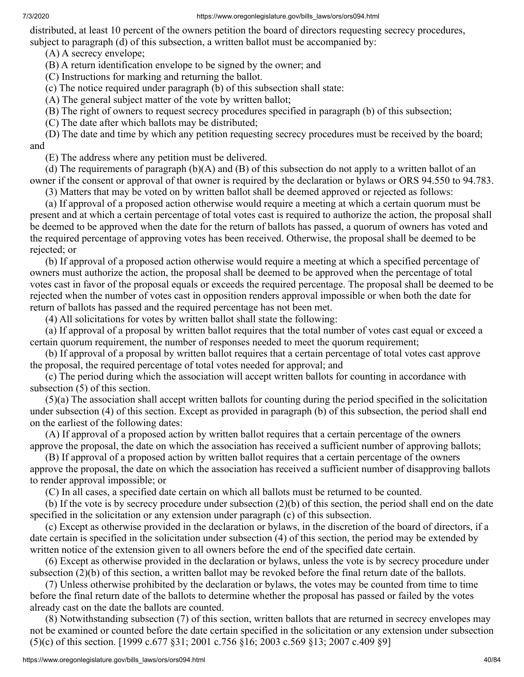distributed, at least 10 percent of the owners petition the board of directors requesting secrecy procedures, subject to paragraph (d) of this subsection, a written ballot must be accompanied by:

(A) A secrecy envelope;

(B) A return identification envelope to be signed by the owner; and

(C) Instructions for marking and returning the ballot.

(c) The notice required under paragraph (b) of this subsection shall state:

(A) The general subject matter of the vote by written ballot;

(B) The right of owners to request secrecy procedures specified in paragraph (b) of this subsection;

(C) The date after which ballots may be distributed;

 (D) The date and time by which any petition requesting secrecy procedures must be received by the board; and

(E) The address where any petition must be delivered.

(d) The requirements of paragraph  $(b)(A)$  and  $(B)$  of this subsection do not apply to a written ballot of an owner if the consent or approval of that owner is required by the declaration or bylaws or ORS 94.550 to 94.783.

(3) Matters that may be voted on by written ballot shall be deemed approved or rejected as follows:

 (a) If approval of a proposed action otherwise would require a meeting at which a certain quorum must be present and at which a certain percentage of total votes cast is required to authorize the action, the proposal shall be deemed to be approved when the date for the return of ballots has passed, a quorum of owners has voted and the required percentage of approving votes has been received. Otherwise, the proposal shall be deemed to be rejected; or

 (b) If approval of a proposed action otherwise would require a meeting at which a specified percentage of owners must authorize the action, the proposal shall be deemed to be approved when the percentage of total votes cast in favor of the proposal equals or exceeds the required percentage. The proposal shall be deemed to be rejected when the number of votes cast in opposition renders approval impossible or when both the date for return of ballots has passed and the required percentage has not been met.

(4) All solicitations for votes by written ballot shall state the following:

 (a) If approval of a proposal by written ballot requires that the total number of votes cast equal or exceed a certain quorum requirement, the number of responses needed to meet the quorum requirement;

 (b) If approval of a proposal by written ballot requires that a certain percentage of total votes cast approve the proposal, the required percentage of total votes needed for approval; and

 (c) The period during which the association will accept written ballots for counting in accordance with subsection (5) of this section.

 (5)(a) The association shall accept written ballots for counting during the period specified in the solicitation under subsection (4) of this section. Except as provided in paragraph (b) of this subsection, the period shall end on the earliest of the following dates:

 (A) If approval of a proposed action by written ballot requires that a certain percentage of the owners approve the proposal, the date on which the association has received a sufficient number of approving ballots;

 (B) If approval of a proposed action by written ballot requires that a certain percentage of the owners approve the proposal, the date on which the association has received a sufficient number of disapproving ballots to render approval impossible; or

(C) In all cases, a specified date certain on which all ballots must be returned to be counted.

 (b) If the vote is by secrecy procedure under subsection (2)(b) of this section, the period shall end on the date specified in the solicitation or any extension under paragraph (c) of this subsection.

 (c) Except as otherwise provided in the declaration or bylaws, in the discretion of the board of directors, if a date certain is specified in the solicitation under subsection (4) of this section, the period may be extended by written notice of the extension given to all owners before the end of the specified date certain.

 (6) Except as otherwise provided in the declaration or bylaws, unless the vote is by secrecy procedure under subsection (2)(b) of this section, a written ballot may be revoked before the final return date of the ballots.

 (7) Unless otherwise prohibited by the declaration or bylaws, the votes may be counted from time to time before the final return date of the ballots to determine whether the proposal has passed or failed by the votes already cast on the date the ballots are counted.

 (8) Notwithstanding subsection (7) of this section, written ballots that are returned in secrecy envelopes may not be examined or counted before the date certain specified in the solicitation or any extension under subsection (5)(c) of this section. [1999 c.677 §31; 2001 c.756 §16; 2003 c.569 §13; 2007 c.409 §9]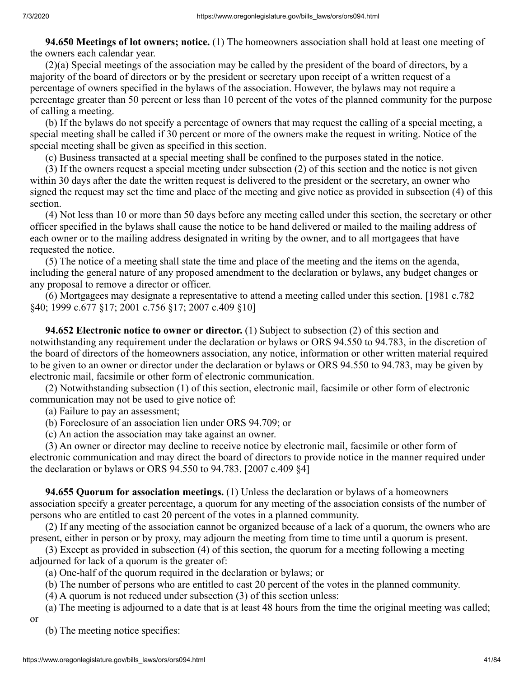**94.650 Meetings of lot owners; notice.** (1) The homeowners association shall hold at least one meeting of the owners each calendar year.

 (2)(a) Special meetings of the association may be called by the president of the board of directors, by a majority of the board of directors or by the president or secretary upon receipt of a written request of a percentage of owners specified in the bylaws of the association. However, the bylaws may not require a percentage greater than 50 percent or less than 10 percent of the votes of the planned community for the purpose of calling a meeting.

 (b) If the bylaws do not specify a percentage of owners that may request the calling of a special meeting, a special meeting shall be called if 30 percent or more of the owners make the request in writing. Notice of the special meeting shall be given as specified in this section.

(c) Business transacted at a special meeting shall be confined to the purposes stated in the notice.

 (3) If the owners request a special meeting under subsection (2) of this section and the notice is not given within 30 days after the date the written request is delivered to the president or the secretary, an owner who signed the request may set the time and place of the meeting and give notice as provided in subsection (4) of this section.

 (4) Not less than 10 or more than 50 days before any meeting called under this section, the secretary or other officer specified in the bylaws shall cause the notice to be hand delivered or mailed to the mailing address of each owner or to the mailing address designated in writing by the owner, and to all mortgagees that have requested the notice.

 (5) The notice of a meeting shall state the time and place of the meeting and the items on the agenda, including the general nature of any proposed amendment to the declaration or bylaws, any budget changes or any proposal to remove a director or officer.

 (6) Mortgagees may designate a representative to attend a meeting called under this section. [1981 c.782 §40; 1999 c.677 §17; 2001 c.756 §17; 2007 c.409 §10]

 **94.652 Electronic notice to owner or director.** (1) Subject to subsection (2) of this section and notwithstanding any requirement under the declaration or bylaws or ORS 94.550 to 94.783, in the discretion of the board of directors of the homeowners association, any notice, information or other written material required to be given to an owner or director under the declaration or bylaws or ORS 94.550 to 94.783, may be given by electronic mail, facsimile or other form of electronic communication.

 (2) Notwithstanding subsection (1) of this section, electronic mail, facsimile or other form of electronic communication may not be used to give notice of:

(a) Failure to pay an assessment;

(b) Foreclosure of an association lien under ORS 94.709; or

(c) An action the association may take against an owner.

 (3) An owner or director may decline to receive notice by electronic mail, facsimile or other form of electronic communication and may direct the board of directors to provide notice in the manner required under the declaration or bylaws or ORS 94.550 to 94.783. [2007 c.409 §4]

 **94.655 Quorum for association meetings.** (1) Unless the declaration or bylaws of a homeowners association specify a greater percentage, a quorum for any meeting of the association consists of the number of persons who are entitled to cast 20 percent of the votes in a planned community.

 (2) If any meeting of the association cannot be organized because of a lack of a quorum, the owners who are present, either in person or by proxy, may adjourn the meeting from time to time until a quorum is present.

 (3) Except as provided in subsection (4) of this section, the quorum for a meeting following a meeting adjourned for lack of a quorum is the greater of:

- (a) One-half of the quorum required in the declaration or bylaws; or
- (b) The number of persons who are entitled to cast 20 percent of the votes in the planned community.
- (4) A quorum is not reduced under subsection (3) of this section unless:

(a) The meeting is adjourned to a date that is at least 48 hours from the time the original meeting was called;

(b) The meeting notice specifies:

or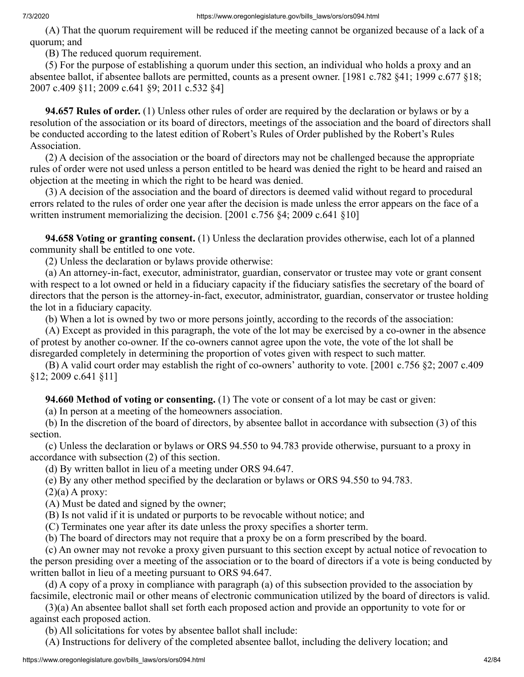(A) That the quorum requirement will be reduced if the meeting cannot be organized because of a lack of a quorum; and

(B) The reduced quorum requirement.

 (5) For the purpose of establishing a quorum under this section, an individual who holds a proxy and an absentee ballot, if absentee ballots are permitted, counts as a present owner. [1981 c.782 §41; 1999 c.677 §18; 2007 c.409 §11; 2009 c.641 §9; 2011 c.532 §4]

 **94.657 Rules of order.** (1) Unless other rules of order are required by the declaration or bylaws or by a resolution of the association or its board of directors, meetings of the association and the board of directors shall be conducted according to the latest edition of Robert's Rules of Order published by the Robert's Rules Association.

 (2) A decision of the association or the board of directors may not be challenged because the appropriate rules of order were not used unless a person entitled to be heard was denied the right to be heard and raised an objection at the meeting in which the right to be heard was denied.

 (3) A decision of the association and the board of directors is deemed valid without regard to procedural errors related to the rules of order one year after the decision is made unless the error appears on the face of a written instrument memorializing the decision. [2001 c.756 §4; 2009 c.641 §10]

 **94.658 Voting or granting consent.** (1) Unless the declaration provides otherwise, each lot of a planned community shall be entitled to one vote.

(2) Unless the declaration or bylaws provide otherwise:

 (a) An attorney-in-fact, executor, administrator, guardian, conservator or trustee may vote or grant consent with respect to a lot owned or held in a fiduciary capacity if the fiduciary satisfies the secretary of the board of directors that the person is the attorney-in-fact, executor, administrator, guardian, conservator or trustee holding the lot in a fiduciary capacity.

(b) When a lot is owned by two or more persons jointly, according to the records of the association:

 (A) Except as provided in this paragraph, the vote of the lot may be exercised by a co-owner in the absence of protest by another co-owner. If the co-owners cannot agree upon the vote, the vote of the lot shall be disregarded completely in determining the proportion of votes given with respect to such matter.

 (B) A valid court order may establish the right of co-owners' authority to vote. [2001 c.756 §2; 2007 c.409 §12; 2009 c.641 §11]

 **94.660 Method of voting or consenting.** (1) The vote or consent of a lot may be cast or given:

(a) In person at a meeting of the homeowners association.

 (b) In the discretion of the board of directors, by absentee ballot in accordance with subsection (3) of this section.

 (c) Unless the declaration or bylaws or ORS 94.550 to 94.783 provide otherwise, pursuant to a proxy in accordance with subsection (2) of this section.

(d) By written ballot in lieu of a meeting under ORS 94.647.

(e) By any other method specified by the declaration or bylaws or ORS 94.550 to 94.783.

 $(2)(a)$  A proxy:

(A) Must be dated and signed by the owner;

(B) Is not valid if it is undated or purports to be revocable without notice; and

(C) Terminates one year after its date unless the proxy specifies a shorter term.

(b) The board of directors may not require that a proxy be on a form prescribed by the board.

 (c) An owner may not revoke a proxy given pursuant to this section except by actual notice of revocation to the person presiding over a meeting of the association or to the board of directors if a vote is being conducted by written ballot in lieu of a meeting pursuant to ORS 94.647.

 (d) A copy of a proxy in compliance with paragraph (a) of this subsection provided to the association by facsimile, electronic mail or other means of electronic communication utilized by the board of directors is valid.

 (3)(a) An absentee ballot shall set forth each proposed action and provide an opportunity to vote for or against each proposed action.

(b) All solicitations for votes by absentee ballot shall include:

(A) Instructions for delivery of the completed absentee ballot, including the delivery location; and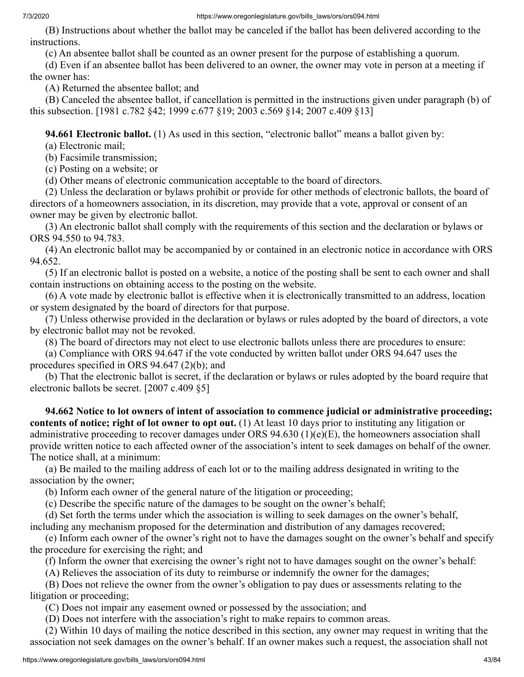(B) Instructions about whether the ballot may be canceled if the ballot has been delivered according to the instructions.

(c) An absentee ballot shall be counted as an owner present for the purpose of establishing a quorum.

 (d) Even if an absentee ballot has been delivered to an owner, the owner may vote in person at a meeting if the owner has:

(A) Returned the absentee ballot; and

 (B) Canceled the absentee ballot, if cancellation is permitted in the instructions given under paragraph (b) of this subsection. [1981 c.782 §42; 1999 c.677 §19; 2003 c.569 §14; 2007 c.409 §13]

 **94.661 Electronic ballot.** (1) As used in this section, "electronic ballot" means a ballot given by:

(a) Electronic mail;

(b) Facsimile transmission;

(c) Posting on a website; or

(d) Other means of electronic communication acceptable to the board of directors.

 (2) Unless the declaration or bylaws prohibit or provide for other methods of electronic ballots, the board of directors of a homeowners association, in its discretion, may provide that a vote, approval or consent of an owner may be given by electronic ballot.

 (3) An electronic ballot shall comply with the requirements of this section and the declaration or bylaws or ORS 94.550 to 94.783.

 (4) An electronic ballot may be accompanied by or contained in an electronic notice in accordance with ORS 94.652.

 (5) If an electronic ballot is posted on a website, a notice of the posting shall be sent to each owner and shall contain instructions on obtaining access to the posting on the website.

 (6) A vote made by electronic ballot is effective when it is electronically transmitted to an address, location or system designated by the board of directors for that purpose.

 (7) Unless otherwise provided in the declaration or bylaws or rules adopted by the board of directors, a vote by electronic ballot may not be revoked.

(8) The board of directors may not elect to use electronic ballots unless there are procedures to ensure:

 (a) Compliance with ORS 94.647 if the vote conducted by written ballot under ORS 94.647 uses the procedures specified in ORS 94.647 (2)(b); and

 (b) That the electronic ballot is secret, if the declaration or bylaws or rules adopted by the board require that electronic ballots be secret. [2007 c.409 §5]

 **94.662 Notice to lot owners of intent of association to commence judicial or administrative proceeding; contents of notice; right of lot owner to opt out.** (1) At least 10 days prior to instituting any litigation or administrative proceeding to recover damages under ORS 94.630 (1)(e)(E), the homeowners association shall provide written notice to each affected owner of the association's intent to seek damages on behalf of the owner. The notice shall, at a minimum:

 (a) Be mailed to the mailing address of each lot or to the mailing address designated in writing to the association by the owner;

(b) Inform each owner of the general nature of the litigation or proceeding;

(c) Describe the specific nature of the damages to be sought on the owner's behalf;

 (d) Set forth the terms under which the association is willing to seek damages on the owner's behalf, including any mechanism proposed for the determination and distribution of any damages recovered;

 (e) Inform each owner of the owner's right not to have the damages sought on the owner's behalf and specify the procedure for exercising the right; and

(f) Inform the owner that exercising the owner's right not to have damages sought on the owner's behalf:

(A) Relieves the association of its duty to reimburse or indemnify the owner for the damages;

 (B) Does not relieve the owner from the owner's obligation to pay dues or assessments relating to the litigation or proceeding;

(C) Does not impair any easement owned or possessed by the association; and

(D) Does not interfere with the association's right to make repairs to common areas.

 (2) Within 10 days of mailing the notice described in this section, any owner may request in writing that the association not seek damages on the owner's behalf. If an owner makes such a request, the association shall not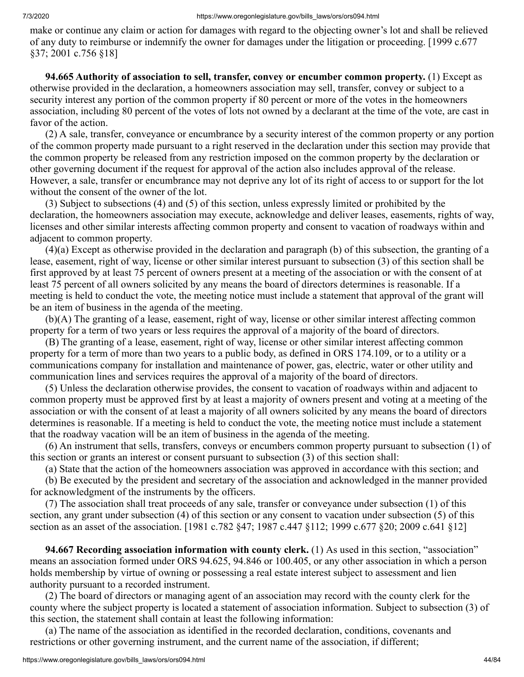make or continue any claim or action for damages with regard to the objecting owner's lot and shall be relieved of any duty to reimburse or indemnify the owner for damages under the litigation or proceeding. [1999 c.677 §37; 2001 c.756 §18]

 **94.665 Authority of association to sell, transfer, convey or encumber common property.** (1) Except as otherwise provided in the declaration, a homeowners association may sell, transfer, convey or subject to a security interest any portion of the common property if 80 percent or more of the votes in the homeowners association, including 80 percent of the votes of lots not owned by a declarant at the time of the vote, are cast in favor of the action.

 (2) A sale, transfer, conveyance or encumbrance by a security interest of the common property or any portion of the common property made pursuant to a right reserved in the declaration under this section may provide that the common property be released from any restriction imposed on the common property by the declaration or other governing document if the request for approval of the action also includes approval of the release. However, a sale, transfer or encumbrance may not deprive any lot of its right of access to or support for the lot without the consent of the owner of the lot.

 (3) Subject to subsections (4) and (5) of this section, unless expressly limited or prohibited by the declaration, the homeowners association may execute, acknowledge and deliver leases, easements, rights of way, licenses and other similar interests affecting common property and consent to vacation of roadways within and adjacent to common property.

 (4)(a) Except as otherwise provided in the declaration and paragraph (b) of this subsection, the granting of a lease, easement, right of way, license or other similar interest pursuant to subsection (3) of this section shall be first approved by at least 75 percent of owners present at a meeting of the association or with the consent of at least 75 percent of all owners solicited by any means the board of directors determines is reasonable. If a meeting is held to conduct the vote, the meeting notice must include a statement that approval of the grant will be an item of business in the agenda of the meeting.

 (b)(A) The granting of a lease, easement, right of way, license or other similar interest affecting common property for a term of two years or less requires the approval of a majority of the board of directors.

 (B) The granting of a lease, easement, right of way, license or other similar interest affecting common property for a term of more than two years to a public body, as defined in ORS 174.109, or to a utility or a communications company for installation and maintenance of power, gas, electric, water or other utility and communication lines and services requires the approval of a majority of the board of directors.

 (5) Unless the declaration otherwise provides, the consent to vacation of roadways within and adjacent to common property must be approved first by at least a majority of owners present and voting at a meeting of the association or with the consent of at least a majority of all owners solicited by any means the board of directors determines is reasonable. If a meeting is held to conduct the vote, the meeting notice must include a statement that the roadway vacation will be an item of business in the agenda of the meeting.

 (6) An instrument that sells, transfers, conveys or encumbers common property pursuant to subsection (1) of this section or grants an interest or consent pursuant to subsection (3) of this section shall:

(a) State that the action of the homeowners association was approved in accordance with this section; and

 (b) Be executed by the president and secretary of the association and acknowledged in the manner provided for acknowledgment of the instruments by the officers.

 (7) The association shall treat proceeds of any sale, transfer or conveyance under subsection (1) of this section, any grant under subsection (4) of this section or any consent to vacation under subsection (5) of this section as an asset of the association. [1981 c.782 §47; 1987 c.447 §112; 1999 c.677 §20; 2009 c.641 §12]

 **94.667 Recording association information with county clerk.** (1) As used in this section, "association" means an association formed under ORS 94.625, 94.846 or 100.405, or any other association in which a person holds membership by virtue of owning or possessing a real estate interest subject to assessment and lien authority pursuant to a recorded instrument.

 (2) The board of directors or managing agent of an association may record with the county clerk for the county where the subject property is located a statement of association information. Subject to subsection (3) of this section, the statement shall contain at least the following information:

 (a) The name of the association as identified in the recorded declaration, conditions, covenants and restrictions or other governing instrument, and the current name of the association, if different;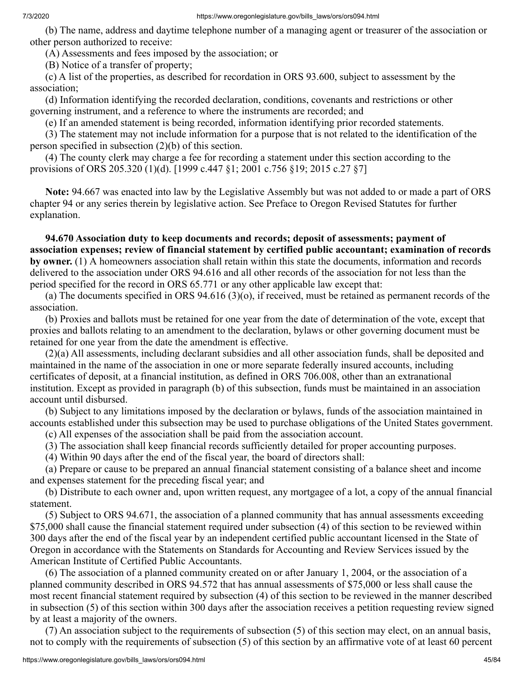(b) The name, address and daytime telephone number of a managing agent or treasurer of the association or other person authorized to receive:

(A) Assessments and fees imposed by the association; or

(B) Notice of a transfer of property;

 (c) A list of the properties, as described for recordation in ORS 93.600, subject to assessment by the association;

 (d) Information identifying the recorded declaration, conditions, covenants and restrictions or other governing instrument, and a reference to where the instruments are recorded; and

(e) If an amended statement is being recorded, information identifying prior recorded statements.

 (3) The statement may not include information for a purpose that is not related to the identification of the person specified in subsection (2)(b) of this section.

 (4) The county clerk may charge a fee for recording a statement under this section according to the provisions of ORS 205.320 (1)(d). [1999 c.447 §1; 2001 c.756 §19; 2015 c.27 §7]

 **Note:** 94.667 was enacted into law by the Legislative Assembly but was not added to or made a part of ORS chapter 94 or any series therein by legislative action. See Preface to Oregon Revised Statutes for further explanation.

 **94.670 Association duty to keep documents and records; deposit of assessments; payment of association expenses; review of financial statement by certified public accountant; examination of records by owner.** (1) A homeowners association shall retain within this state the documents, information and records delivered to the association under ORS 94.616 and all other records of the association for not less than the period specified for the record in ORS 65.771 or any other applicable law except that:

 (a) The documents specified in ORS 94.616 (3)(o), if received, must be retained as permanent records of the association.

 (b) Proxies and ballots must be retained for one year from the date of determination of the vote, except that proxies and ballots relating to an amendment to the declaration, bylaws or other governing document must be retained for one year from the date the amendment is effective.

 (2)(a) All assessments, including declarant subsidies and all other association funds, shall be deposited and maintained in the name of the association in one or more separate federally insured accounts, including certificates of deposit, at a financial institution, as defined in ORS 706.008, other than an extranational institution. Except as provided in paragraph (b) of this subsection, funds must be maintained in an association account until disbursed.

 (b) Subject to any limitations imposed by the declaration or bylaws, funds of the association maintained in accounts established under this subsection may be used to purchase obligations of the United States government.

(c) All expenses of the association shall be paid from the association account.

(3) The association shall keep financial records sufficiently detailed for proper accounting purposes.

(4) Within 90 days after the end of the fiscal year, the board of directors shall:

 (a) Prepare or cause to be prepared an annual financial statement consisting of a balance sheet and income and expenses statement for the preceding fiscal year; and

 (b) Distribute to each owner and, upon written request, any mortgagee of a lot, a copy of the annual financial statement.

 (5) Subject to ORS 94.671, the association of a planned community that has annual assessments exceeding \$75,000 shall cause the financial statement required under subsection (4) of this section to be reviewed within 300 days after the end of the fiscal year by an independent certified public accountant licensed in the State of Oregon in accordance with the Statements on Standards for Accounting and Review Services issued by the American Institute of Certified Public Accountants.

 (6) The association of a planned community created on or after January 1, 2004, or the association of a planned community described in ORS 94.572 that has annual assessments of \$75,000 or less shall cause the most recent financial statement required by subsection (4) of this section to be reviewed in the manner described in subsection (5) of this section within 300 days after the association receives a petition requesting review signed by at least a majority of the owners.

 (7) An association subject to the requirements of subsection (5) of this section may elect, on an annual basis, not to comply with the requirements of subsection (5) of this section by an affirmative vote of at least 60 percent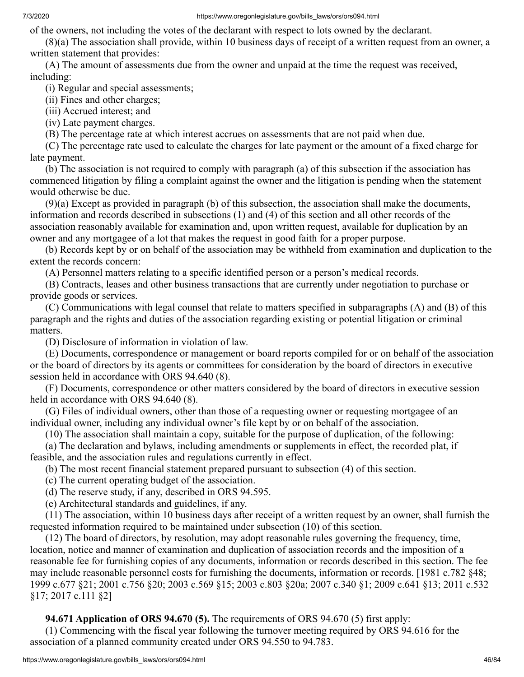of the owners, not including the votes of the declarant with respect to lots owned by the declarant.

 (8)(a) The association shall provide, within 10 business days of receipt of a written request from an owner, a written statement that provides:

 (A) The amount of assessments due from the owner and unpaid at the time the request was received, including:

(i) Regular and special assessments;

(ii) Fines and other charges;

(iii) Accrued interest; and

(iv) Late payment charges.

(B) The percentage rate at which interest accrues on assessments that are not paid when due.

 (C) The percentage rate used to calculate the charges for late payment or the amount of a fixed charge for late payment.

 (b) The association is not required to comply with paragraph (a) of this subsection if the association has commenced litigation by filing a complaint against the owner and the litigation is pending when the statement would otherwise be due.

 (9)(a) Except as provided in paragraph (b) of this subsection, the association shall make the documents, information and records described in subsections (1) and (4) of this section and all other records of the association reasonably available for examination and, upon written request, available for duplication by an owner and any mortgagee of a lot that makes the request in good faith for a proper purpose.

 (b) Records kept by or on behalf of the association may be withheld from examination and duplication to the extent the records concern:

(A) Personnel matters relating to a specific identified person or a person's medical records.

 (B) Contracts, leases and other business transactions that are currently under negotiation to purchase or provide goods or services.

 (C) Communications with legal counsel that relate to matters specified in subparagraphs (A) and (B) of this paragraph and the rights and duties of the association regarding existing or potential litigation or criminal matters.

(D) Disclosure of information in violation of law.

 (E) Documents, correspondence or management or board reports compiled for or on behalf of the association or the board of directors by its agents or committees for consideration by the board of directors in executive session held in accordance with ORS 94.640 (8).

 (F) Documents, correspondence or other matters considered by the board of directors in executive session held in accordance with ORS 94.640 (8).

 (G) Files of individual owners, other than those of a requesting owner or requesting mortgagee of an individual owner, including any individual owner's file kept by or on behalf of the association.

(10) The association shall maintain a copy, suitable for the purpose of duplication, of the following:

 (a) The declaration and bylaws, including amendments or supplements in effect, the recorded plat, if feasible, and the association rules and regulations currently in effect.

(b) The most recent financial statement prepared pursuant to subsection (4) of this section.

(c) The current operating budget of the association.

(d) The reserve study, if any, described in ORS 94.595.

(e) Architectural standards and guidelines, if any.

 (11) The association, within 10 business days after receipt of a written request by an owner, shall furnish the requested information required to be maintained under subsection (10) of this section.

 (12) The board of directors, by resolution, may adopt reasonable rules governing the frequency, time, location, notice and manner of examination and duplication of association records and the imposition of a reasonable fee for furnishing copies of any documents, information or records described in this section. The fee may include reasonable personnel costs for furnishing the documents, information or records. [1981 c.782 §48; 1999 c.677 §21; 2001 c.756 §20; 2003 c.569 §15; 2003 c.803 §20a; 2007 c.340 §1; 2009 c.641 §13; 2011 c.532 §17; 2017 c.111 §2]

 **94.671 Application of ORS 94.670 (5).** The requirements of ORS 94.670 (5) first apply:

 (1) Commencing with the fiscal year following the turnover meeting required by ORS 94.616 for the association of a planned community created under ORS 94.550 to 94.783.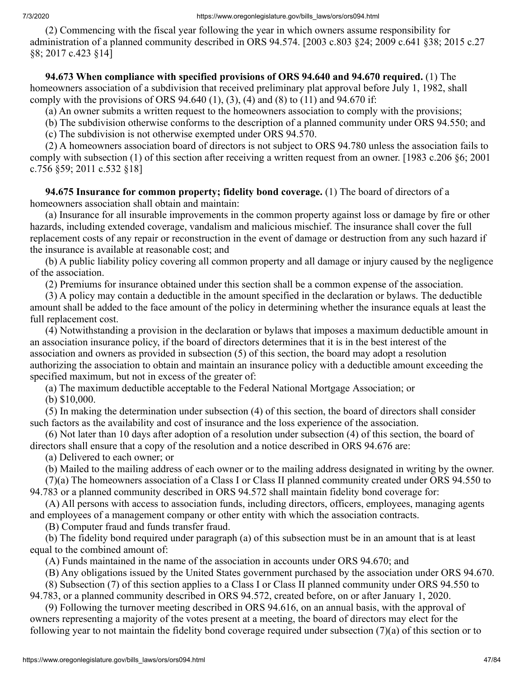(2) Commencing with the fiscal year following the year in which owners assume responsibility for administration of a planned community described in ORS 94.574. [2003 c.803 §24; 2009 c.641 §38; 2015 c.27 §8; 2017 c.423 §14]

 **94.673 When compliance with specified provisions of ORS 94.640 and 94.670 required.** (1) The homeowners association of a subdivision that received preliminary plat approval before July 1, 1982, shall comply with the provisions of ORS 94.640 (1), (3), (4) and (8) to (11) and 94.670 if:

(a) An owner submits a written request to the homeowners association to comply with the provisions;

(b) The subdivision otherwise conforms to the description of a planned community under ORS 94.550; and

(c) The subdivision is not otherwise exempted under ORS 94.570.

 (2) A homeowners association board of directors is not subject to ORS 94.780 unless the association fails to comply with subsection (1) of this section after receiving a written request from an owner. [1983 c.206 §6; 2001 c.756 §59; 2011 c.532 §18]

 **94.675 Insurance for common property; fidelity bond coverage.** (1) The board of directors of a homeowners association shall obtain and maintain:

 (a) Insurance for all insurable improvements in the common property against loss or damage by fire or other hazards, including extended coverage, vandalism and malicious mischief. The insurance shall cover the full replacement costs of any repair or reconstruction in the event of damage or destruction from any such hazard if the insurance is available at reasonable cost; and

 (b) A public liability policy covering all common property and all damage or injury caused by the negligence of the association.

(2) Premiums for insurance obtained under this section shall be a common expense of the association.

 (3) A policy may contain a deductible in the amount specified in the declaration or bylaws. The deductible amount shall be added to the face amount of the policy in determining whether the insurance equals at least the full replacement cost.

 (4) Notwithstanding a provision in the declaration or bylaws that imposes a maximum deductible amount in an association insurance policy, if the board of directors determines that it is in the best interest of the association and owners as provided in subsection (5) of this section, the board may adopt a resolution authorizing the association to obtain and maintain an insurance policy with a deductible amount exceeding the specified maximum, but not in excess of the greater of:

(a) The maximum deductible acceptable to the Federal National Mortgage Association; or

(b) \$10,000.

 (5) In making the determination under subsection (4) of this section, the board of directors shall consider such factors as the availability and cost of insurance and the loss experience of the association.

 (6) Not later than 10 days after adoption of a resolution under subsection (4) of this section, the board of directors shall ensure that a copy of the resolution and a notice described in ORS 94.676 are:

(a) Delivered to each owner; or

(b) Mailed to the mailing address of each owner or to the mailing address designated in writing by the owner.

 (7)(a) The homeowners association of a Class I or Class II planned community created under ORS 94.550 to 94.783 or a planned community described in ORS 94.572 shall maintain fidelity bond coverage for:

 (A) All persons with access to association funds, including directors, officers, employees, managing agents and employees of a management company or other entity with which the association contracts.

(B) Computer fraud and funds transfer fraud.

 (b) The fidelity bond required under paragraph (a) of this subsection must be in an amount that is at least equal to the combined amount of:

(A) Funds maintained in the name of the association in accounts under ORS 94.670; and

(B) Any obligations issued by the United States government purchased by the association under ORS 94.670.

(8) Subsection (7) of this section applies to a Class I or Class II planned community under ORS 94.550 to

94.783, or a planned community described in ORS 94.572, created before, on or after January 1, 2020.

 (9) Following the turnover meeting described in ORS 94.616, on an annual basis, with the approval of owners representing a majority of the votes present at a meeting, the board of directors may elect for the following year to not maintain the fidelity bond coverage required under subsection (7)(a) of this section or to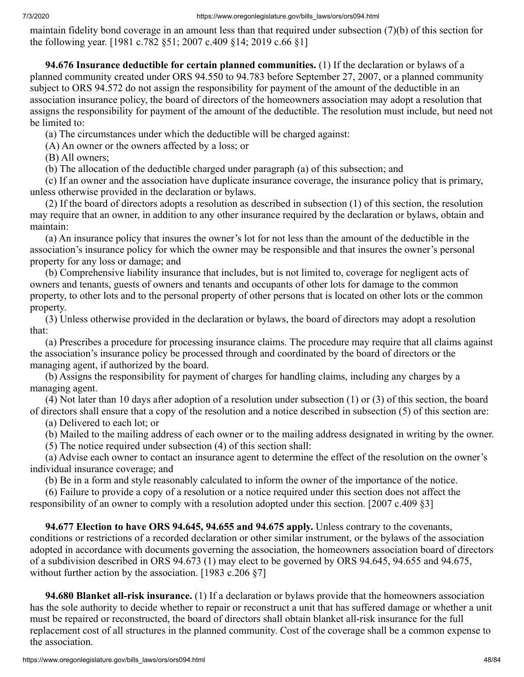maintain fidelity bond coverage in an amount less than that required under subsection (7)(b) of this section for the following year. [1981 c.782 §51; 2007 c.409 §14; 2019 c.66 §1]

 **94.676 Insurance deductible for certain planned communities.** (1) If the declaration or bylaws of a planned community created under ORS 94.550 to 94.783 before September 27, 2007, or a planned community subject to ORS 94.572 do not assign the responsibility for payment of the amount of the deductible in an association insurance policy, the board of directors of the homeowners association may adopt a resolution that assigns the responsibility for payment of the amount of the deductible. The resolution must include, but need not be limited to:

(a) The circumstances under which the deductible will be charged against:

(A) An owner or the owners affected by a loss; or

(B) All owners;

(b) The allocation of the deductible charged under paragraph (a) of this subsection; and

 (c) If an owner and the association have duplicate insurance coverage, the insurance policy that is primary, unless otherwise provided in the declaration or bylaws.

 (2) If the board of directors adopts a resolution as described in subsection (1) of this section, the resolution may require that an owner, in addition to any other insurance required by the declaration or bylaws, obtain and maintain:

 (a) An insurance policy that insures the owner's lot for not less than the amount of the deductible in the association's insurance policy for which the owner may be responsible and that insures the owner's personal property for any loss or damage; and

 (b) Comprehensive liability insurance that includes, but is not limited to, coverage for negligent acts of owners and tenants, guests of owners and tenants and occupants of other lots for damage to the common property, to other lots and to the personal property of other persons that is located on other lots or the common property.

 (3) Unless otherwise provided in the declaration or bylaws, the board of directors may adopt a resolution that:

 (a) Prescribes a procedure for processing insurance claims. The procedure may require that all claims against the association's insurance policy be processed through and coordinated by the board of directors or the managing agent, if authorized by the board.

 (b) Assigns the responsibility for payment of charges for handling claims, including any charges by a managing agent.

 (4) Not later than 10 days after adoption of a resolution under subsection (1) or (3) of this section, the board of directors shall ensure that a copy of the resolution and a notice described in subsection (5) of this section are:

(a) Delivered to each lot; or

(b) Mailed to the mailing address of each owner or to the mailing address designated in writing by the owner.

(5) The notice required under subsection (4) of this section shall:

 (a) Advise each owner to contact an insurance agent to determine the effect of the resolution on the owner's individual insurance coverage; and

(b) Be in a form and style reasonably calculated to inform the owner of the importance of the notice.

 (6) Failure to provide a copy of a resolution or a notice required under this section does not affect the responsibility of an owner to comply with a resolution adopted under this section. [2007 c.409 §3]

 **94.677 Election to have ORS 94.645, 94.655 and 94.675 apply.** Unless contrary to the covenants, conditions or restrictions of a recorded declaration or other similar instrument, or the bylaws of the association adopted in accordance with documents governing the association, the homeowners association board of directors of a subdivision described in ORS 94.673 (1) may elect to be governed by ORS 94.645, 94.655 and 94.675, without further action by the association. [1983 c.206 §7]

 **94.680 Blanket all-risk insurance.** (1) If a declaration or bylaws provide that the homeowners association has the sole authority to decide whether to repair or reconstruct a unit that has suffered damage or whether a unit must be repaired or reconstructed, the board of directors shall obtain blanket all-risk insurance for the full replacement cost of all structures in the planned community. Cost of the coverage shall be a common expense to the association.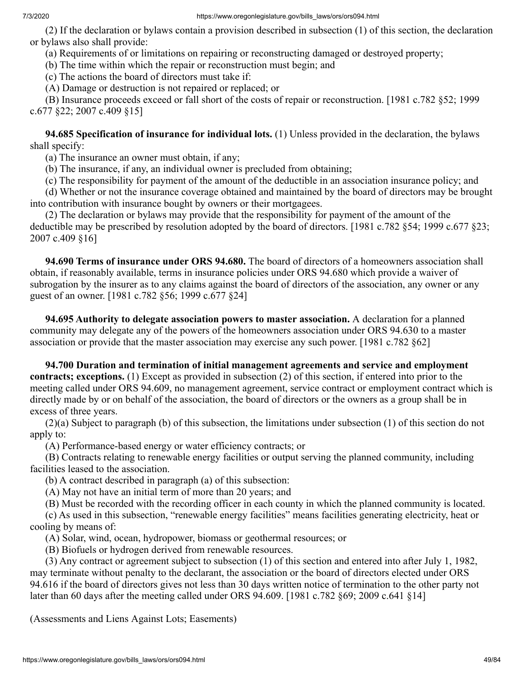#### 7/3/2020 https://www.oregonlegislature.gov/bills\_laws/ors/ors094.html

 (2) If the declaration or bylaws contain a provision described in subsection (1) of this section, the declaration or bylaws also shall provide:

(a) Requirements of or limitations on repairing or reconstructing damaged or destroyed property;

(b) The time within which the repair or reconstruction must begin; and

(c) The actions the board of directors must take if:

(A) Damage or destruction is not repaired or replaced; or

 (B) Insurance proceeds exceed or fall short of the costs of repair or reconstruction. [1981 c.782 §52; 1999 c.677 §22; 2007 c.409 §15]

 **94.685 Specification of insurance for individual lots.** (1) Unless provided in the declaration, the bylaws shall specify:

(a) The insurance an owner must obtain, if any;

(b) The insurance, if any, an individual owner is precluded from obtaining;

(c) The responsibility for payment of the amount of the deductible in an association insurance policy; and

 (d) Whether or not the insurance coverage obtained and maintained by the board of directors may be brought into contribution with insurance bought by owners or their mortgagees.

 (2) The declaration or bylaws may provide that the responsibility for payment of the amount of the deductible may be prescribed by resolution adopted by the board of directors. [1981 c.782 §54; 1999 c.677 §23; 2007 c.409 §16]

 **94.690 Terms of insurance under ORS 94.680.** The board of directors of a homeowners association shall obtain, if reasonably available, terms in insurance policies under ORS 94.680 which provide a waiver of subrogation by the insurer as to any claims against the board of directors of the association, any owner or any guest of an owner. [1981 c.782 §56; 1999 c.677 §24]

 **94.695 Authority to delegate association powers to master association.** A declaration for a planned community may delegate any of the powers of the homeowners association under ORS 94.630 to a master association or provide that the master association may exercise any such power. [1981 c.782 §62]

 **94.700 Duration and termination of initial management agreements and service and employment contracts; exceptions.** (1) Except as provided in subsection (2) of this section, if entered into prior to the meeting called under ORS 94.609, no management agreement, service contract or employment contract which is directly made by or on behalf of the association, the board of directors or the owners as a group shall be in excess of three years.

 (2)(a) Subject to paragraph (b) of this subsection, the limitations under subsection (1) of this section do not apply to:

(A) Performance-based energy or water efficiency contracts; or

 (B) Contracts relating to renewable energy facilities or output serving the planned community, including facilities leased to the association.

(b) A contract described in paragraph (a) of this subsection:

(A) May not have an initial term of more than 20 years; and

(B) Must be recorded with the recording officer in each county in which the planned community is located.

 (c) As used in this subsection, "renewable energy facilities" means facilities generating electricity, heat or cooling by means of:

(A) Solar, wind, ocean, hydropower, biomass or geothermal resources; or

(B) Biofuels or hydrogen derived from renewable resources.

 (3) Any contract or agreement subject to subsection (1) of this section and entered into after July 1, 1982, may terminate without penalty to the declarant, the association or the board of directors elected under ORS 94.616 if the board of directors gives not less than 30 days written notice of termination to the other party not later than 60 days after the meeting called under ORS 94.609. [1981 c.782 §69; 2009 c.641 §14]

(Assessments and Liens Against Lots; Easements)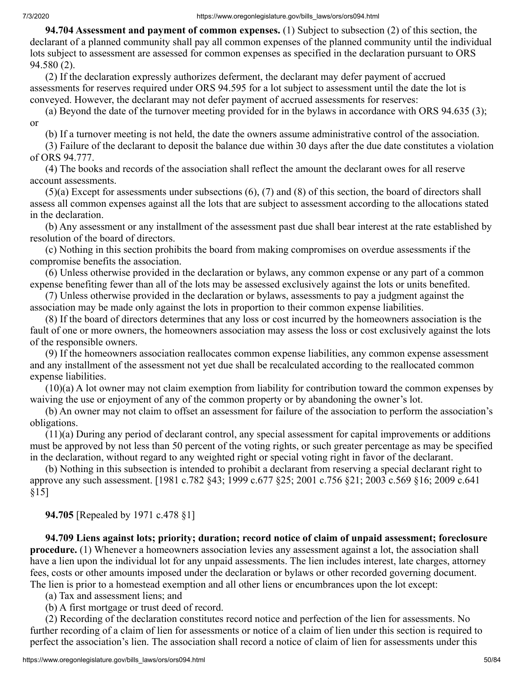**94.704 Assessment and payment of common expenses.** (1) Subject to subsection (2) of this section, the declarant of a planned community shall pay all common expenses of the planned community until the individual lots subject to assessment are assessed for common expenses as specified in the declaration pursuant to ORS 94.580 (2).

 (2) If the declaration expressly authorizes deferment, the declarant may defer payment of accrued assessments for reserves required under ORS 94.595 for a lot subject to assessment until the date the lot is conveyed. However, the declarant may not defer payment of accrued assessments for reserves:

 (a) Beyond the date of the turnover meeting provided for in the bylaws in accordance with ORS 94.635 (3); or

(b) If a turnover meeting is not held, the date the owners assume administrative control of the association.

 (3) Failure of the declarant to deposit the balance due within 30 days after the due date constitutes a violation of ORS 94.777.

 (4) The books and records of the association shall reflect the amount the declarant owes for all reserve account assessments.

 (5)(a) Except for assessments under subsections (6), (7) and (8) of this section, the board of directors shall assess all common expenses against all the lots that are subject to assessment according to the allocations stated in the declaration.

 (b) Any assessment or any installment of the assessment past due shall bear interest at the rate established by resolution of the board of directors.

 (c) Nothing in this section prohibits the board from making compromises on overdue assessments if the compromise benefits the association.

 (6) Unless otherwise provided in the declaration or bylaws, any common expense or any part of a common expense benefiting fewer than all of the lots may be assessed exclusively against the lots or units benefited.

 (7) Unless otherwise provided in the declaration or bylaws, assessments to pay a judgment against the association may be made only against the lots in proportion to their common expense liabilities.

 (8) If the board of directors determines that any loss or cost incurred by the homeowners association is the fault of one or more owners, the homeowners association may assess the loss or cost exclusively against the lots of the responsible owners.

 (9) If the homeowners association reallocates common expense liabilities, any common expense assessment and any installment of the assessment not yet due shall be recalculated according to the reallocated common expense liabilities.

 (10)(a) A lot owner may not claim exemption from liability for contribution toward the common expenses by waiving the use or enjoyment of any of the common property or by abandoning the owner's lot.

 (b) An owner may not claim to offset an assessment for failure of the association to perform the association's obligations.

 (11)(a) During any period of declarant control, any special assessment for capital improvements or additions must be approved by not less than 50 percent of the voting rights, or such greater percentage as may be specified in the declaration, without regard to any weighted right or special voting right in favor of the declarant.

 (b) Nothing in this subsection is intended to prohibit a declarant from reserving a special declarant right to approve any such assessment. [1981 c.782 §43; 1999 c.677 §25; 2001 c.756 §21; 2003 c.569 §16; 2009 c.641 §15]

 **94.705** [Repealed by 1971 c.478 §1]

 **94.709 Liens against lots; priority; duration; record notice of claim of unpaid assessment; foreclosure procedure.** (1) Whenever a homeowners association levies any assessment against a lot, the association shall have a lien upon the individual lot for any unpaid assessments. The lien includes interest, late charges, attorney fees, costs or other amounts imposed under the declaration or bylaws or other recorded governing document. The lien is prior to a homestead exemption and all other liens or encumbrances upon the lot except:

(a) Tax and assessment liens; and

(b) A first mortgage or trust deed of record.

 (2) Recording of the declaration constitutes record notice and perfection of the lien for assessments. No further recording of a claim of lien for assessments or notice of a claim of lien under this section is required to perfect the association's lien. The association shall record a notice of claim of lien for assessments under this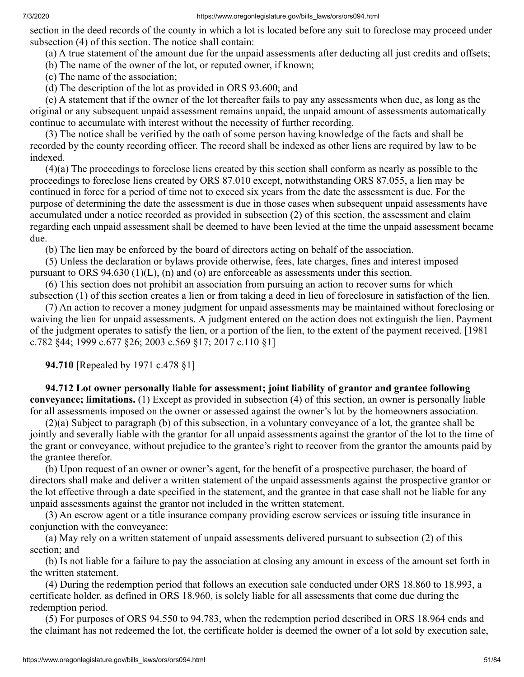section in the deed records of the county in which a lot is located before any suit to foreclose may proceed under subsection (4) of this section. The notice shall contain:

(a) A true statement of the amount due for the unpaid assessments after deducting all just credits and offsets;

(b) The name of the owner of the lot, or reputed owner, if known;

(c) The name of the association;

(d) The description of the lot as provided in ORS 93.600; and

 (e) A statement that if the owner of the lot thereafter fails to pay any assessments when due, as long as the original or any subsequent unpaid assessment remains unpaid, the unpaid amount of assessments automatically continue to accumulate with interest without the necessity of further recording.

 (3) The notice shall be verified by the oath of some person having knowledge of the facts and shall be recorded by the county recording officer. The record shall be indexed as other liens are required by law to be indexed.

 (4)(a) The proceedings to foreclose liens created by this section shall conform as nearly as possible to the proceedings to foreclose liens created by ORS 87.010 except, notwithstanding ORS 87.055, a lien may be continued in force for a period of time not to exceed six years from the date the assessment is due. For the purpose of determining the date the assessment is due in those cases when subsequent unpaid assessments have accumulated under a notice recorded as provided in subsection (2) of this section, the assessment and claim regarding each unpaid assessment shall be deemed to have been levied at the time the unpaid assessment became due.

(b) The lien may be enforced by the board of directors acting on behalf of the association.

 (5) Unless the declaration or bylaws provide otherwise, fees, late charges, fines and interest imposed pursuant to ORS 94.630 (1)(L), (n) and (o) are enforceable as assessments under this section.

 (6) This section does not prohibit an association from pursuing an action to recover sums for which subsection (1) of this section creates a lien or from taking a deed in lieu of foreclosure in satisfaction of the lien.

 (7) An action to recover a money judgment for unpaid assessments may be maintained without foreclosing or waiving the lien for unpaid assessments. A judgment entered on the action does not extinguish the lien. Payment of the judgment operates to satisfy the lien, or a portion of the lien, to the extent of the payment received. [1981 c.782 §44; 1999 c.677 §26; 2003 c.569 §17; 2017 c.110 §1]

 **94.710** [Repealed by 1971 c.478 §1]

 **94.712 Lot owner personally liable for assessment; joint liability of grantor and grantee following conveyance; limitations.** (1) Except as provided in subsection (4) of this section, an owner is personally liable for all assessments imposed on the owner or assessed against the owner's lot by the homeowners association.

 (2)(a) Subject to paragraph (b) of this subsection, in a voluntary conveyance of a lot, the grantee shall be jointly and severally liable with the grantor for all unpaid assessments against the grantor of the lot to the time of the grant or conveyance, without prejudice to the grantee's right to recover from the grantor the amounts paid by the grantee therefor.

 (b) Upon request of an owner or owner's agent, for the benefit of a prospective purchaser, the board of directors shall make and deliver a written statement of the unpaid assessments against the prospective grantor or the lot effective through a date specified in the statement, and the grantee in that case shall not be liable for any unpaid assessments against the grantor not included in the written statement.

 (3) An escrow agent or a title insurance company providing escrow services or issuing title insurance in conjunction with the conveyance:

 (a) May rely on a written statement of unpaid assessments delivered pursuant to subsection (2) of this section; and

 (b) Is not liable for a failure to pay the association at closing any amount in excess of the amount set forth in the written statement.

 (4) During the redemption period that follows an execution sale conducted under ORS 18.860 to 18.993, a certificate holder, as defined in ORS 18.960, is solely liable for all assessments that come due during the redemption period.

 (5) For purposes of ORS 94.550 to 94.783, when the redemption period described in ORS 18.964 ends and the claimant has not redeemed the lot, the certificate holder is deemed the owner of a lot sold by execution sale,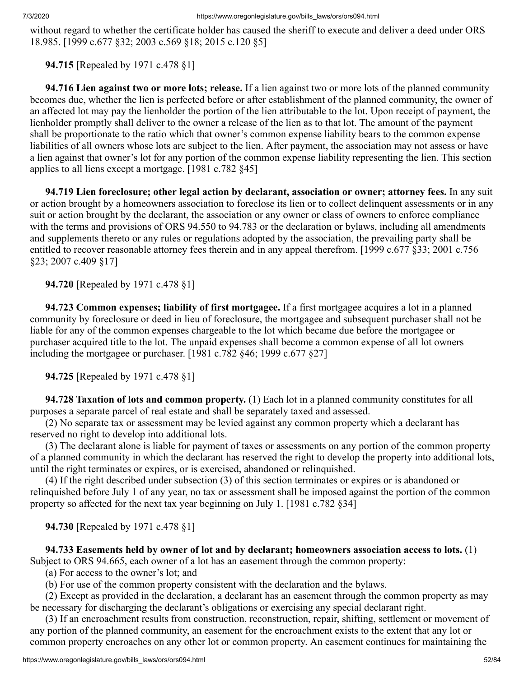without regard to whether the certificate holder has caused the sheriff to execute and deliver a deed under ORS 18.985. [1999 c.677 §32; 2003 c.569 §18; 2015 c.120 §5]

 **94.715** [Repealed by 1971 c.478 §1]

 **94.716 Lien against two or more lots; release.** If a lien against two or more lots of the planned community becomes due, whether the lien is perfected before or after establishment of the planned community, the owner of an affected lot may pay the lienholder the portion of the lien attributable to the lot. Upon receipt of payment, the lienholder promptly shall deliver to the owner a release of the lien as to that lot. The amount of the payment shall be proportionate to the ratio which that owner's common expense liability bears to the common expense liabilities of all owners whose lots are subject to the lien. After payment, the association may not assess or have a lien against that owner's lot for any portion of the common expense liability representing the lien. This section applies to all liens except a mortgage. [1981 c.782 §45]

 **94.719 Lien foreclosure; other legal action by declarant, association or owner; attorney fees.** In any suit or action brought by a homeowners association to foreclose its lien or to collect delinquent assessments or in any suit or action brought by the declarant, the association or any owner or class of owners to enforce compliance with the terms and provisions of ORS 94.550 to 94.783 or the declaration or bylaws, including all amendments and supplements thereto or any rules or regulations adopted by the association, the prevailing party shall be entitled to recover reasonable attorney fees therein and in any appeal therefrom. [1999 c.677 §33; 2001 c.756 §23; 2007 c.409 §17]

 **94.720** [Repealed by 1971 c.478 §1]

 **94.723 Common expenses; liability of first mortgagee.** If a first mortgagee acquires a lot in a planned community by foreclosure or deed in lieu of foreclosure, the mortgagee and subsequent purchaser shall not be liable for any of the common expenses chargeable to the lot which became due before the mortgagee or purchaser acquired title to the lot. The unpaid expenses shall become a common expense of all lot owners including the mortgagee or purchaser. [1981 c.782 §46; 1999 c.677 §27]

 **94.725** [Repealed by 1971 c.478 §1]

 **94.728 Taxation of lots and common property.** (1) Each lot in a planned community constitutes for all purposes a separate parcel of real estate and shall be separately taxed and assessed.

 (2) No separate tax or assessment may be levied against any common property which a declarant has reserved no right to develop into additional lots.

 (3) The declarant alone is liable for payment of taxes or assessments on any portion of the common property of a planned community in which the declarant has reserved the right to develop the property into additional lots, until the right terminates or expires, or is exercised, abandoned or relinquished.

 (4) If the right described under subsection (3) of this section terminates or expires or is abandoned or relinquished before July 1 of any year, no tax or assessment shall be imposed against the portion of the common property so affected for the next tax year beginning on July 1. [1981 c.782 §34]

 **94.730** [Repealed by 1971 c.478 §1]

 **94.733 Easements held by owner of lot and by declarant; homeowners association access to lots.** (1) Subject to ORS 94.665, each owner of a lot has an easement through the common property:

(a) For access to the owner's lot; and

(b) For use of the common property consistent with the declaration and the bylaws.

 (2) Except as provided in the declaration, a declarant has an easement through the common property as may be necessary for discharging the declarant's obligations or exercising any special declarant right.

 (3) If an encroachment results from construction, reconstruction, repair, shifting, settlement or movement of any portion of the planned community, an easement for the encroachment exists to the extent that any lot or common property encroaches on any other lot or common property. An easement continues for maintaining the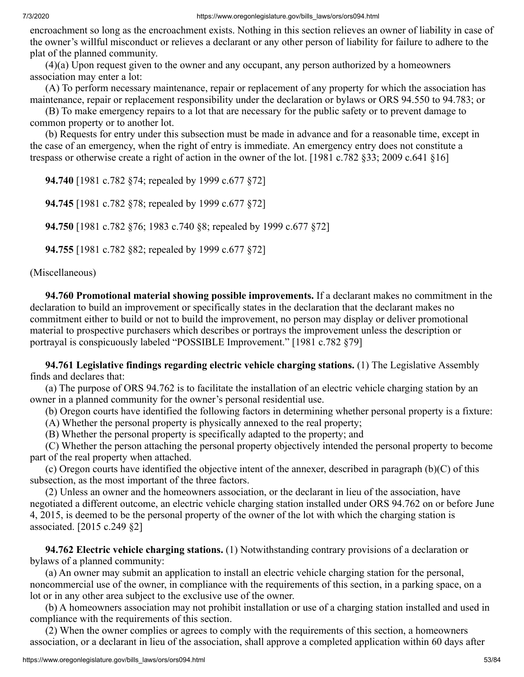encroachment so long as the encroachment exists. Nothing in this section relieves an owner of liability in case of the owner's willful misconduct or relieves a declarant or any other person of liability for failure to adhere to the plat of the planned community.

 (4)(a) Upon request given to the owner and any occupant, any person authorized by a homeowners association may enter a lot:

 (A) To perform necessary maintenance, repair or replacement of any property for which the association has maintenance, repair or replacement responsibility under the declaration or bylaws or ORS 94.550 to 94.783; or

 (B) To make emergency repairs to a lot that are necessary for the public safety or to prevent damage to common property or to another lot.

 (b) Requests for entry under this subsection must be made in advance and for a reasonable time, except in the case of an emergency, when the right of entry is immediate. An emergency entry does not constitute a trespass or otherwise create a right of action in the owner of the lot. [1981 c.782 §33; 2009 c.641 §16]

 **94.740** [1981 c.782 §74; repealed by 1999 c.677 §72]

 **94.745** [1981 c.782 §78; repealed by 1999 c.677 §72]

 **94.750** [1981 c.782 §76; 1983 c.740 §8; repealed by 1999 c.677 §72]

 **94.755** [1981 c.782 §82; repealed by 1999 c.677 §72]

# (Miscellaneous)

 **94.760 Promotional material showing possible improvements.** If a declarant makes no commitment in the declaration to build an improvement or specifically states in the declaration that the declarant makes no commitment either to build or not to build the improvement, no person may display or deliver promotional material to prospective purchasers which describes or portrays the improvement unless the description or portrayal is conspicuously labeled "POSSIBLE Improvement." [1981 c.782 §79]

 **94.761 Legislative findings regarding electric vehicle charging stations.** (1) The Legislative Assembly finds and declares that:

 (a) The purpose of ORS 94.762 is to facilitate the installation of an electric vehicle charging station by an owner in a planned community for the owner's personal residential use.

(b) Oregon courts have identified the following factors in determining whether personal property is a fixture:

(A) Whether the personal property is physically annexed to the real property;

(B) Whether the personal property is specifically adapted to the property; and

 (C) Whether the person attaching the personal property objectively intended the personal property to become part of the real property when attached.

 (c) Oregon courts have identified the objective intent of the annexer, described in paragraph (b)(C) of this subsection, as the most important of the three factors.

 (2) Unless an owner and the homeowners association, or the declarant in lieu of the association, have negotiated a different outcome, an electric vehicle charging station installed under ORS 94.762 on or before June 4, 2015, is deemed to be the personal property of the owner of the lot with which the charging station is associated. [2015 c.249 §2]

 **94.762 Electric vehicle charging stations.** (1) Notwithstanding contrary provisions of a declaration or bylaws of a planned community:

 (a) An owner may submit an application to install an electric vehicle charging station for the personal, noncommercial use of the owner, in compliance with the requirements of this section, in a parking space, on a lot or in any other area subject to the exclusive use of the owner.

 (b) A homeowners association may not prohibit installation or use of a charging station installed and used in compliance with the requirements of this section.

 (2) When the owner complies or agrees to comply with the requirements of this section, a homeowners association, or a declarant in lieu of the association, shall approve a completed application within 60 days after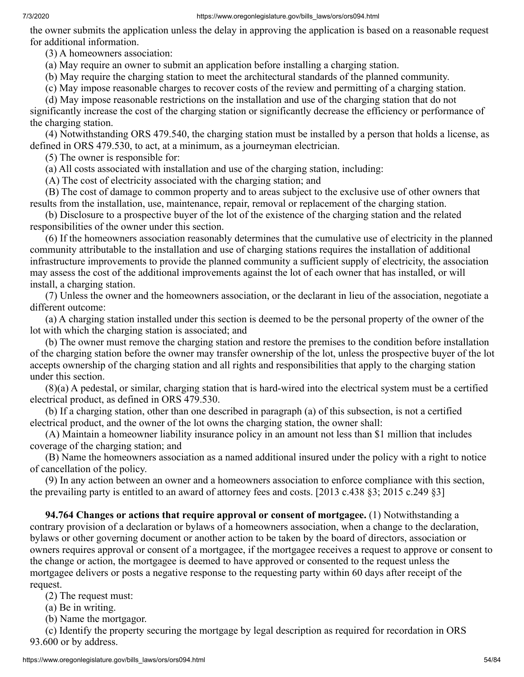#### 7/3/2020 https://www.oregonlegislature.gov/bills\_laws/ors/ors094.html

the owner submits the application unless the delay in approving the application is based on a reasonable request for additional information.

(3) A homeowners association:

(a) May require an owner to submit an application before installing a charging station.

(b) May require the charging station to meet the architectural standards of the planned community.

(c) May impose reasonable charges to recover costs of the review and permitting of a charging station.

(d) May impose reasonable restrictions on the installation and use of the charging station that do not

significantly increase the cost of the charging station or significantly decrease the efficiency or performance of the charging station.

 (4) Notwithstanding ORS 479.540, the charging station must be installed by a person that holds a license, as defined in ORS 479.530, to act, at a minimum, as a journeyman electrician.

(5) The owner is responsible for:

(a) All costs associated with installation and use of the charging station, including:

(A) The cost of electricity associated with the charging station; and

 (B) The cost of damage to common property and to areas subject to the exclusive use of other owners that results from the installation, use, maintenance, repair, removal or replacement of the charging station.

 (b) Disclosure to a prospective buyer of the lot of the existence of the charging station and the related responsibilities of the owner under this section.

 (6) If the homeowners association reasonably determines that the cumulative use of electricity in the planned community attributable to the installation and use of charging stations requires the installation of additional infrastructure improvements to provide the planned community a sufficient supply of electricity, the association may assess the cost of the additional improvements against the lot of each owner that has installed, or will install, a charging station.

 (7) Unless the owner and the homeowners association, or the declarant in lieu of the association, negotiate a different outcome:

 (a) A charging station installed under this section is deemed to be the personal property of the owner of the lot with which the charging station is associated; and

 (b) The owner must remove the charging station and restore the premises to the condition before installation of the charging station before the owner may transfer ownership of the lot, unless the prospective buyer of the lot accepts ownership of the charging station and all rights and responsibilities that apply to the charging station under this section.

 (8)(a) A pedestal, or similar, charging station that is hard-wired into the electrical system must be a certified electrical product, as defined in ORS 479.530.

 (b) If a charging station, other than one described in paragraph (a) of this subsection, is not a certified electrical product, and the owner of the lot owns the charging station, the owner shall:

 (A) Maintain a homeowner liability insurance policy in an amount not less than \$1 million that includes coverage of the charging station; and

 (B) Name the homeowners association as a named additional insured under the policy with a right to notice of cancellation of the policy.

 (9) In any action between an owner and a homeowners association to enforce compliance with this section, the prevailing party is entitled to an award of attorney fees and costs. [2013 c.438 §3; 2015 c.249 §3]

 **94.764 Changes or actions that require approval or consent of mortgagee.** (1) Notwithstanding a contrary provision of a declaration or bylaws of a homeowners association, when a change to the declaration, bylaws or other governing document or another action to be taken by the board of directors, association or owners requires approval or consent of a mortgagee, if the mortgagee receives a request to approve or consent to the change or action, the mortgagee is deemed to have approved or consented to the request unless the mortgagee delivers or posts a negative response to the requesting party within 60 days after receipt of the request.

(2) The request must:

(a) Be in writing.

(b) Name the mortgagor.

 (c) Identify the property securing the mortgage by legal description as required for recordation in ORS 93.600 or by address.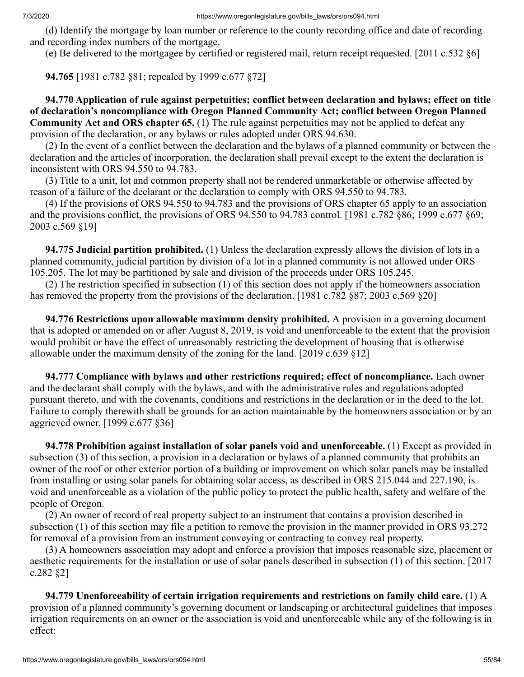(d) Identify the mortgage by loan number or reference to the county recording office and date of recording and recording index numbers of the mortgage.

(e) Be delivered to the mortgagee by certified or registered mail, return receipt requested. [2011 c.532 §6]

 **94.765** [1981 c.782 §81; repealed by 1999 c.677 §72]

 **94.770 Application of rule against perpetuities; conflict between declaration and bylaws; effect on title of declaration's noncompliance with Oregon Planned Community Act; conflict between Oregon Planned Community Act and ORS chapter 65.** (1) The rule against perpetuities may not be applied to defeat any provision of the declaration, or any bylaws or rules adopted under ORS 94.630.

 (2) In the event of a conflict between the declaration and the bylaws of a planned community or between the declaration and the articles of incorporation, the declaration shall prevail except to the extent the declaration is inconsistent with ORS 94.550 to 94.783.

 (3) Title to a unit, lot and common property shall not be rendered unmarketable or otherwise affected by reason of a failure of the declarant or the declaration to comply with ORS 94.550 to 94.783.

 (4) If the provisions of ORS 94.550 to 94.783 and the provisions of ORS chapter 65 apply to an association and the provisions conflict, the provisions of ORS 94.550 to 94.783 control. [1981 c.782 §86; 1999 c.677 §69; 2003 c.569 §19]

 **94.775 Judicial partition prohibited.** (1) Unless the declaration expressly allows the division of lots in a planned community, judicial partition by division of a lot in a planned community is not allowed under ORS 105.205. The lot may be partitioned by sale and division of the proceeds under ORS 105.245.

 (2) The restriction specified in subsection (1) of this section does not apply if the homeowners association has removed the property from the provisions of the declaration. [1981 c.782 §87; 2003 c.569 §20]

 **94.776 Restrictions upon allowable maximum density prohibited.** A provision in a governing document that is adopted or amended on or after August 8, 2019, is void and unenforceable to the extent that the provision would prohibit or have the effect of unreasonably restricting the development of housing that is otherwise allowable under the maximum density of the zoning for the land. [2019 c.639 §12]

 **94.777 Compliance with bylaws and other restrictions required; effect of noncompliance.** Each owner and the declarant shall comply with the bylaws, and with the administrative rules and regulations adopted pursuant thereto, and with the covenants, conditions and restrictions in the declaration or in the deed to the lot. Failure to comply therewith shall be grounds for an action maintainable by the homeowners association or by an aggrieved owner. [1999 c.677 §36]

 **94.778 Prohibition against installation of solar panels void and unenforceable.** (1) Except as provided in subsection (3) of this section, a provision in a declaration or bylaws of a planned community that prohibits an owner of the roof or other exterior portion of a building or improvement on which solar panels may be installed from installing or using solar panels for obtaining solar access, as described in ORS 215.044 and 227.190, is void and unenforceable as a violation of the public policy to protect the public health, safety and welfare of the people of Oregon.

 (2) An owner of record of real property subject to an instrument that contains a provision described in subsection (1) of this section may file a petition to remove the provision in the manner provided in ORS 93.272 for removal of a provision from an instrument conveying or contracting to convey real property.

 (3) A homeowners association may adopt and enforce a provision that imposes reasonable size, placement or aesthetic requirements for the installation or use of solar panels described in subsection (1) of this section. [2017 c.282 §2]

 **94.779 Unenforceability of certain irrigation requirements and restrictions on family child care.** (1) A provision of a planned community's governing document or landscaping or architectural guidelines that imposes irrigation requirements on an owner or the association is void and unenforceable while any of the following is in effect: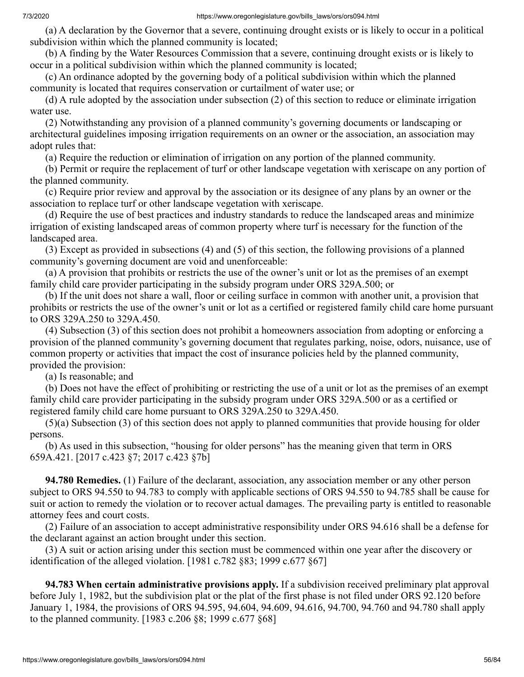(a) A declaration by the Governor that a severe, continuing drought exists or is likely to occur in a political subdivision within which the planned community is located;

 (b) A finding by the Water Resources Commission that a severe, continuing drought exists or is likely to occur in a political subdivision within which the planned community is located;

 (c) An ordinance adopted by the governing body of a political subdivision within which the planned community is located that requires conservation or curtailment of water use; or

 (d) A rule adopted by the association under subsection (2) of this section to reduce or eliminate irrigation water use.

 (2) Notwithstanding any provision of a planned community's governing documents or landscaping or architectural guidelines imposing irrigation requirements on an owner or the association, an association may adopt rules that:

(a) Require the reduction or elimination of irrigation on any portion of the planned community.

 (b) Permit or require the replacement of turf or other landscape vegetation with xeriscape on any portion of the planned community.

 (c) Require prior review and approval by the association or its designee of any plans by an owner or the association to replace turf or other landscape vegetation with xeriscape.

 (d) Require the use of best practices and industry standards to reduce the landscaped areas and minimize irrigation of existing landscaped areas of common property where turf is necessary for the function of the landscaped area.

 (3) Except as provided in subsections (4) and (5) of this section, the following provisions of a planned community's governing document are void and unenforceable:

 (a) A provision that prohibits or restricts the use of the owner's unit or lot as the premises of an exempt family child care provider participating in the subsidy program under ORS 329A.500; or

 (b) If the unit does not share a wall, floor or ceiling surface in common with another unit, a provision that prohibits or restricts the use of the owner's unit or lot as a certified or registered family child care home pursuant to ORS 329A.250 to 329A.450.

 (4) Subsection (3) of this section does not prohibit a homeowners association from adopting or enforcing a provision of the planned community's governing document that regulates parking, noise, odors, nuisance, use of common property or activities that impact the cost of insurance policies held by the planned community, provided the provision:

(a) Is reasonable; and

 (b) Does not have the effect of prohibiting or restricting the use of a unit or lot as the premises of an exempt family child care provider participating in the subsidy program under ORS 329A.500 or as a certified or registered family child care home pursuant to ORS 329A.250 to 329A.450.

 (5)(a) Subsection (3) of this section does not apply to planned communities that provide housing for older persons.

 (b) As used in this subsection, "housing for older persons" has the meaning given that term in ORS 659A.421. [2017 c.423 §7; 2017 c.423 §7b]

 **94.780 Remedies.** (1) Failure of the declarant, association, any association member or any other person subject to ORS 94.550 to 94.783 to comply with applicable sections of ORS 94.550 to 94.785 shall be cause for suit or action to remedy the violation or to recover actual damages. The prevailing party is entitled to reasonable attorney fees and court costs.

 (2) Failure of an association to accept administrative responsibility under ORS 94.616 shall be a defense for the declarant against an action brought under this section.

 (3) A suit or action arising under this section must be commenced within one year after the discovery or identification of the alleged violation. [1981 c.782 §83; 1999 c.677 §67]

 **94.783 When certain administrative provisions apply.** If a subdivision received preliminary plat approval before July 1, 1982, but the subdivision plat or the plat of the first phase is not filed under ORS 92.120 before January 1, 1984, the provisions of ORS 94.595, 94.604, 94.609, 94.616, 94.700, 94.760 and 94.780 shall apply to the planned community. [1983 c.206 §8; 1999 c.677 §68]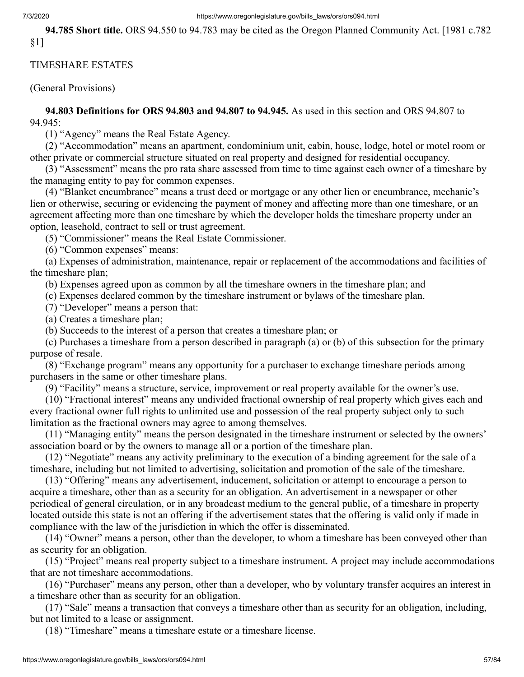### 7/3/2020 https://www.oregonlegislature.gov/bills\_laws/ors/ors094.html

 **94.785 Short title.** ORS 94.550 to 94.783 may be cited as the Oregon Planned Community Act. [1981 c.782 §1]

## TIMESHARE ESTATES

(General Provisions)

 **94.803 Definitions for ORS 94.803 and 94.807 to 94.945.** As used in this section and ORS 94.807 to 94.945:

(1) "Agency" means the Real Estate Agency.

 (2) "Accommodation" means an apartment, condominium unit, cabin, house, lodge, hotel or motel room or other private or commercial structure situated on real property and designed for residential occupancy.

 (3) "Assessment" means the pro rata share assessed from time to time against each owner of a timeshare by the managing entity to pay for common expenses.

 (4) "Blanket encumbrance" means a trust deed or mortgage or any other lien or encumbrance, mechanic's lien or otherwise, securing or evidencing the payment of money and affecting more than one timeshare, or an agreement affecting more than one timeshare by which the developer holds the timeshare property under an option, leasehold, contract to sell or trust agreement.

(5) "Commissioner" means the Real Estate Commissioner.

(6) "Common expenses" means:

 (a) Expenses of administration, maintenance, repair or replacement of the accommodations and facilities of the timeshare plan;

(b) Expenses agreed upon as common by all the timeshare owners in the timeshare plan; and

(c) Expenses declared common by the timeshare instrument or bylaws of the timeshare plan.

(7) "Developer" means a person that:

(a) Creates a timeshare plan;

(b) Succeeds to the interest of a person that creates a timeshare plan; or

 (c) Purchases a timeshare from a person described in paragraph (a) or (b) of this subsection for the primary purpose of resale.

 (8) "Exchange program" means any opportunity for a purchaser to exchange timeshare periods among purchasers in the same or other timeshare plans.

(9) "Facility" means a structure, service, improvement or real property available for the owner's use.

 (10) "Fractional interest" means any undivided fractional ownership of real property which gives each and every fractional owner full rights to unlimited use and possession of the real property subject only to such limitation as the fractional owners may agree to among themselves.

 (11) "Managing entity" means the person designated in the timeshare instrument or selected by the owners' association board or by the owners to manage all or a portion of the timeshare plan.

 (12) "Negotiate" means any activity preliminary to the execution of a binding agreement for the sale of a timeshare, including but not limited to advertising, solicitation and promotion of the sale of the timeshare.

 (13) "Offering" means any advertisement, inducement, solicitation or attempt to encourage a person to acquire a timeshare, other than as a security for an obligation. An advertisement in a newspaper or other periodical of general circulation, or in any broadcast medium to the general public, of a timeshare in property located outside this state is not an offering if the advertisement states that the offering is valid only if made in compliance with the law of the jurisdiction in which the offer is disseminated.

 (14) "Owner" means a person, other than the developer, to whom a timeshare has been conveyed other than as security for an obligation.

 (15) "Project" means real property subject to a timeshare instrument. A project may include accommodations that are not timeshare accommodations.

 (16) "Purchaser" means any person, other than a developer, who by voluntary transfer acquires an interest in a timeshare other than as security for an obligation.

 (17) "Sale" means a transaction that conveys a timeshare other than as security for an obligation, including, but not limited to a lease or assignment.

(18) "Timeshare" means a timeshare estate or a timeshare license.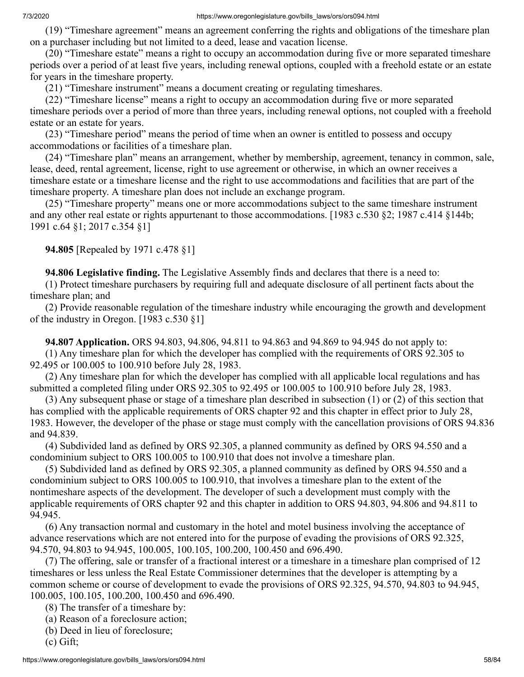(19) "Timeshare agreement" means an agreement conferring the rights and obligations of the timeshare plan on a purchaser including but not limited to a deed, lease and vacation license.

 (20) "Timeshare estate" means a right to occupy an accommodation during five or more separated timeshare periods over a period of at least five years, including renewal options, coupled with a freehold estate or an estate for years in the timeshare property.

(21) "Timeshare instrument" means a document creating or regulating timeshares.

 (22) "Timeshare license" means a right to occupy an accommodation during five or more separated timeshare periods over a period of more than three years, including renewal options, not coupled with a freehold estate or an estate for years.

 (23) "Timeshare period" means the period of time when an owner is entitled to possess and occupy accommodations or facilities of a timeshare plan.

 (24) "Timeshare plan" means an arrangement, whether by membership, agreement, tenancy in common, sale, lease, deed, rental agreement, license, right to use agreement or otherwise, in which an owner receives a timeshare estate or a timeshare license and the right to use accommodations and facilities that are part of the timeshare property. A timeshare plan does not include an exchange program.

 (25) "Timeshare property" means one or more accommodations subject to the same timeshare instrument and any other real estate or rights appurtenant to those accommodations. [1983 c.530 §2; 1987 c.414 §144b; 1991 c.64 §1; 2017 c.354 §1]

 **94.805** [Repealed by 1971 c.478 §1]

 **94.806 Legislative finding.** The Legislative Assembly finds and declares that there is a need to:

 (1) Protect timeshare purchasers by requiring full and adequate disclosure of all pertinent facts about the timeshare plan; and

 (2) Provide reasonable regulation of the timeshare industry while encouraging the growth and development of the industry in Oregon. [1983 c.530 §1]

 **94.807 Application.** ORS 94.803, 94.806, 94.811 to 94.863 and 94.869 to 94.945 do not apply to: (1) Any timeshare plan for which the developer has complied with the requirements of ORS 92.305 to 92.495 or 100.005 to 100.910 before July 28, 1983.

 (2) Any timeshare plan for which the developer has complied with all applicable local regulations and has submitted a completed filing under ORS 92.305 to 92.495 or 100.005 to 100.910 before July 28, 1983.

 (3) Any subsequent phase or stage of a timeshare plan described in subsection (1) or (2) of this section that has complied with the applicable requirements of ORS chapter 92 and this chapter in effect prior to July 28, 1983. However, the developer of the phase or stage must comply with the cancellation provisions of ORS 94.836 and 94.839.

 (4) Subdivided land as defined by ORS 92.305, a planned community as defined by ORS 94.550 and a condominium subject to ORS 100.005 to 100.910 that does not involve a timeshare plan.

 (5) Subdivided land as defined by ORS 92.305, a planned community as defined by ORS 94.550 and a condominium subject to ORS 100.005 to 100.910, that involves a timeshare plan to the extent of the nontimeshare aspects of the development. The developer of such a development must comply with the applicable requirements of ORS chapter 92 and this chapter in addition to ORS 94.803, 94.806 and 94.811 to 94.945.

 (6) Any transaction normal and customary in the hotel and motel business involving the acceptance of advance reservations which are not entered into for the purpose of evading the provisions of ORS 92.325, 94.570, 94.803 to 94.945, 100.005, 100.105, 100.200, 100.450 and 696.490.

 (7) The offering, sale or transfer of a fractional interest or a timeshare in a timeshare plan comprised of 12 timeshares or less unless the Real Estate Commissioner determines that the developer is attempting by a common scheme or course of development to evade the provisions of ORS 92.325, 94.570, 94.803 to 94.945, 100.005, 100.105, 100.200, 100.450 and 696.490.

(8) The transfer of a timeshare by:

- (a) Reason of a foreclosure action;
- (b) Deed in lieu of foreclosure;

(c) Gift;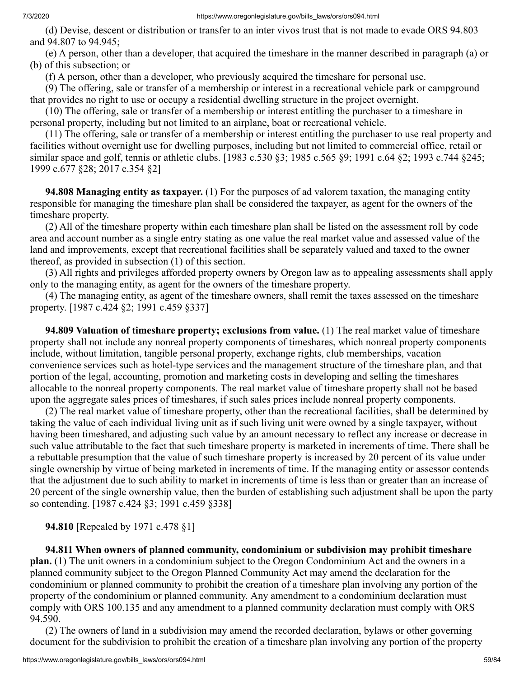(d) Devise, descent or distribution or transfer to an inter vivos trust that is not made to evade ORS 94.803 and 94.807 to 94.945;

 (e) A person, other than a developer, that acquired the timeshare in the manner described in paragraph (a) or (b) of this subsection; or

(f) A person, other than a developer, who previously acquired the timeshare for personal use.

 (9) The offering, sale or transfer of a membership or interest in a recreational vehicle park or campground that provides no right to use or occupy a residential dwelling structure in the project overnight.

 (10) The offering, sale or transfer of a membership or interest entitling the purchaser to a timeshare in personal property, including but not limited to an airplane, boat or recreational vehicle.

 (11) The offering, sale or transfer of a membership or interest entitling the purchaser to use real property and facilities without overnight use for dwelling purposes, including but not limited to commercial office, retail or similar space and golf, tennis or athletic clubs. [1983 c.530 §3; 1985 c.565 §9; 1991 c.64 §2; 1993 c.744 §245; 1999 c.677 §28; 2017 c.354 §2]

 **94.808 Managing entity as taxpayer.** (1) For the purposes of ad valorem taxation, the managing entity responsible for managing the timeshare plan shall be considered the taxpayer, as agent for the owners of the timeshare property.

 (2) All of the timeshare property within each timeshare plan shall be listed on the assessment roll by code area and account number as a single entry stating as one value the real market value and assessed value of the land and improvements, except that recreational facilities shall be separately valued and taxed to the owner thereof, as provided in subsection (1) of this section.

 (3) All rights and privileges afforded property owners by Oregon law as to appealing assessments shall apply only to the managing entity, as agent for the owners of the timeshare property.

 (4) The managing entity, as agent of the timeshare owners, shall remit the taxes assessed on the timeshare property. [1987 c.424 §2; 1991 c.459 §337]

 **94.809 Valuation of timeshare property; exclusions from value.** (1) The real market value of timeshare property shall not include any nonreal property components of timeshares, which nonreal property components include, without limitation, tangible personal property, exchange rights, club memberships, vacation convenience services such as hotel-type services and the management structure of the timeshare plan, and that portion of the legal, accounting, promotion and marketing costs in developing and selling the timeshares allocable to the nonreal property components. The real market value of timeshare property shall not be based upon the aggregate sales prices of timeshares, if such sales prices include nonreal property components.

 (2) The real market value of timeshare property, other than the recreational facilities, shall be determined by taking the value of each individual living unit as if such living unit were owned by a single taxpayer, without having been timeshared, and adjusting such value by an amount necessary to reflect any increase or decrease in such value attributable to the fact that such timeshare property is marketed in increments of time. There shall be a rebuttable presumption that the value of such timeshare property is increased by 20 percent of its value under single ownership by virtue of being marketed in increments of time. If the managing entity or assessor contends that the adjustment due to such ability to market in increments of time is less than or greater than an increase of 20 percent of the single ownership value, then the burden of establishing such adjustment shall be upon the party so contending. [1987 c.424 §3; 1991 c.459 §338]

 **94.810** [Repealed by 1971 c.478 §1]

 **94.811 When owners of planned community, condominium or subdivision may prohibit timeshare plan.** (1) The unit owners in a condominium subject to the Oregon Condominium Act and the owners in a planned community subject to the Oregon Planned Community Act may amend the declaration for the condominium or planned community to prohibit the creation of a timeshare plan involving any portion of the property of the condominium or planned community. Any amendment to a condominium declaration must comply with ORS 100.135 and any amendment to a planned community declaration must comply with ORS 94.590.

 (2) The owners of land in a subdivision may amend the recorded declaration, bylaws or other governing document for the subdivision to prohibit the creation of a timeshare plan involving any portion of the property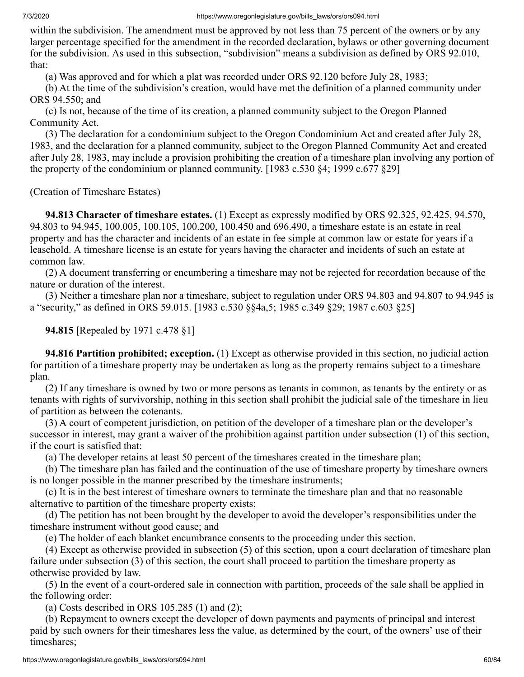within the subdivision. The amendment must be approved by not less than 75 percent of the owners or by any larger percentage specified for the amendment in the recorded declaration, bylaws or other governing document for the subdivision. As used in this subsection, "subdivision" means a subdivision as defined by ORS 92.010, that:

(a) Was approved and for which a plat was recorded under ORS 92.120 before July 28, 1983;

 (b) At the time of the subdivision's creation, would have met the definition of a planned community under ORS 94.550; and

 (c) Is not, because of the time of its creation, a planned community subject to the Oregon Planned Community Act.

 (3) The declaration for a condominium subject to the Oregon Condominium Act and created after July 28, 1983, and the declaration for a planned community, subject to the Oregon Planned Community Act and created after July 28, 1983, may include a provision prohibiting the creation of a timeshare plan involving any portion of the property of the condominium or planned community. [1983 c.530 §4; 1999 c.677 §29]

(Creation of Timeshare Estates)

 **94.813 Character of timeshare estates.** (1) Except as expressly modified by ORS 92.325, 92.425, 94.570, 94.803 to 94.945, 100.005, 100.105, 100.200, 100.450 and 696.490, a timeshare estate is an estate in real property and has the character and incidents of an estate in fee simple at common law or estate for years if a leasehold. A timeshare license is an estate for years having the character and incidents of such an estate at common law.

 (2) A document transferring or encumbering a timeshare may not be rejected for recordation because of the nature or duration of the interest.

 (3) Neither a timeshare plan nor a timeshare, subject to regulation under ORS 94.803 and 94.807 to 94.945 is a "security," as defined in ORS 59.015. [1983 c.530 §§4a,5; 1985 c.349 §29; 1987 c.603 §25]

 **94.815** [Repealed by 1971 c.478 §1]

 **94.816 Partition prohibited; exception.** (1) Except as otherwise provided in this section, no judicial action for partition of a timeshare property may be undertaken as long as the property remains subject to a timeshare plan.

 (2) If any timeshare is owned by two or more persons as tenants in common, as tenants by the entirety or as tenants with rights of survivorship, nothing in this section shall prohibit the judicial sale of the timeshare in lieu of partition as between the cotenants.

 (3) A court of competent jurisdiction, on petition of the developer of a timeshare plan or the developer's successor in interest, may grant a waiver of the prohibition against partition under subsection (1) of this section, if the court is satisfied that:

(a) The developer retains at least 50 percent of the timeshares created in the timeshare plan;

 (b) The timeshare plan has failed and the continuation of the use of timeshare property by timeshare owners is no longer possible in the manner prescribed by the timeshare instruments;

 (c) It is in the best interest of timeshare owners to terminate the timeshare plan and that no reasonable alternative to partition of the timeshare property exists;

 (d) The petition has not been brought by the developer to avoid the developer's responsibilities under the timeshare instrument without good cause; and

(e) The holder of each blanket encumbrance consents to the proceeding under this section.

 (4) Except as otherwise provided in subsection (5) of this section, upon a court declaration of timeshare plan failure under subsection (3) of this section, the court shall proceed to partition the timeshare property as otherwise provided by law.

 (5) In the event of a court-ordered sale in connection with partition, proceeds of the sale shall be applied in the following order:

(a) Costs described in ORS 105.285 (1) and (2);

 (b) Repayment to owners except the developer of down payments and payments of principal and interest paid by such owners for their timeshares less the value, as determined by the court, of the owners' use of their timeshares;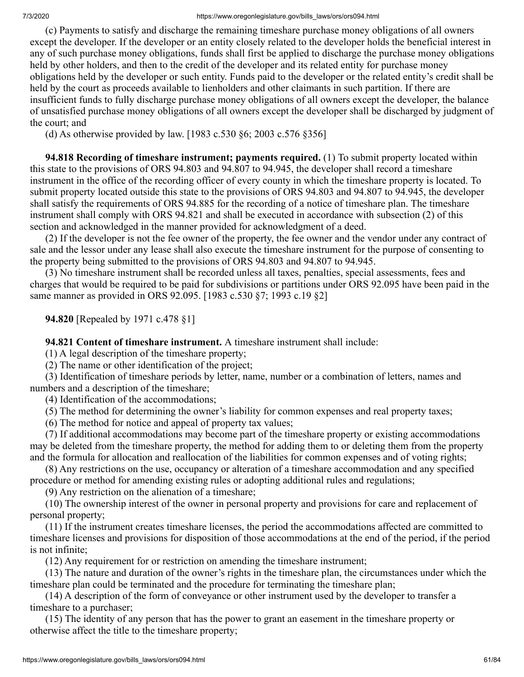(c) Payments to satisfy and discharge the remaining timeshare purchase money obligations of all owners except the developer. If the developer or an entity closely related to the developer holds the beneficial interest in any of such purchase money obligations, funds shall first be applied to discharge the purchase money obligations held by other holders, and then to the credit of the developer and its related entity for purchase money obligations held by the developer or such entity. Funds paid to the developer or the related entity's credit shall be held by the court as proceeds available to lienholders and other claimants in such partition. If there are insufficient funds to fully discharge purchase money obligations of all owners except the developer, the balance of unsatisfied purchase money obligations of all owners except the developer shall be discharged by judgment of the court; and

(d) As otherwise provided by law. [1983 c.530 §6; 2003 c.576 §356]

 **94.818 Recording of timeshare instrument; payments required.** (1) To submit property located within this state to the provisions of ORS 94.803 and 94.807 to 94.945, the developer shall record a timeshare instrument in the office of the recording officer of every county in which the timeshare property is located. To submit property located outside this state to the provisions of ORS 94.803 and 94.807 to 94.945, the developer shall satisfy the requirements of ORS 94.885 for the recording of a notice of timeshare plan. The timeshare instrument shall comply with ORS 94.821 and shall be executed in accordance with subsection (2) of this section and acknowledged in the manner provided for acknowledgment of a deed.

 (2) If the developer is not the fee owner of the property, the fee owner and the vendor under any contract of sale and the lessor under any lease shall also execute the timeshare instrument for the purpose of consenting to the property being submitted to the provisions of ORS 94.803 and 94.807 to 94.945.

 (3) No timeshare instrument shall be recorded unless all taxes, penalties, special assessments, fees and charges that would be required to be paid for subdivisions or partitions under ORS 92.095 have been paid in the same manner as provided in ORS 92.095. [1983 c.530 §7; 1993 c.19 §2]

 **94.820** [Repealed by 1971 c.478 §1]

 **94.821 Content of timeshare instrument.** A timeshare instrument shall include:

(1) A legal description of the timeshare property;

(2) The name or other identification of the project;

 (3) Identification of timeshare periods by letter, name, number or a combination of letters, names and numbers and a description of the timeshare;

(4) Identification of the accommodations;

(5) The method for determining the owner's liability for common expenses and real property taxes;

(6) The method for notice and appeal of property tax values;

 (7) If additional accommodations may become part of the timeshare property or existing accommodations may be deleted from the timeshare property, the method for adding them to or deleting them from the property and the formula for allocation and reallocation of the liabilities for common expenses and of voting rights;

 (8) Any restrictions on the use, occupancy or alteration of a timeshare accommodation and any specified procedure or method for amending existing rules or adopting additional rules and regulations;

(9) Any restriction on the alienation of a timeshare;

 (10) The ownership interest of the owner in personal property and provisions for care and replacement of personal property;

 (11) If the instrument creates timeshare licenses, the period the accommodations affected are committed to timeshare licenses and provisions for disposition of those accommodations at the end of the period, if the period is not infinite;

(12) Any requirement for or restriction on amending the timeshare instrument;

 (13) The nature and duration of the owner's rights in the timeshare plan, the circumstances under which the timeshare plan could be terminated and the procedure for terminating the timeshare plan;

 (14) A description of the form of conveyance or other instrument used by the developer to transfer a timeshare to a purchaser;

 (15) The identity of any person that has the power to grant an easement in the timeshare property or otherwise affect the title to the timeshare property;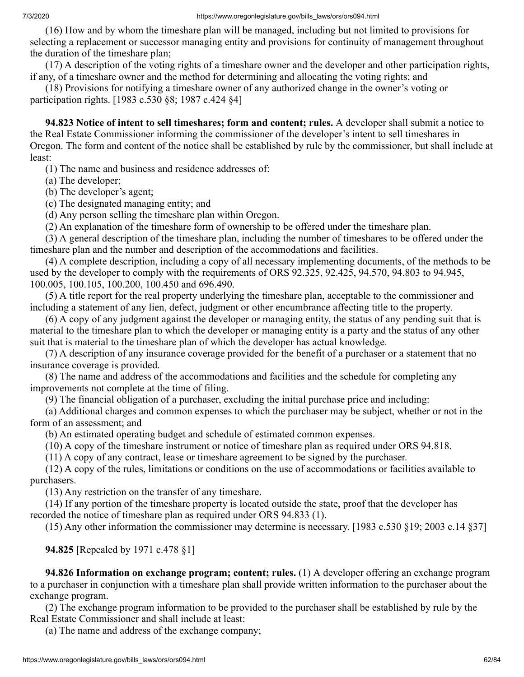(16) How and by whom the timeshare plan will be managed, including but not limited to provisions for selecting a replacement or successor managing entity and provisions for continuity of management throughout the duration of the timeshare plan;

 (17) A description of the voting rights of a timeshare owner and the developer and other participation rights, if any, of a timeshare owner and the method for determining and allocating the voting rights; and

 (18) Provisions for notifying a timeshare owner of any authorized change in the owner's voting or participation rights. [1983 c.530 §8; 1987 c.424 §4]

 **94.823 Notice of intent to sell timeshares; form and content; rules.** A developer shall submit a notice to the Real Estate Commissioner informing the commissioner of the developer's intent to sell timeshares in Oregon. The form and content of the notice shall be established by rule by the commissioner, but shall include at least:

(1) The name and business and residence addresses of:

(a) The developer;

(b) The developer's agent;

(c) The designated managing entity; and

(d) Any person selling the timeshare plan within Oregon.

(2) An explanation of the timeshare form of ownership to be offered under the timeshare plan.

 (3) A general description of the timeshare plan, including the number of timeshares to be offered under the timeshare plan and the number and description of the accommodations and facilities.

 (4) A complete description, including a copy of all necessary implementing documents, of the methods to be used by the developer to comply with the requirements of ORS 92.325, 92.425, 94.570, 94.803 to 94.945, 100.005, 100.105, 100.200, 100.450 and 696.490.

 (5) A title report for the real property underlying the timeshare plan, acceptable to the commissioner and including a statement of any lien, defect, judgment or other encumbrance affecting title to the property.

 (6) A copy of any judgment against the developer or managing entity, the status of any pending suit that is material to the timeshare plan to which the developer or managing entity is a party and the status of any other suit that is material to the timeshare plan of which the developer has actual knowledge.

 (7) A description of any insurance coverage provided for the benefit of a purchaser or a statement that no insurance coverage is provided.

 (8) The name and address of the accommodations and facilities and the schedule for completing any improvements not complete at the time of filing.

(9) The financial obligation of a purchaser, excluding the initial purchase price and including:

 (a) Additional charges and common expenses to which the purchaser may be subject, whether or not in the form of an assessment; and

(b) An estimated operating budget and schedule of estimated common expenses.

(10) A copy of the timeshare instrument or notice of timeshare plan as required under ORS 94.818.

(11) A copy of any contract, lease or timeshare agreement to be signed by the purchaser.

 (12) A copy of the rules, limitations or conditions on the use of accommodations or facilities available to purchasers.

(13) Any restriction on the transfer of any timeshare.

 (14) If any portion of the timeshare property is located outside the state, proof that the developer has recorded the notice of timeshare plan as required under ORS 94.833 (1).

(15) Any other information the commissioner may determine is necessary. [1983 c.530 §19; 2003 c.14 §37]

 **94.825** [Repealed by 1971 c.478 §1]

 **94.826 Information on exchange program; content; rules.** (1) A developer offering an exchange program to a purchaser in conjunction with a timeshare plan shall provide written information to the purchaser about the exchange program.

 (2) The exchange program information to be provided to the purchaser shall be established by rule by the Real Estate Commissioner and shall include at least:

(a) The name and address of the exchange company;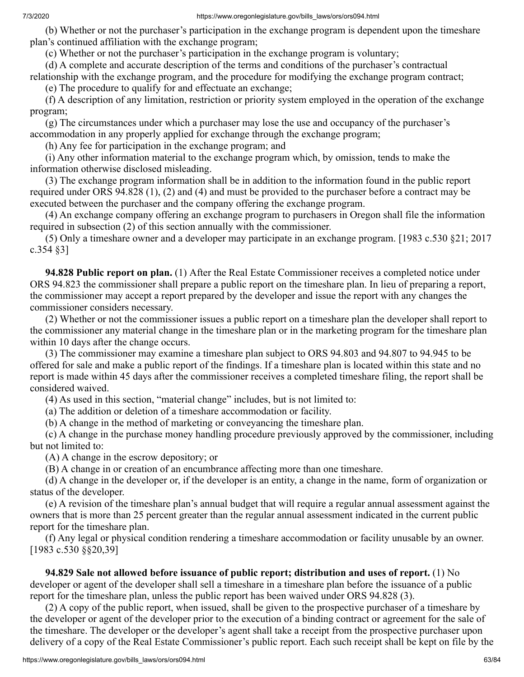(b) Whether or not the purchaser's participation in the exchange program is dependent upon the timeshare plan's continued affiliation with the exchange program;

(c) Whether or not the purchaser's participation in the exchange program is voluntary;

(d) A complete and accurate description of the terms and conditions of the purchaser's contractual

relationship with the exchange program, and the procedure for modifying the exchange program contract;

(e) The procedure to qualify for and effectuate an exchange;

 (f) A description of any limitation, restriction or priority system employed in the operation of the exchange program;

 (g) The circumstances under which a purchaser may lose the use and occupancy of the purchaser's accommodation in any properly applied for exchange through the exchange program;

(h) Any fee for participation in the exchange program; and

 (i) Any other information material to the exchange program which, by omission, tends to make the information otherwise disclosed misleading.

 (3) The exchange program information shall be in addition to the information found in the public report required under ORS 94.828 (1), (2) and (4) and must be provided to the purchaser before a contract may be executed between the purchaser and the company offering the exchange program.

 (4) An exchange company offering an exchange program to purchasers in Oregon shall file the information required in subsection (2) of this section annually with the commissioner.

 (5) Only a timeshare owner and a developer may participate in an exchange program. [1983 c.530 §21; 2017 c.354 §3]

 **94.828 Public report on plan.** (1) After the Real Estate Commissioner receives a completed notice under ORS 94.823 the commissioner shall prepare a public report on the timeshare plan. In lieu of preparing a report, the commissioner may accept a report prepared by the developer and issue the report with any changes the commissioner considers necessary.

 (2) Whether or not the commissioner issues a public report on a timeshare plan the developer shall report to the commissioner any material change in the timeshare plan or in the marketing program for the timeshare plan within 10 days after the change occurs.

 (3) The commissioner may examine a timeshare plan subject to ORS 94.803 and 94.807 to 94.945 to be offered for sale and make a public report of the findings. If a timeshare plan is located within this state and no report is made within 45 days after the commissioner receives a completed timeshare filing, the report shall be considered waived.

(4) As used in this section, "material change" includes, but is not limited to:

(a) The addition or deletion of a timeshare accommodation or facility.

(b) A change in the method of marketing or conveyancing the timeshare plan.

 (c) A change in the purchase money handling procedure previously approved by the commissioner, including but not limited to:

(A) A change in the escrow depository; or

(B) A change in or creation of an encumbrance affecting more than one timeshare.

 (d) A change in the developer or, if the developer is an entity, a change in the name, form of organization or status of the developer.

 (e) A revision of the timeshare plan's annual budget that will require a regular annual assessment against the owners that is more than 25 percent greater than the regular annual assessment indicated in the current public report for the timeshare plan.

 (f) Any legal or physical condition rendering a timeshare accommodation or facility unusable by an owner. [1983 c.530 §§20,39]

 **94.829 Sale not allowed before issuance of public report; distribution and uses of report.** (1) No developer or agent of the developer shall sell a timeshare in a timeshare plan before the issuance of a public report for the timeshare plan, unless the public report has been waived under ORS 94.828 (3).

 (2) A copy of the public report, when issued, shall be given to the prospective purchaser of a timeshare by the developer or agent of the developer prior to the execution of a binding contract or agreement for the sale of the timeshare. The developer or the developer's agent shall take a receipt from the prospective purchaser upon delivery of a copy of the Real Estate Commissioner's public report. Each such receipt shall be kept on file by the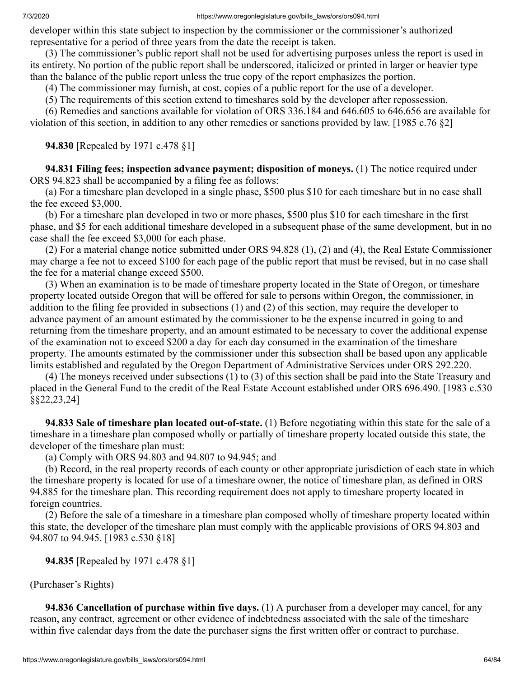developer within this state subject to inspection by the commissioner or the commissioner's authorized representative for a period of three years from the date the receipt is taken.

 (3) The commissioner's public report shall not be used for advertising purposes unless the report is used in its entirety. No portion of the public report shall be underscored, italicized or printed in larger or heavier type than the balance of the public report unless the true copy of the report emphasizes the portion.

(4) The commissioner may furnish, at cost, copies of a public report for the use of a developer.

(5) The requirements of this section extend to timeshares sold by the developer after repossession.

 (6) Remedies and sanctions available for violation of ORS 336.184 and 646.605 to 646.656 are available for violation of this section, in addition to any other remedies or sanctions provided by law. [1985 c.76 §2]

### **94.830** [Repealed by 1971 c.478 §1]

 **94.831 Filing fees; inspection advance payment; disposition of moneys.** (1) The notice required under ORS 94.823 shall be accompanied by a filing fee as follows:

 (a) For a timeshare plan developed in a single phase, \$500 plus \$10 for each timeshare but in no case shall the fee exceed \$3,000.

 (b) For a timeshare plan developed in two or more phases, \$500 plus \$10 for each timeshare in the first phase, and \$5 for each additional timeshare developed in a subsequent phase of the same development, but in no case shall the fee exceed \$3,000 for each phase.

 (2) For a material change notice submitted under ORS 94.828 (1), (2) and (4), the Real Estate Commissioner may charge a fee not to exceed \$100 for each page of the public report that must be revised, but in no case shall the fee for a material change exceed \$500.

 (3) When an examination is to be made of timeshare property located in the State of Oregon, or timeshare property located outside Oregon that will be offered for sale to persons within Oregon, the commissioner, in addition to the filing fee provided in subsections (1) and (2) of this section, may require the developer to advance payment of an amount estimated by the commissioner to be the expense incurred in going to and returning from the timeshare property, and an amount estimated to be necessary to cover the additional expense of the examination not to exceed \$200 a day for each day consumed in the examination of the timeshare property. The amounts estimated by the commissioner under this subsection shall be based upon any applicable limits established and regulated by the Oregon Department of Administrative Services under ORS 292.220.

 (4) The moneys received under subsections (1) to (3) of this section shall be paid into the State Treasury and placed in the General Fund to the credit of the Real Estate Account established under ORS 696.490. [1983 c.530 §§22,23,24]

 **94.833 Sale of timeshare plan located out-of-state.** (1) Before negotiating within this state for the sale of a timeshare in a timeshare plan composed wholly or partially of timeshare property located outside this state, the developer of the timeshare plan must:

(a) Comply with ORS 94.803 and 94.807 to 94.945; and

 (b) Record, in the real property records of each county or other appropriate jurisdiction of each state in which the timeshare property is located for use of a timeshare owner, the notice of timeshare plan, as defined in ORS 94.885 for the timeshare plan. This recording requirement does not apply to timeshare property located in foreign countries.

 (2) Before the sale of a timeshare in a timeshare plan composed wholly of timeshare property located within this state, the developer of the timeshare plan must comply with the applicable provisions of ORS 94.803 and 94.807 to 94.945. [1983 c.530 §18]

### **94.835** [Repealed by 1971 c.478 §1]

(Purchaser's Rights)

 **94.836 Cancellation of purchase within five days.** (1) A purchaser from a developer may cancel, for any reason, any contract, agreement or other evidence of indebtedness associated with the sale of the timeshare within five calendar days from the date the purchaser signs the first written offer or contract to purchase.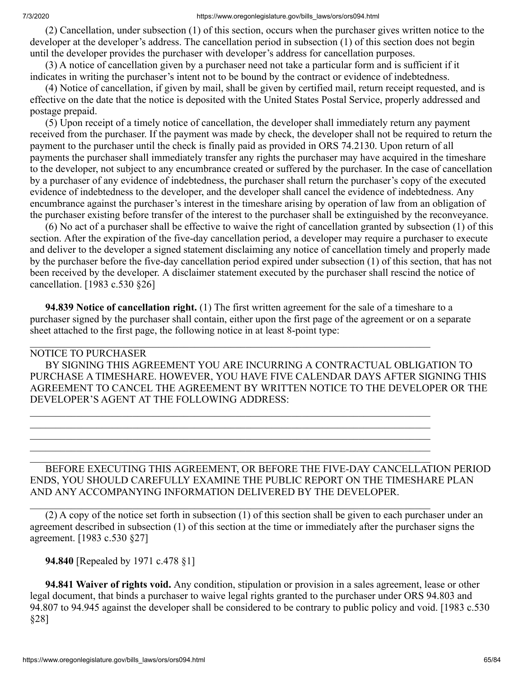(2) Cancellation, under subsection (1) of this section, occurs when the purchaser gives written notice to the developer at the developer's address. The cancellation period in subsection (1) of this section does not begin until the developer provides the purchaser with developer's address for cancellation purposes.

 (3) A notice of cancellation given by a purchaser need not take a particular form and is sufficient if it indicates in writing the purchaser's intent not to be bound by the contract or evidence of indebtedness.

 (4) Notice of cancellation, if given by mail, shall be given by certified mail, return receipt requested, and is effective on the date that the notice is deposited with the United States Postal Service, properly addressed and postage prepaid.

 (5) Upon receipt of a timely notice of cancellation, the developer shall immediately return any payment received from the purchaser. If the payment was made by check, the developer shall not be required to return the payment to the purchaser until the check is finally paid as provided in ORS 74.2130. Upon return of all payments the purchaser shall immediately transfer any rights the purchaser may have acquired in the timeshare to the developer, not subject to any encumbrance created or suffered by the purchaser. In the case of cancellation by a purchaser of any evidence of indebtedness, the purchaser shall return the purchaser's copy of the executed evidence of indebtedness to the developer, and the developer shall cancel the evidence of indebtedness. Any encumbrance against the purchaser's interest in the timeshare arising by operation of law from an obligation of the purchaser existing before transfer of the interest to the purchaser shall be extinguished by the reconveyance.

 (6) No act of a purchaser shall be effective to waive the right of cancellation granted by subsection (1) of this section. After the expiration of the five-day cancellation period, a developer may require a purchaser to execute and deliver to the developer a signed statement disclaiming any notice of cancellation timely and properly made by the purchaser before the five-day cancellation period expired under subsection (1) of this section, that has not been received by the developer. A disclaimer statement executed by the purchaser shall rescind the notice of cancellation. [1983 c.530 §26]

 **94.839 Notice of cancellation right.** (1) The first written agreement for the sale of a timeshare to a purchaser signed by the purchaser shall contain, either upon the first page of the agreement or on a separate sheet attached to the first page, the following notice in at least 8-point type:

 $\_$  , and the contribution of the contribution of the contribution of the contribution of  $\mathcal{L}_\text{max}$ 

 $\_$  , and the contribution of the contribution of the contribution of the contribution of  $\mathcal{L}_\text{max}$  $\_$  , and the contribution of the contribution of the contribution of the contribution of  $\mathcal{L}_\text{max}$  $\_$  , and the contribution of the contribution of the contribution of the contribution of  $\mathcal{L}_\text{max}$  $\_$  , and the contribution of the contribution of the contribution of the contribution of  $\mathcal{L}_\text{max}$  $\_$  , and the contribution of the contribution of the contribution of the contribution of  $\mathcal{L}_\text{max}$ 

 $\_$  , and the contribution of the contribution of the contribution of the contribution of  $\mathcal{L}_\text{max}$ 

## NOTICE TO PURCHASER

 BY SIGNING THIS AGREEMENT YOU ARE INCURRING A CONTRACTUAL OBLIGATION TO PURCHASE A TIMESHARE. HOWEVER, YOU HAVE FIVE CALENDAR DAYS AFTER SIGNING THIS AGREEMENT TO CANCEL THE AGREEMENT BY WRITTEN NOTICE TO THE DEVELOPER OR THE DEVELOPER'S AGENT AT THE FOLLOWING ADDRESS:

## BEFORE EXECUTING THIS AGREEMENT, OR BEFORE THE FIVE-DAY CANCELLATION PERIOD ENDS, YOU SHOULD CAREFULLY EXAMINE THE PUBLIC REPORT ON THE TIMESHARE PLAN AND ANY ACCOMPANYING INFORMATION DELIVERED BY THE DEVELOPER.

 (2) A copy of the notice set forth in subsection (1) of this section shall be given to each purchaser under an agreement described in subsection (1) of this section at the time or immediately after the purchaser signs the agreement. [1983 c.530 §27]

 **94.840** [Repealed by 1971 c.478 §1]

 **94.841 Waiver of rights void.** Any condition, stipulation or provision in a sales agreement, lease or other legal document, that binds a purchaser to waive legal rights granted to the purchaser under ORS 94.803 and 94.807 to 94.945 against the developer shall be considered to be contrary to public policy and void. [1983 c.530 §28]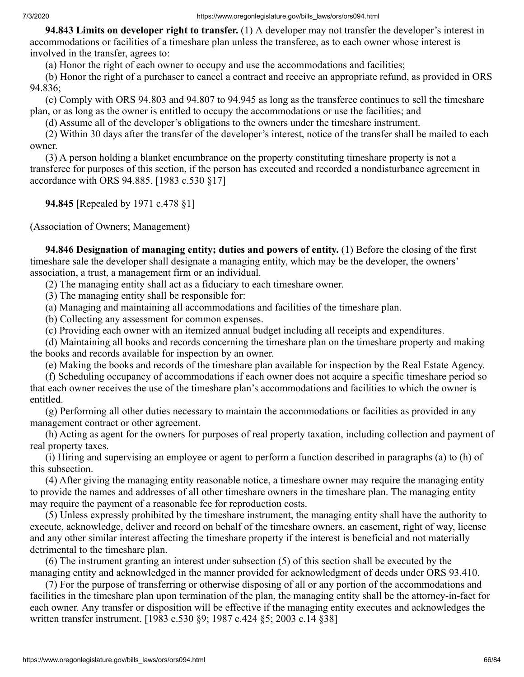**94.843 Limits on developer right to transfer.** (1) A developer may not transfer the developer's interest in accommodations or facilities of a timeshare plan unless the transferee, as to each owner whose interest is involved in the transfer, agrees to:

(a) Honor the right of each owner to occupy and use the accommodations and facilities;

 (b) Honor the right of a purchaser to cancel a contract and receive an appropriate refund, as provided in ORS 94.836;

 (c) Comply with ORS 94.803 and 94.807 to 94.945 as long as the transferee continues to sell the timeshare plan, or as long as the owner is entitled to occupy the accommodations or use the facilities; and

(d) Assume all of the developer's obligations to the owners under the timeshare instrument.

 (2) Within 30 days after the transfer of the developer's interest, notice of the transfer shall be mailed to each owner.

 (3) A person holding a blanket encumbrance on the property constituting timeshare property is not a transferee for purposes of this section, if the person has executed and recorded a nondisturbance agreement in accordance with ORS 94.885. [1983 c.530 §17]

 **94.845** [Repealed by 1971 c.478 §1]

(Association of Owners; Management)

 **94.846 Designation of managing entity; duties and powers of entity.** (1) Before the closing of the first timeshare sale the developer shall designate a managing entity, which may be the developer, the owners' association, a trust, a management firm or an individual.

(2) The managing entity shall act as a fiduciary to each timeshare owner.

(3) The managing entity shall be responsible for:

(a) Managing and maintaining all accommodations and facilities of the timeshare plan.

(b) Collecting any assessment for common expenses.

(c) Providing each owner with an itemized annual budget including all receipts and expenditures.

 (d) Maintaining all books and records concerning the timeshare plan on the timeshare property and making the books and records available for inspection by an owner.

(e) Making the books and records of the timeshare plan available for inspection by the Real Estate Agency.

 (f) Scheduling occupancy of accommodations if each owner does not acquire a specific timeshare period so that each owner receives the use of the timeshare plan's accommodations and facilities to which the owner is entitled.

 (g) Performing all other duties necessary to maintain the accommodations or facilities as provided in any management contract or other agreement.

 (h) Acting as agent for the owners for purposes of real property taxation, including collection and payment of real property taxes.

 (i) Hiring and supervising an employee or agent to perform a function described in paragraphs (a) to (h) of this subsection.

 (4) After giving the managing entity reasonable notice, a timeshare owner may require the managing entity to provide the names and addresses of all other timeshare owners in the timeshare plan. The managing entity may require the payment of a reasonable fee for reproduction costs.

 (5) Unless expressly prohibited by the timeshare instrument, the managing entity shall have the authority to execute, acknowledge, deliver and record on behalf of the timeshare owners, an easement, right of way, license and any other similar interest affecting the timeshare property if the interest is beneficial and not materially detrimental to the timeshare plan.

 (6) The instrument granting an interest under subsection (5) of this section shall be executed by the managing entity and acknowledged in the manner provided for acknowledgment of deeds under ORS 93.410.

 (7) For the purpose of transferring or otherwise disposing of all or any portion of the accommodations and facilities in the timeshare plan upon termination of the plan, the managing entity shall be the attorney-in-fact for each owner. Any transfer or disposition will be effective if the managing entity executes and acknowledges the written transfer instrument. [1983 c.530 §9; 1987 c.424 §5; 2003 c.14 §38]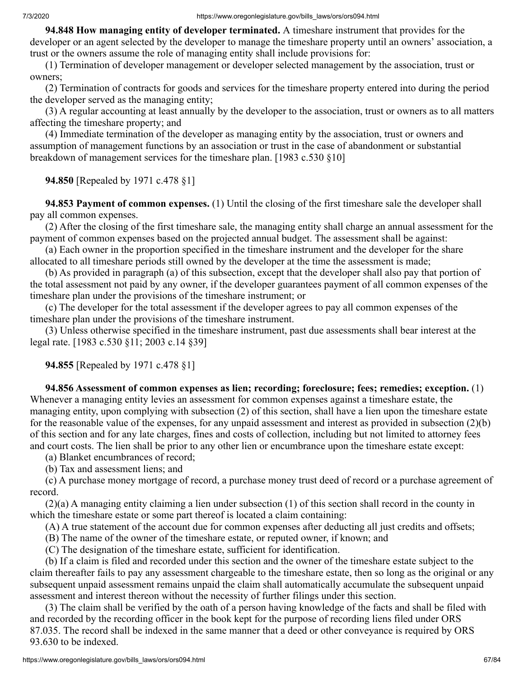**94.848 How managing entity of developer terminated.** A timeshare instrument that provides for the developer or an agent selected by the developer to manage the timeshare property until an owners' association, a trust or the owners assume the role of managing entity shall include provisions for:

 (1) Termination of developer management or developer selected management by the association, trust or owners;

 (2) Termination of contracts for goods and services for the timeshare property entered into during the period the developer served as the managing entity;

 (3) A regular accounting at least annually by the developer to the association, trust or owners as to all matters affecting the timeshare property; and

 (4) Immediate termination of the developer as managing entity by the association, trust or owners and assumption of management functions by an association or trust in the case of abandonment or substantial breakdown of management services for the timeshare plan. [1983 c.530 §10]

 **94.850** [Repealed by 1971 c.478 §1]

 **94.853 Payment of common expenses.** (1) Until the closing of the first timeshare sale the developer shall pay all common expenses.

 (2) After the closing of the first timeshare sale, the managing entity shall charge an annual assessment for the payment of common expenses based on the projected annual budget. The assessment shall be against:

 (a) Each owner in the proportion specified in the timeshare instrument and the developer for the share allocated to all timeshare periods still owned by the developer at the time the assessment is made;

 (b) As provided in paragraph (a) of this subsection, except that the developer shall also pay that portion of the total assessment not paid by any owner, if the developer guarantees payment of all common expenses of the timeshare plan under the provisions of the timeshare instrument; or

 (c) The developer for the total assessment if the developer agrees to pay all common expenses of the timeshare plan under the provisions of the timeshare instrument.

 (3) Unless otherwise specified in the timeshare instrument, past due assessments shall bear interest at the legal rate. [1983 c.530 §11; 2003 c.14 §39]

 **94.855** [Repealed by 1971 c.478 §1]

 **94.856 Assessment of common expenses as lien; recording; foreclosure; fees; remedies; exception.** (1) Whenever a managing entity levies an assessment for common expenses against a timeshare estate, the managing entity, upon complying with subsection (2) of this section, shall have a lien upon the timeshare estate for the reasonable value of the expenses, for any unpaid assessment and interest as provided in subsection (2)(b) of this section and for any late charges, fines and costs of collection, including but not limited to attorney fees and court costs. The lien shall be prior to any other lien or encumbrance upon the timeshare estate except:

(a) Blanket encumbrances of record;

(b) Tax and assessment liens; and

 (c) A purchase money mortgage of record, a purchase money trust deed of record or a purchase agreement of record.

 (2)(a) A managing entity claiming a lien under subsection (1) of this section shall record in the county in which the timeshare estate or some part thereof is located a claim containing:

(A) A true statement of the account due for common expenses after deducting all just credits and offsets;

(B) The name of the owner of the timeshare estate, or reputed owner, if known; and

(C) The designation of the timeshare estate, sufficient for identification.

 (b) If a claim is filed and recorded under this section and the owner of the timeshare estate subject to the claim thereafter fails to pay any assessment chargeable to the timeshare estate, then so long as the original or any subsequent unpaid assessment remains unpaid the claim shall automatically accumulate the subsequent unpaid assessment and interest thereon without the necessity of further filings under this section.

 (3) The claim shall be verified by the oath of a person having knowledge of the facts and shall be filed with and recorded by the recording officer in the book kept for the purpose of recording liens filed under ORS 87.035. The record shall be indexed in the same manner that a deed or other conveyance is required by ORS 93.630 to be indexed.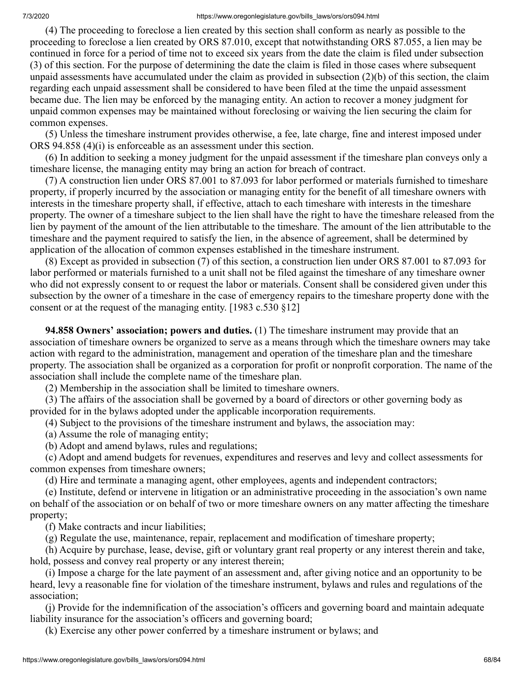(4) The proceeding to foreclose a lien created by this section shall conform as nearly as possible to the proceeding to foreclose a lien created by ORS 87.010, except that notwithstanding ORS 87.055, a lien may be continued in force for a period of time not to exceed six years from the date the claim is filed under subsection (3) of this section. For the purpose of determining the date the claim is filed in those cases where subsequent unpaid assessments have accumulated under the claim as provided in subsection (2)(b) of this section, the claim regarding each unpaid assessment shall be considered to have been filed at the time the unpaid assessment became due. The lien may be enforced by the managing entity. An action to recover a money judgment for unpaid common expenses may be maintained without foreclosing or waiving the lien securing the claim for common expenses.

 (5) Unless the timeshare instrument provides otherwise, a fee, late charge, fine and interest imposed under ORS 94.858 (4)(i) is enforceable as an assessment under this section.

 (6) In addition to seeking a money judgment for the unpaid assessment if the timeshare plan conveys only a timeshare license, the managing entity may bring an action for breach of contract.

 (7) A construction lien under ORS 87.001 to 87.093 for labor performed or materials furnished to timeshare property, if properly incurred by the association or managing entity for the benefit of all timeshare owners with interests in the timeshare property shall, if effective, attach to each timeshare with interests in the timeshare property. The owner of a timeshare subject to the lien shall have the right to have the timeshare released from the lien by payment of the amount of the lien attributable to the timeshare. The amount of the lien attributable to the timeshare and the payment required to satisfy the lien, in the absence of agreement, shall be determined by application of the allocation of common expenses established in the timeshare instrument.

 (8) Except as provided in subsection (7) of this section, a construction lien under ORS 87.001 to 87.093 for labor performed or materials furnished to a unit shall not be filed against the timeshare of any timeshare owner who did not expressly consent to or request the labor or materials. Consent shall be considered given under this subsection by the owner of a timeshare in the case of emergency repairs to the timeshare property done with the consent or at the request of the managing entity. [1983 c.530 §12]

 **94.858 Owners' association; powers and duties.** (1) The timeshare instrument may provide that an association of timeshare owners be organized to serve as a means through which the timeshare owners may take action with regard to the administration, management and operation of the timeshare plan and the timeshare property. The association shall be organized as a corporation for profit or nonprofit corporation. The name of the association shall include the complete name of the timeshare plan.

(2) Membership in the association shall be limited to timeshare owners.

 (3) The affairs of the association shall be governed by a board of directors or other governing body as provided for in the bylaws adopted under the applicable incorporation requirements.

(4) Subject to the provisions of the timeshare instrument and bylaws, the association may:

(a) Assume the role of managing entity;

(b) Adopt and amend bylaws, rules and regulations;

 (c) Adopt and amend budgets for revenues, expenditures and reserves and levy and collect assessments for common expenses from timeshare owners;

(d) Hire and terminate a managing agent, other employees, agents and independent contractors;

 (e) Institute, defend or intervene in litigation or an administrative proceeding in the association's own name on behalf of the association or on behalf of two or more timeshare owners on any matter affecting the timeshare property;

(f) Make contracts and incur liabilities;

(g) Regulate the use, maintenance, repair, replacement and modification of timeshare property;

 (h) Acquire by purchase, lease, devise, gift or voluntary grant real property or any interest therein and take, hold, possess and convey real property or any interest therein;

 (i) Impose a charge for the late payment of an assessment and, after giving notice and an opportunity to be heard, levy a reasonable fine for violation of the timeshare instrument, bylaws and rules and regulations of the association;

 (j) Provide for the indemnification of the association's officers and governing board and maintain adequate liability insurance for the association's officers and governing board;

(k) Exercise any other power conferred by a timeshare instrument or bylaws; and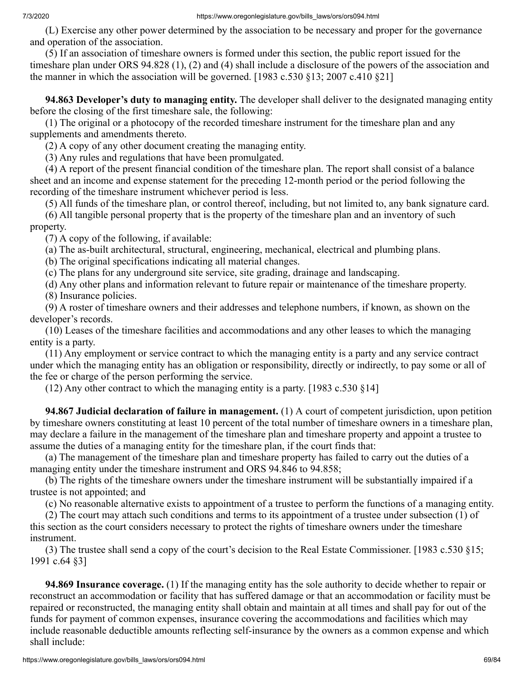(L) Exercise any other power determined by the association to be necessary and proper for the governance and operation of the association.

 (5) If an association of timeshare owners is formed under this section, the public report issued for the timeshare plan under ORS 94.828 (1), (2) and (4) shall include a disclosure of the powers of the association and the manner in which the association will be governed. [1983 c.530 §13; 2007 c.410 §21]

 **94.863 Developer's duty to managing entity.** The developer shall deliver to the designated managing entity before the closing of the first timeshare sale, the following:

 (1) The original or a photocopy of the recorded timeshare instrument for the timeshare plan and any supplements and amendments thereto.

(2) A copy of any other document creating the managing entity.

(3) Any rules and regulations that have been promulgated.

 (4) A report of the present financial condition of the timeshare plan. The report shall consist of a balance sheet and an income and expense statement for the preceding 12-month period or the period following the recording of the timeshare instrument whichever period is less.

(5) All funds of the timeshare plan, or control thereof, including, but not limited to, any bank signature card.

 (6) All tangible personal property that is the property of the timeshare plan and an inventory of such property.

(7) A copy of the following, if available:

(a) The as-built architectural, structural, engineering, mechanical, electrical and plumbing plans.

(b) The original specifications indicating all material changes.

(c) The plans for any underground site service, site grading, drainage and landscaping.

(d) Any other plans and information relevant to future repair or maintenance of the timeshare property.

(8) Insurance policies.

 (9) A roster of timeshare owners and their addresses and telephone numbers, if known, as shown on the developer's records.

 (10) Leases of the timeshare facilities and accommodations and any other leases to which the managing entity is a party.

 (11) Any employment or service contract to which the managing entity is a party and any service contract under which the managing entity has an obligation or responsibility, directly or indirectly, to pay some or all of the fee or charge of the person performing the service.

(12) Any other contract to which the managing entity is a party. [1983 c.530 §14]

 **94.867 Judicial declaration of failure in management.** (1) A court of competent jurisdiction, upon petition by timeshare owners constituting at least 10 percent of the total number of timeshare owners in a timeshare plan, may declare a failure in the management of the timeshare plan and timeshare property and appoint a trustee to assume the duties of a managing entity for the timeshare plan, if the court finds that:

 (a) The management of the timeshare plan and timeshare property has failed to carry out the duties of a managing entity under the timeshare instrument and ORS 94.846 to 94.858;

 (b) The rights of the timeshare owners under the timeshare instrument will be substantially impaired if a trustee is not appointed; and

(c) No reasonable alternative exists to appointment of a trustee to perform the functions of a managing entity.

 (2) The court may attach such conditions and terms to its appointment of a trustee under subsection (1) of this section as the court considers necessary to protect the rights of timeshare owners under the timeshare instrument.

 (3) The trustee shall send a copy of the court's decision to the Real Estate Commissioner. [1983 c.530 §15; 1991 c.64 §3]

 **94.869 Insurance coverage.** (1) If the managing entity has the sole authority to decide whether to repair or reconstruct an accommodation or facility that has suffered damage or that an accommodation or facility must be repaired or reconstructed, the managing entity shall obtain and maintain at all times and shall pay for out of the funds for payment of common expenses, insurance covering the accommodations and facilities which may include reasonable deductible amounts reflecting self-insurance by the owners as a common expense and which shall include: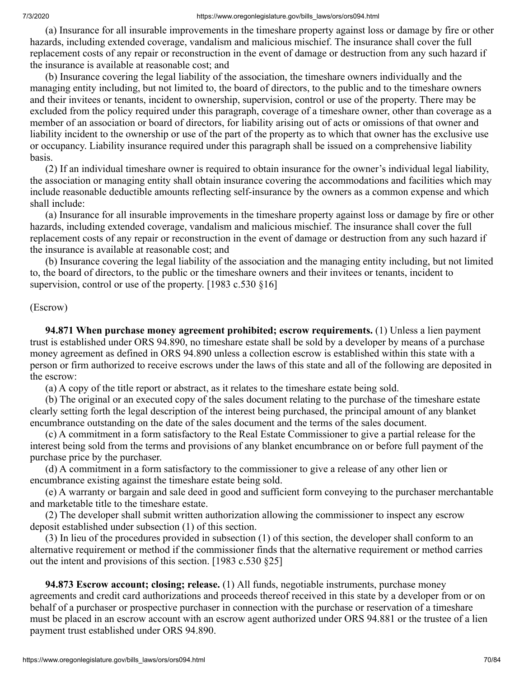(a) Insurance for all insurable improvements in the timeshare property against loss or damage by fire or other hazards, including extended coverage, vandalism and malicious mischief. The insurance shall cover the full replacement costs of any repair or reconstruction in the event of damage or destruction from any such hazard if the insurance is available at reasonable cost; and

 (b) Insurance covering the legal liability of the association, the timeshare owners individually and the managing entity including, but not limited to, the board of directors, to the public and to the timeshare owners and their invitees or tenants, incident to ownership, supervision, control or use of the property. There may be excluded from the policy required under this paragraph, coverage of a timeshare owner, other than coverage as a member of an association or board of directors, for liability arising out of acts or omissions of that owner and liability incident to the ownership or use of the part of the property as to which that owner has the exclusive use or occupancy. Liability insurance required under this paragraph shall be issued on a comprehensive liability basis.

 (2) If an individual timeshare owner is required to obtain insurance for the owner's individual legal liability, the association or managing entity shall obtain insurance covering the accommodations and facilities which may include reasonable deductible amounts reflecting self-insurance by the owners as a common expense and which shall include:

 (a) Insurance for all insurable improvements in the timeshare property against loss or damage by fire or other hazards, including extended coverage, vandalism and malicious mischief. The insurance shall cover the full replacement costs of any repair or reconstruction in the event of damage or destruction from any such hazard if the insurance is available at reasonable cost; and

 (b) Insurance covering the legal liability of the association and the managing entity including, but not limited to, the board of directors, to the public or the timeshare owners and their invitees or tenants, incident to supervision, control or use of the property. [1983 c.530 §16]

## (Escrow)

 **94.871 When purchase money agreement prohibited; escrow requirements.** (1) Unless a lien payment trust is established under ORS 94.890, no timeshare estate shall be sold by a developer by means of a purchase money agreement as defined in ORS 94.890 unless a collection escrow is established within this state with a person or firm authorized to receive escrows under the laws of this state and all of the following are deposited in the escrow:

(a) A copy of the title report or abstract, as it relates to the timeshare estate being sold.

 (b) The original or an executed copy of the sales document relating to the purchase of the timeshare estate clearly setting forth the legal description of the interest being purchased, the principal amount of any blanket encumbrance outstanding on the date of the sales document and the terms of the sales document.

 (c) A commitment in a form satisfactory to the Real Estate Commissioner to give a partial release for the interest being sold from the terms and provisions of any blanket encumbrance on or before full payment of the purchase price by the purchaser.

 (d) A commitment in a form satisfactory to the commissioner to give a release of any other lien or encumbrance existing against the timeshare estate being sold.

 (e) A warranty or bargain and sale deed in good and sufficient form conveying to the purchaser merchantable and marketable title to the timeshare estate.

 (2) The developer shall submit written authorization allowing the commissioner to inspect any escrow deposit established under subsection (1) of this section.

 (3) In lieu of the procedures provided in subsection (1) of this section, the developer shall conform to an alternative requirement or method if the commissioner finds that the alternative requirement or method carries out the intent and provisions of this section. [1983 c.530 §25]

 **94.873 Escrow account; closing; release.** (1) All funds, negotiable instruments, purchase money agreements and credit card authorizations and proceeds thereof received in this state by a developer from or on behalf of a purchaser or prospective purchaser in connection with the purchase or reservation of a timeshare must be placed in an escrow account with an escrow agent authorized under ORS 94.881 or the trustee of a lien payment trust established under ORS 94.890.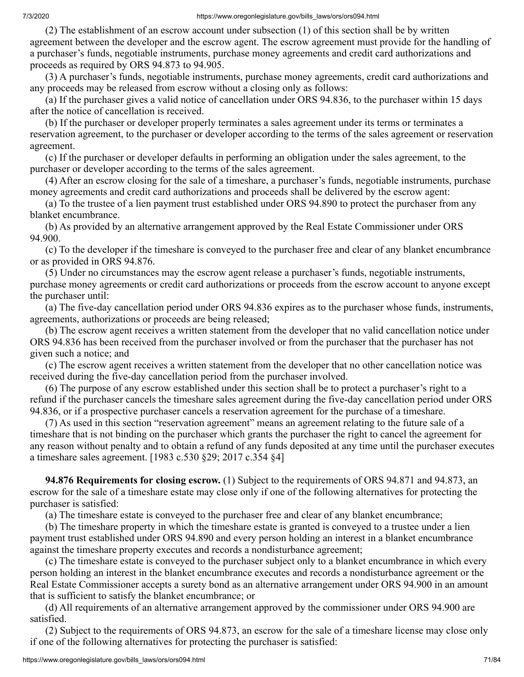(2) The establishment of an escrow account under subsection (1) of this section shall be by written agreement between the developer and the escrow agent. The escrow agreement must provide for the handling of a purchaser's funds, negotiable instruments, purchase money agreements and credit card authorizations and proceeds as required by ORS 94.873 to 94.905.

 (3) A purchaser's funds, negotiable instruments, purchase money agreements, credit card authorizations and any proceeds may be released from escrow without a closing only as follows:

 (a) If the purchaser gives a valid notice of cancellation under ORS 94.836, to the purchaser within 15 days after the notice of cancellation is received.

 (b) If the purchaser or developer properly terminates a sales agreement under its terms or terminates a reservation agreement, to the purchaser or developer according to the terms of the sales agreement or reservation agreement.

 (c) If the purchaser or developer defaults in performing an obligation under the sales agreement, to the purchaser or developer according to the terms of the sales agreement.

 (4) After an escrow closing for the sale of a timeshare, a purchaser's funds, negotiable instruments, purchase money agreements and credit card authorizations and proceeds shall be delivered by the escrow agent:

 (a) To the trustee of a lien payment trust established under ORS 94.890 to protect the purchaser from any blanket encumbrance.

 (b) As provided by an alternative arrangement approved by the Real Estate Commissioner under ORS 94.900.

 (c) To the developer if the timeshare is conveyed to the purchaser free and clear of any blanket encumbrance or as provided in ORS 94.876.

 (5) Under no circumstances may the escrow agent release a purchaser's funds, negotiable instruments, purchase money agreements or credit card authorizations or proceeds from the escrow account to anyone except the purchaser until:

 (a) The five-day cancellation period under ORS 94.836 expires as to the purchaser whose funds, instruments, agreements, authorizations or proceeds are being released;

 (b) The escrow agent receives a written statement from the developer that no valid cancellation notice under ORS 94.836 has been received from the purchaser involved or from the purchaser that the purchaser has not given such a notice; and

 (c) The escrow agent receives a written statement from the developer that no other cancellation notice was received during the five-day cancellation period from the purchaser involved.

 (6) The purpose of any escrow established under this section shall be to protect a purchaser's right to a refund if the purchaser cancels the timeshare sales agreement during the five-day cancellation period under ORS 94.836, or if a prospective purchaser cancels a reservation agreement for the purchase of a timeshare.

 (7) As used in this section "reservation agreement" means an agreement relating to the future sale of a timeshare that is not binding on the purchaser which grants the purchaser the right to cancel the agreement for any reason without penalty and to obtain a refund of any funds deposited at any time until the purchaser executes a timeshare sales agreement. [1983 c.530 §29; 2017 c.354 §4]

 **94.876 Requirements for closing escrow.** (1) Subject to the requirements of ORS 94.871 and 94.873, an escrow for the sale of a timeshare estate may close only if one of the following alternatives for protecting the purchaser is satisfied:

(a) The timeshare estate is conveyed to the purchaser free and clear of any blanket encumbrance;

 (b) The timeshare property in which the timeshare estate is granted is conveyed to a trustee under a lien payment trust established under ORS 94.890 and every person holding an interest in a blanket encumbrance against the timeshare property executes and records a nondisturbance agreement;

 (c) The timeshare estate is conveyed to the purchaser subject only to a blanket encumbrance in which every person holding an interest in the blanket encumbrance executes and records a nondisturbance agreement or the Real Estate Commissioner accepts a surety bond as an alternative arrangement under ORS 94.900 in an amount that is sufficient to satisfy the blanket encumbrance; or

 (d) All requirements of an alternative arrangement approved by the commissioner under ORS 94.900 are satisfied.

 (2) Subject to the requirements of ORS 94.873, an escrow for the sale of a timeshare license may close only if one of the following alternatives for protecting the purchaser is satisfied: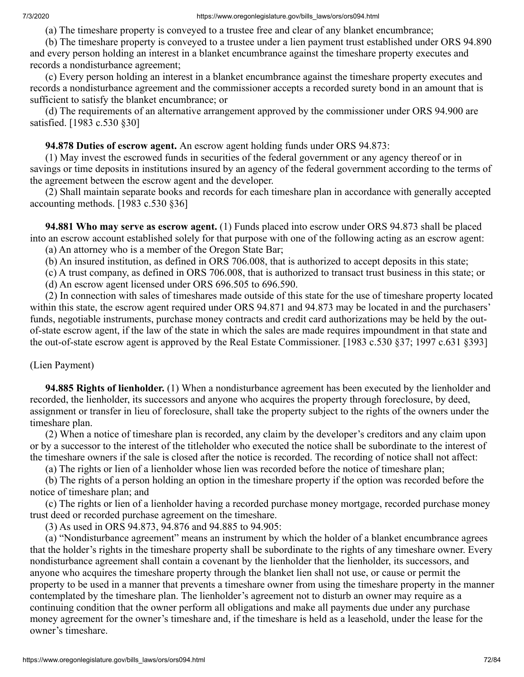(a) The timeshare property is conveyed to a trustee free and clear of any blanket encumbrance;

 (b) The timeshare property is conveyed to a trustee under a lien payment trust established under ORS 94.890 and every person holding an interest in a blanket encumbrance against the timeshare property executes and records a nondisturbance agreement;

 (c) Every person holding an interest in a blanket encumbrance against the timeshare property executes and records a nondisturbance agreement and the commissioner accepts a recorded surety bond in an amount that is sufficient to satisfy the blanket encumbrance; or

 (d) The requirements of an alternative arrangement approved by the commissioner under ORS 94.900 are satisfied. [1983 c.530 §30]

# **94.878 Duties of escrow agent.** An escrow agent holding funds under ORS 94.873:

 (1) May invest the escrowed funds in securities of the federal government or any agency thereof or in savings or time deposits in institutions insured by an agency of the federal government according to the terms of the agreement between the escrow agent and the developer.

 (2) Shall maintain separate books and records for each timeshare plan in accordance with generally accepted accounting methods. [1983 c.530 §36]

 **94.881 Who may serve as escrow agent.** (1) Funds placed into escrow under ORS 94.873 shall be placed into an escrow account established solely for that purpose with one of the following acting as an escrow agent: (a) An attorney who is a member of the Oregon State Bar;

(b) An insured institution, as defined in ORS 706.008, that is authorized to accept deposits in this state;

(c) A trust company, as defined in ORS 706.008, that is authorized to transact trust business in this state; or

(d) An escrow agent licensed under ORS 696.505 to 696.590.

 (2) In connection with sales of timeshares made outside of this state for the use of timeshare property located within this state, the escrow agent required under ORS 94.871 and 94.873 may be located in and the purchasers' funds, negotiable instruments, purchase money contracts and credit card authorizations may be held by the outof-state escrow agent, if the law of the state in which the sales are made requires impoundment in that state and the out-of-state escrow agent is approved by the Real Estate Commissioner. [1983 c.530 §37; 1997 c.631 §393]

(Lien Payment)

 **94.885 Rights of lienholder.** (1) When a nondisturbance agreement has been executed by the lienholder and recorded, the lienholder, its successors and anyone who acquires the property through foreclosure, by deed, assignment or transfer in lieu of foreclosure, shall take the property subject to the rights of the owners under the timeshare plan.

 (2) When a notice of timeshare plan is recorded, any claim by the developer's creditors and any claim upon or by a successor to the interest of the titleholder who executed the notice shall be subordinate to the interest of the timeshare owners if the sale is closed after the notice is recorded. The recording of notice shall not affect:

(a) The rights or lien of a lienholder whose lien was recorded before the notice of timeshare plan;

 (b) The rights of a person holding an option in the timeshare property if the option was recorded before the notice of timeshare plan; and

 (c) The rights or lien of a lienholder having a recorded purchase money mortgage, recorded purchase money trust deed or recorded purchase agreement on the timeshare.

(3) As used in ORS 94.873, 94.876 and 94.885 to 94.905:

 (a) "Nondisturbance agreement" means an instrument by which the holder of a blanket encumbrance agrees that the holder's rights in the timeshare property shall be subordinate to the rights of any timeshare owner. Every nondisturbance agreement shall contain a covenant by the lienholder that the lienholder, its successors, and anyone who acquires the timeshare property through the blanket lien shall not use, or cause or permit the property to be used in a manner that prevents a timeshare owner from using the timeshare property in the manner contemplated by the timeshare plan. The lienholder's agreement not to disturb an owner may require as a continuing condition that the owner perform all obligations and make all payments due under any purchase money agreement for the owner's timeshare and, if the timeshare is held as a leasehold, under the lease for the owner's timeshare.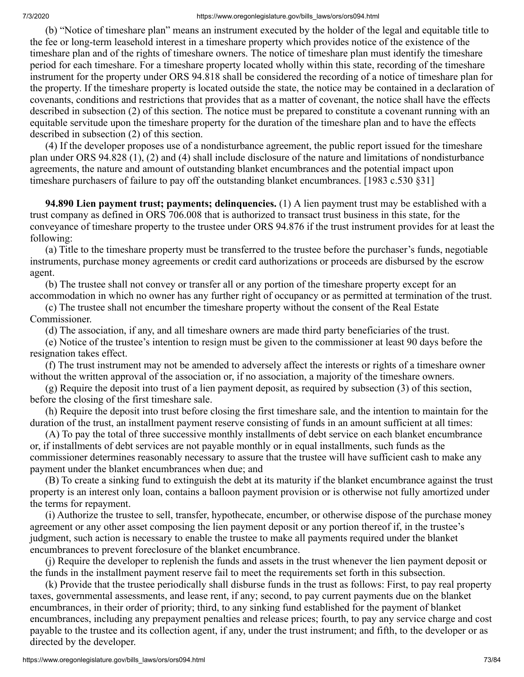(b) "Notice of timeshare plan" means an instrument executed by the holder of the legal and equitable title to the fee or long-term leasehold interest in a timeshare property which provides notice of the existence of the timeshare plan and of the rights of timeshare owners. The notice of timeshare plan must identify the timeshare period for each timeshare. For a timeshare property located wholly within this state, recording of the timeshare instrument for the property under ORS 94.818 shall be considered the recording of a notice of timeshare plan for the property. If the timeshare property is located outside the state, the notice may be contained in a declaration of covenants, conditions and restrictions that provides that as a matter of covenant, the notice shall have the effects described in subsection (2) of this section. The notice must be prepared to constitute a covenant running with an equitable servitude upon the timeshare property for the duration of the timeshare plan and to have the effects described in subsection (2) of this section.

 (4) If the developer proposes use of a nondisturbance agreement, the public report issued for the timeshare plan under ORS 94.828 (1), (2) and (4) shall include disclosure of the nature and limitations of nondisturbance agreements, the nature and amount of outstanding blanket encumbrances and the potential impact upon timeshare purchasers of failure to pay off the outstanding blanket encumbrances. [1983 c.530 §31]

 **94.890 Lien payment trust; payments; delinquencies.** (1) A lien payment trust may be established with a trust company as defined in ORS 706.008 that is authorized to transact trust business in this state, for the conveyance of timeshare property to the trustee under ORS 94.876 if the trust instrument provides for at least the following:

 (a) Title to the timeshare property must be transferred to the trustee before the purchaser's funds, negotiable instruments, purchase money agreements or credit card authorizations or proceeds are disbursed by the escrow agent.

 (b) The trustee shall not convey or transfer all or any portion of the timeshare property except for an accommodation in which no owner has any further right of occupancy or as permitted at termination of the trust.

 (c) The trustee shall not encumber the timeshare property without the consent of the Real Estate Commissioner.

(d) The association, if any, and all timeshare owners are made third party beneficiaries of the trust.

 (e) Notice of the trustee's intention to resign must be given to the commissioner at least 90 days before the resignation takes effect.

 (f) The trust instrument may not be amended to adversely affect the interests or rights of a timeshare owner without the written approval of the association or, if no association, a majority of the timeshare owners.

 (g) Require the deposit into trust of a lien payment deposit, as required by subsection (3) of this section, before the closing of the first timeshare sale.

 (h) Require the deposit into trust before closing the first timeshare sale, and the intention to maintain for the duration of the trust, an installment payment reserve consisting of funds in an amount sufficient at all times:

 (A) To pay the total of three successive monthly installments of debt service on each blanket encumbrance or, if installments of debt services are not payable monthly or in equal installments, such funds as the commissioner determines reasonably necessary to assure that the trustee will have sufficient cash to make any payment under the blanket encumbrances when due; and

 (B) To create a sinking fund to extinguish the debt at its maturity if the blanket encumbrance against the trust property is an interest only loan, contains a balloon payment provision or is otherwise not fully amortized under the terms for repayment.

 (i) Authorize the trustee to sell, transfer, hypothecate, encumber, or otherwise dispose of the purchase money agreement or any other asset composing the lien payment deposit or any portion thereof if, in the trustee's judgment, such action is necessary to enable the trustee to make all payments required under the blanket encumbrances to prevent foreclosure of the blanket encumbrance.

 (j) Require the developer to replenish the funds and assets in the trust whenever the lien payment deposit or the funds in the installment payment reserve fail to meet the requirements set forth in this subsection.

 (k) Provide that the trustee periodically shall disburse funds in the trust as follows: First, to pay real property taxes, governmental assessments, and lease rent, if any; second, to pay current payments due on the blanket encumbrances, in their order of priority; third, to any sinking fund established for the payment of blanket encumbrances, including any prepayment penalties and release prices; fourth, to pay any service charge and cost payable to the trustee and its collection agent, if any, under the trust instrument; and fifth, to the developer or as directed by the developer.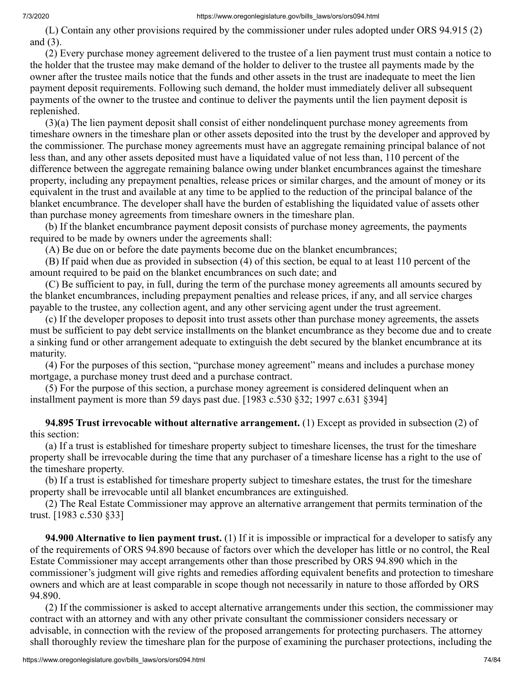(L) Contain any other provisions required by the commissioner under rules adopted under ORS 94.915 (2) and (3).

 (2) Every purchase money agreement delivered to the trustee of a lien payment trust must contain a notice to the holder that the trustee may make demand of the holder to deliver to the trustee all payments made by the owner after the trustee mails notice that the funds and other assets in the trust are inadequate to meet the lien payment deposit requirements. Following such demand, the holder must immediately deliver all subsequent payments of the owner to the trustee and continue to deliver the payments until the lien payment deposit is replenished.

 (3)(a) The lien payment deposit shall consist of either nondelinquent purchase money agreements from timeshare owners in the timeshare plan or other assets deposited into the trust by the developer and approved by the commissioner. The purchase money agreements must have an aggregate remaining principal balance of not less than, and any other assets deposited must have a liquidated value of not less than, 110 percent of the difference between the aggregate remaining balance owing under blanket encumbrances against the timeshare property, including any prepayment penalties, release prices or similar charges, and the amount of money or its equivalent in the trust and available at any time to be applied to the reduction of the principal balance of the blanket encumbrance. The developer shall have the burden of establishing the liquidated value of assets other than purchase money agreements from timeshare owners in the timeshare plan.

 (b) If the blanket encumbrance payment deposit consists of purchase money agreements, the payments required to be made by owners under the agreements shall:

(A) Be due on or before the date payments become due on the blanket encumbrances;

 (B) If paid when due as provided in subsection (4) of this section, be equal to at least 110 percent of the amount required to be paid on the blanket encumbrances on such date; and

 (C) Be sufficient to pay, in full, during the term of the purchase money agreements all amounts secured by the blanket encumbrances, including prepayment penalties and release prices, if any, and all service charges payable to the trustee, any collection agent, and any other servicing agent under the trust agreement.

 (c) If the developer proposes to deposit into trust assets other than purchase money agreements, the assets must be sufficient to pay debt service installments on the blanket encumbrance as they become due and to create a sinking fund or other arrangement adequate to extinguish the debt secured by the blanket encumbrance at its maturity.

 (4) For the purposes of this section, "purchase money agreement" means and includes a purchase money mortgage, a purchase money trust deed and a purchase contract.

 (5) For the purpose of this section, a purchase money agreement is considered delinquent when an installment payment is more than 59 days past due. [1983 c.530 §32; 1997 c.631 §394]

 **94.895 Trust irrevocable without alternative arrangement.** (1) Except as provided in subsection (2) of this section:

 (a) If a trust is established for timeshare property subject to timeshare licenses, the trust for the timeshare property shall be irrevocable during the time that any purchaser of a timeshare license has a right to the use of the timeshare property.

 (b) If a trust is established for timeshare property subject to timeshare estates, the trust for the timeshare property shall be irrevocable until all blanket encumbrances are extinguished.

 (2) The Real Estate Commissioner may approve an alternative arrangement that permits termination of the trust. [1983 c.530 §33]

 **94.900 Alternative to lien payment trust.** (1) If it is impossible or impractical for a developer to satisfy any of the requirements of ORS 94.890 because of factors over which the developer has little or no control, the Real Estate Commissioner may accept arrangements other than those prescribed by ORS 94.890 which in the commissioner's judgment will give rights and remedies affording equivalent benefits and protection to timeshare owners and which are at least comparable in scope though not necessarily in nature to those afforded by ORS 94.890.

 (2) If the commissioner is asked to accept alternative arrangements under this section, the commissioner may contract with an attorney and with any other private consultant the commissioner considers necessary or advisable, in connection with the review of the proposed arrangements for protecting purchasers. The attorney shall thoroughly review the timeshare plan for the purpose of examining the purchaser protections, including the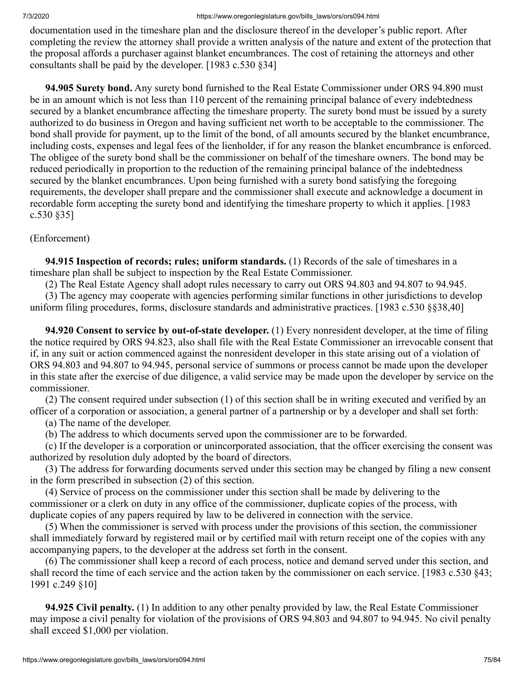documentation used in the timeshare plan and the disclosure thereof in the developer's public report. After completing the review the attorney shall provide a written analysis of the nature and extent of the protection that the proposal affords a purchaser against blanket encumbrances. The cost of retaining the attorneys and other consultants shall be paid by the developer. [1983 c.530 §34]

 **94.905 Surety bond.** Any surety bond furnished to the Real Estate Commissioner under ORS 94.890 must be in an amount which is not less than 110 percent of the remaining principal balance of every indebtedness secured by a blanket encumbrance affecting the timeshare property. The surety bond must be issued by a surety authorized to do business in Oregon and having sufficient net worth to be acceptable to the commissioner. The bond shall provide for payment, up to the limit of the bond, of all amounts secured by the blanket encumbrance, including costs, expenses and legal fees of the lienholder, if for any reason the blanket encumbrance is enforced. The obligee of the surety bond shall be the commissioner on behalf of the timeshare owners. The bond may be reduced periodically in proportion to the reduction of the remaining principal balance of the indebtedness secured by the blanket encumbrances. Upon being furnished with a surety bond satisfying the foregoing requirements, the developer shall prepare and the commissioner shall execute and acknowledge a document in recordable form accepting the surety bond and identifying the timeshare property to which it applies. [1983 c.530 §35]

## (Enforcement)

 **94.915 Inspection of records; rules; uniform standards.** (1) Records of the sale of timeshares in a timeshare plan shall be subject to inspection by the Real Estate Commissioner.

(2) The Real Estate Agency shall adopt rules necessary to carry out ORS 94.803 and 94.807 to 94.945.

 (3) The agency may cooperate with agencies performing similar functions in other jurisdictions to develop uniform filing procedures, forms, disclosure standards and administrative practices. [1983 c.530 §§38,40]

 **94.920 Consent to service by out-of-state developer.** (1) Every nonresident developer, at the time of filing the notice required by ORS 94.823, also shall file with the Real Estate Commissioner an irrevocable consent that if, in any suit or action commenced against the nonresident developer in this state arising out of a violation of ORS 94.803 and 94.807 to 94.945, personal service of summons or process cannot be made upon the developer in this state after the exercise of due diligence, a valid service may be made upon the developer by service on the commissioner.

 (2) The consent required under subsection (1) of this section shall be in writing executed and verified by an officer of a corporation or association, a general partner of a partnership or by a developer and shall set forth:

(a) The name of the developer.

(b) The address to which documents served upon the commissioner are to be forwarded.

 (c) If the developer is a corporation or unincorporated association, that the officer exercising the consent was authorized by resolution duly adopted by the board of directors.

 (3) The address for forwarding documents served under this section may be changed by filing a new consent in the form prescribed in subsection (2) of this section.

 (4) Service of process on the commissioner under this section shall be made by delivering to the commissioner or a clerk on duty in any office of the commissioner, duplicate copies of the process, with duplicate copies of any papers required by law to be delivered in connection with the service.

 (5) When the commissioner is served with process under the provisions of this section, the commissioner shall immediately forward by registered mail or by certified mail with return receipt one of the copies with any accompanying papers, to the developer at the address set forth in the consent.

 (6) The commissioner shall keep a record of each process, notice and demand served under this section, and shall record the time of each service and the action taken by the commissioner on each service. [1983 c.530 §43; 1991 c.249 §10]

 **94.925 Civil penalty.** (1) In addition to any other penalty provided by law, the Real Estate Commissioner may impose a civil penalty for violation of the provisions of ORS 94.803 and 94.807 to 94.945. No civil penalty shall exceed \$1,000 per violation.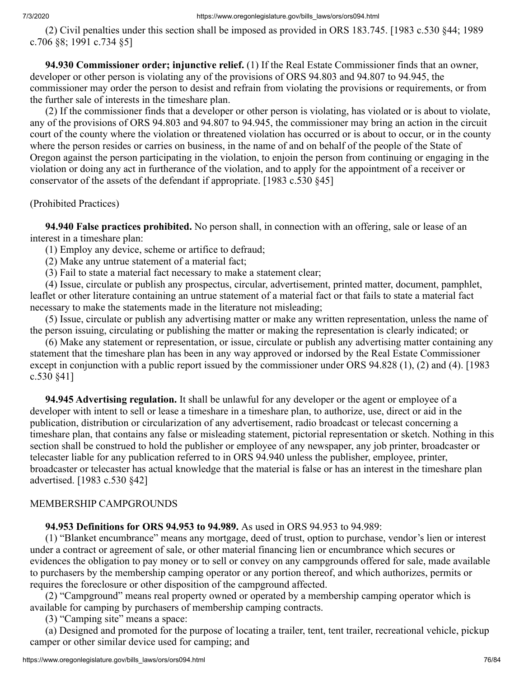(2) Civil penalties under this section shall be imposed as provided in ORS 183.745. [1983 c.530 §44; 1989 c.706 §8; 1991 c.734 §5]

 **94.930 Commissioner order; injunctive relief.** (1) If the Real Estate Commissioner finds that an owner, developer or other person is violating any of the provisions of ORS 94.803 and 94.807 to 94.945, the commissioner may order the person to desist and refrain from violating the provisions or requirements, or from the further sale of interests in the timeshare plan.

 (2) If the commissioner finds that a developer or other person is violating, has violated or is about to violate, any of the provisions of ORS 94.803 and 94.807 to 94.945, the commissioner may bring an action in the circuit court of the county where the violation or threatened violation has occurred or is about to occur, or in the county where the person resides or carries on business, in the name of and on behalf of the people of the State of Oregon against the person participating in the violation, to enjoin the person from continuing or engaging in the violation or doing any act in furtherance of the violation, and to apply for the appointment of a receiver or conservator of the assets of the defendant if appropriate. [1983 c.530 §45]

## (Prohibited Practices)

 **94.940 False practices prohibited.** No person shall, in connection with an offering, sale or lease of an interest in a timeshare plan:

(1) Employ any device, scheme or artifice to defraud;

(2) Make any untrue statement of a material fact;

(3) Fail to state a material fact necessary to make a statement clear;

 (4) Issue, circulate or publish any prospectus, circular, advertisement, printed matter, document, pamphlet, leaflet or other literature containing an untrue statement of a material fact or that fails to state a material fact necessary to make the statements made in the literature not misleading;

 (5) Issue, circulate or publish any advertising matter or make any written representation, unless the name of the person issuing, circulating or publishing the matter or making the representation is clearly indicated; or

 (6) Make any statement or representation, or issue, circulate or publish any advertising matter containing any statement that the timeshare plan has been in any way approved or indorsed by the Real Estate Commissioner except in conjunction with a public report issued by the commissioner under ORS 94.828 (1), (2) and (4). [1983 c.530 §41]

 **94.945 Advertising regulation.** It shall be unlawful for any developer or the agent or employee of a developer with intent to sell or lease a timeshare in a timeshare plan, to authorize, use, direct or aid in the publication, distribution or circularization of any advertisement, radio broadcast or telecast concerning a timeshare plan, that contains any false or misleading statement, pictorial representation or sketch. Nothing in this section shall be construed to hold the publisher or employee of any newspaper, any job printer, broadcaster or telecaster liable for any publication referred to in ORS 94.940 unless the publisher, employee, printer, broadcaster or telecaster has actual knowledge that the material is false or has an interest in the timeshare plan advertised. [1983 c.530 §42]

## MEMBERSHIP CAMPGROUNDS

 **94.953 Definitions for ORS 94.953 to 94.989.** As used in ORS 94.953 to 94.989:

 (1) "Blanket encumbrance" means any mortgage, deed of trust, option to purchase, vendor's lien or interest under a contract or agreement of sale, or other material financing lien or encumbrance which secures or evidences the obligation to pay money or to sell or convey on any campgrounds offered for sale, made available to purchasers by the membership camping operator or any portion thereof, and which authorizes, permits or requires the foreclosure or other disposition of the campground affected.

 (2) "Campground" means real property owned or operated by a membership camping operator which is available for camping by purchasers of membership camping contracts.

(3) "Camping site" means a space:

 (a) Designed and promoted for the purpose of locating a trailer, tent, tent trailer, recreational vehicle, pickup camper or other similar device used for camping; and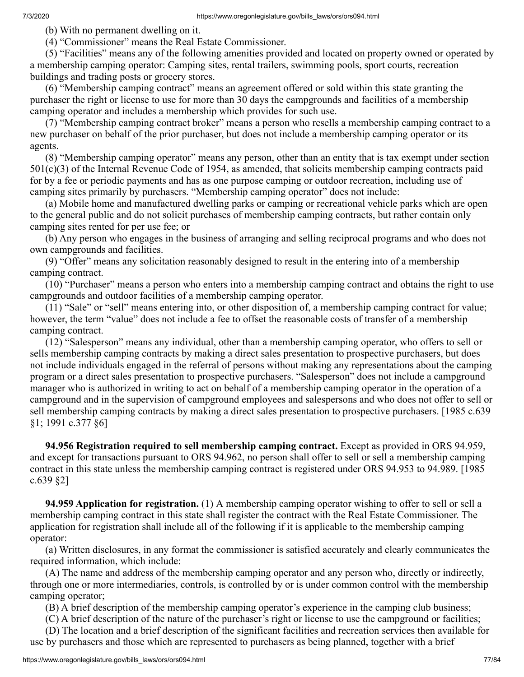(b) With no permanent dwelling on it.

(4) "Commissioner" means the Real Estate Commissioner.

 (5) "Facilities" means any of the following amenities provided and located on property owned or operated by a membership camping operator: Camping sites, rental trailers, swimming pools, sport courts, recreation buildings and trading posts or grocery stores.

 (6) "Membership camping contract" means an agreement offered or sold within this state granting the purchaser the right or license to use for more than 30 days the campgrounds and facilities of a membership camping operator and includes a membership which provides for such use.

 (7) "Membership camping contract broker" means a person who resells a membership camping contract to a new purchaser on behalf of the prior purchaser, but does not include a membership camping operator or its agents.

 (8) "Membership camping operator" means any person, other than an entity that is tax exempt under section 501(c)(3) of the Internal Revenue Code of 1954, as amended, that solicits membership camping contracts paid for by a fee or periodic payments and has as one purpose camping or outdoor recreation, including use of camping sites primarily by purchasers. "Membership camping operator" does not include:

 (a) Mobile home and manufactured dwelling parks or camping or recreational vehicle parks which are open to the general public and do not solicit purchases of membership camping contracts, but rather contain only camping sites rented for per use fee; or

 (b) Any person who engages in the business of arranging and selling reciprocal programs and who does not own campgrounds and facilities.

 (9) "Offer" means any solicitation reasonably designed to result in the entering into of a membership camping contract.

 (10) "Purchaser" means a person who enters into a membership camping contract and obtains the right to use campgrounds and outdoor facilities of a membership camping operator.

 (11) "Sale" or "sell" means entering into, or other disposition of, a membership camping contract for value; however, the term "value" does not include a fee to offset the reasonable costs of transfer of a membership camping contract.

 (12) "Salesperson" means any individual, other than a membership camping operator, who offers to sell or sells membership camping contracts by making a direct sales presentation to prospective purchasers, but does not include individuals engaged in the referral of persons without making any representations about the camping program or a direct sales presentation to prospective purchasers. "Salesperson" does not include a campground manager who is authorized in writing to act on behalf of a membership camping operator in the operation of a campground and in the supervision of campground employees and salespersons and who does not offer to sell or sell membership camping contracts by making a direct sales presentation to prospective purchasers. [1985 c.639 §1; 1991 c.377 §6]

 **94.956 Registration required to sell membership camping contract.** Except as provided in ORS 94.959, and except for transactions pursuant to ORS 94.962, no person shall offer to sell or sell a membership camping contract in this state unless the membership camping contract is registered under ORS 94.953 to 94.989. [1985 c.639 §2]

 **94.959 Application for registration.** (1) A membership camping operator wishing to offer to sell or sell a membership camping contract in this state shall register the contract with the Real Estate Commissioner. The application for registration shall include all of the following if it is applicable to the membership camping operator:

 (a) Written disclosures, in any format the commissioner is satisfied accurately and clearly communicates the required information, which include:

 (A) The name and address of the membership camping operator and any person who, directly or indirectly, through one or more intermediaries, controls, is controlled by or is under common control with the membership camping operator;

(B) A brief description of the membership camping operator's experience in the camping club business;

(C) A brief description of the nature of the purchaser's right or license to use the campground or facilities;

 (D) The location and a brief description of the significant facilities and recreation services then available for use by purchasers and those which are represented to purchasers as being planned, together with a brief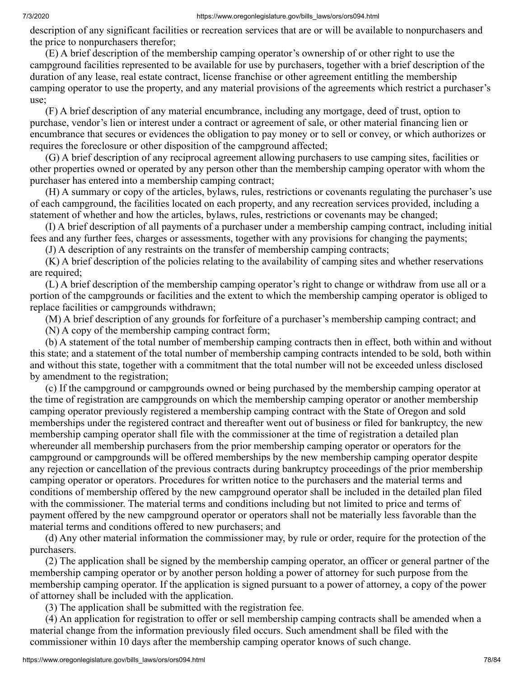description of any significant facilities or recreation services that are or will be available to nonpurchasers and the price to nonpurchasers therefor;

 (E) A brief description of the membership camping operator's ownership of or other right to use the campground facilities represented to be available for use by purchasers, together with a brief description of the duration of any lease, real estate contract, license franchise or other agreement entitling the membership camping operator to use the property, and any material provisions of the agreements which restrict a purchaser's use;

 (F) A brief description of any material encumbrance, including any mortgage, deed of trust, option to purchase, vendor's lien or interest under a contract or agreement of sale, or other material financing lien or encumbrance that secures or evidences the obligation to pay money or to sell or convey, or which authorizes or requires the foreclosure or other disposition of the campground affected;

 (G) A brief description of any reciprocal agreement allowing purchasers to use camping sites, facilities or other properties owned or operated by any person other than the membership camping operator with whom the purchaser has entered into a membership camping contract;

 (H) A summary or copy of the articles, bylaws, rules, restrictions or covenants regulating the purchaser's use of each campground, the facilities located on each property, and any recreation services provided, including a statement of whether and how the articles, bylaws, rules, restrictions or covenants may be changed;

 (I) A brief description of all payments of a purchaser under a membership camping contract, including initial fees and any further fees, charges or assessments, together with any provisions for changing the payments;

(J) A description of any restraints on the transfer of membership camping contracts;

 (K) A brief description of the policies relating to the availability of camping sites and whether reservations are required;

 (L) A brief description of the membership camping operator's right to change or withdraw from use all or a portion of the campgrounds or facilities and the extent to which the membership camping operator is obliged to replace facilities or campgrounds withdrawn;

(M) A brief description of any grounds for forfeiture of a purchaser's membership camping contract; and

(N) A copy of the membership camping contract form;

 (b) A statement of the total number of membership camping contracts then in effect, both within and without this state; and a statement of the total number of membership camping contracts intended to be sold, both within and without this state, together with a commitment that the total number will not be exceeded unless disclosed by amendment to the registration;

 (c) If the campground or campgrounds owned or being purchased by the membership camping operator at the time of registration are campgrounds on which the membership camping operator or another membership camping operator previously registered a membership camping contract with the State of Oregon and sold memberships under the registered contract and thereafter went out of business or filed for bankruptcy, the new membership camping operator shall file with the commissioner at the time of registration a detailed plan whereunder all membership purchasers from the prior membership camping operator or operators for the campground or campgrounds will be offered memberships by the new membership camping operator despite any rejection or cancellation of the previous contracts during bankruptcy proceedings of the prior membership camping operator or operators. Procedures for written notice to the purchasers and the material terms and conditions of membership offered by the new campground operator shall be included in the detailed plan filed with the commissioner. The material terms and conditions including but not limited to price and terms of payment offered by the new campground operator or operators shall not be materially less favorable than the material terms and conditions offered to new purchasers; and

 (d) Any other material information the commissioner may, by rule or order, require for the protection of the purchasers.

 (2) The application shall be signed by the membership camping operator, an officer or general partner of the membership camping operator or by another person holding a power of attorney for such purpose from the membership camping operator. If the application is signed pursuant to a power of attorney, a copy of the power of attorney shall be included with the application.

(3) The application shall be submitted with the registration fee.

 (4) An application for registration to offer or sell membership camping contracts shall be amended when a material change from the information previously filed occurs. Such amendment shall be filed with the commissioner within 10 days after the membership camping operator knows of such change.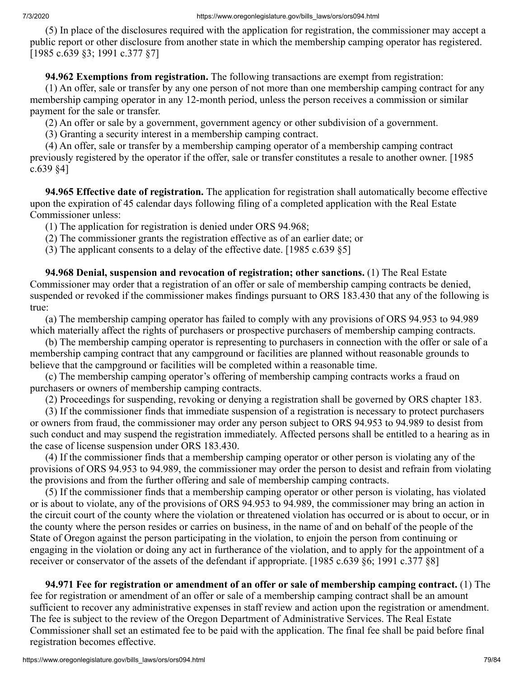(5) In place of the disclosures required with the application for registration, the commissioner may accept a public report or other disclosure from another state in which the membership camping operator has registered. [1985 c.639 §3; 1991 c.377 §7]

 **94.962 Exemptions from registration.** The following transactions are exempt from registration:

 (1) An offer, sale or transfer by any one person of not more than one membership camping contract for any membership camping operator in any 12-month period, unless the person receives a commission or similar payment for the sale or transfer.

(2) An offer or sale by a government, government agency or other subdivision of a government.

(3) Granting a security interest in a membership camping contract.

 (4) An offer, sale or transfer by a membership camping operator of a membership camping contract previously registered by the operator if the offer, sale or transfer constitutes a resale to another owner. [1985 c.639 §4]

 **94.965 Effective date of registration.** The application for registration shall automatically become effective upon the expiration of 45 calendar days following filing of a completed application with the Real Estate Commissioner unless:

(1) The application for registration is denied under ORS 94.968;

(2) The commissioner grants the registration effective as of an earlier date; or

(3) The applicant consents to a delay of the effective date. [1985 c.639 §5]

 **94.968 Denial, suspension and revocation of registration; other sanctions.** (1) The Real Estate Commissioner may order that a registration of an offer or sale of membership camping contracts be denied, suspended or revoked if the commissioner makes findings pursuant to ORS 183.430 that any of the following is true:

 (a) The membership camping operator has failed to comply with any provisions of ORS 94.953 to 94.989 which materially affect the rights of purchasers or prospective purchasers of membership camping contracts.

 (b) The membership camping operator is representing to purchasers in connection with the offer or sale of a membership camping contract that any campground or facilities are planned without reasonable grounds to believe that the campground or facilities will be completed within a reasonable time.

 (c) The membership camping operator's offering of membership camping contracts works a fraud on purchasers or owners of membership camping contracts.

(2) Proceedings for suspending, revoking or denying a registration shall be governed by ORS chapter 183.

 (3) If the commissioner finds that immediate suspension of a registration is necessary to protect purchasers or owners from fraud, the commissioner may order any person subject to ORS 94.953 to 94.989 to desist from such conduct and may suspend the registration immediately. Affected persons shall be entitled to a hearing as in the case of license suspension under ORS 183.430.

 (4) If the commissioner finds that a membership camping operator or other person is violating any of the provisions of ORS 94.953 to 94.989, the commissioner may order the person to desist and refrain from violating the provisions and from the further offering and sale of membership camping contracts.

 (5) If the commissioner finds that a membership camping operator or other person is violating, has violated or is about to violate, any of the provisions of ORS 94.953 to 94.989, the commissioner may bring an action in the circuit court of the county where the violation or threatened violation has occurred or is about to occur, or in the county where the person resides or carries on business, in the name of and on behalf of the people of the State of Oregon against the person participating in the violation, to enjoin the person from continuing or engaging in the violation or doing any act in furtherance of the violation, and to apply for the appointment of a receiver or conservator of the assets of the defendant if appropriate. [1985 c.639 §6; 1991 c.377 §8]

 **94.971 Fee for registration or amendment of an offer or sale of membership camping contract.** (1) The fee for registration or amendment of an offer or sale of a membership camping contract shall be an amount sufficient to recover any administrative expenses in staff review and action upon the registration or amendment. The fee is subject to the review of the Oregon Department of Administrative Services. The Real Estate Commissioner shall set an estimated fee to be paid with the application. The final fee shall be paid before final registration becomes effective.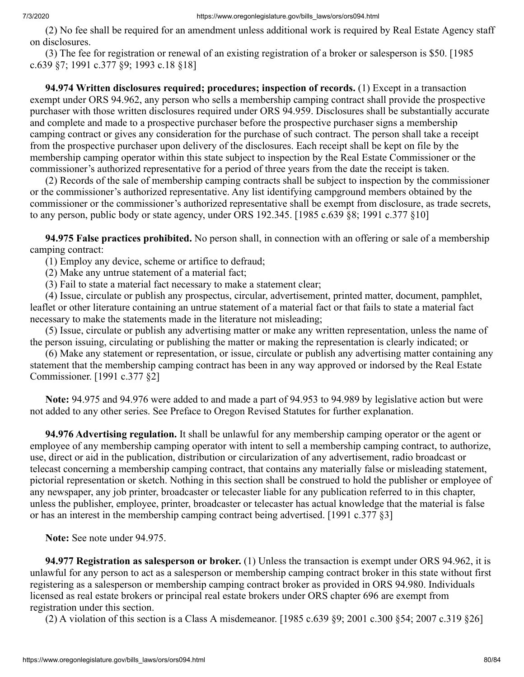(2) No fee shall be required for an amendment unless additional work is required by Real Estate Agency staff on disclosures.

 (3) The fee for registration or renewal of an existing registration of a broker or salesperson is \$50. [1985 c.639 §7; 1991 c.377 §9; 1993 c.18 §18]

 **94.974 Written disclosures required; procedures; inspection of records.** (1) Except in a transaction exempt under ORS 94.962, any person who sells a membership camping contract shall provide the prospective purchaser with those written disclosures required under ORS 94.959. Disclosures shall be substantially accurate and complete and made to a prospective purchaser before the prospective purchaser signs a membership camping contract or gives any consideration for the purchase of such contract. The person shall take a receipt from the prospective purchaser upon delivery of the disclosures. Each receipt shall be kept on file by the membership camping operator within this state subject to inspection by the Real Estate Commissioner or the commissioner's authorized representative for a period of three years from the date the receipt is taken.

 (2) Records of the sale of membership camping contracts shall be subject to inspection by the commissioner or the commissioner's authorized representative. Any list identifying campground members obtained by the commissioner or the commissioner's authorized representative shall be exempt from disclosure, as trade secrets, to any person, public body or state agency, under ORS 192.345. [1985 c.639 §8; 1991 c.377 §10]

 **94.975 False practices prohibited.** No person shall, in connection with an offering or sale of a membership camping contract:

(1) Employ any device, scheme or artifice to defraud;

(2) Make any untrue statement of a material fact;

(3) Fail to state a material fact necessary to make a statement clear;

 (4) Issue, circulate or publish any prospectus, circular, advertisement, printed matter, document, pamphlet, leaflet or other literature containing an untrue statement of a material fact or that fails to state a material fact necessary to make the statements made in the literature not misleading;

 (5) Issue, circulate or publish any advertising matter or make any written representation, unless the name of the person issuing, circulating or publishing the matter or making the representation is clearly indicated; or

 (6) Make any statement or representation, or issue, circulate or publish any advertising matter containing any statement that the membership camping contract has been in any way approved or indorsed by the Real Estate Commissioner. [1991 c.377 §2]

 **Note:** 94.975 and 94.976 were added to and made a part of 94.953 to 94.989 by legislative action but were not added to any other series. See Preface to Oregon Revised Statutes for further explanation.

 **94.976 Advertising regulation.** It shall be unlawful for any membership camping operator or the agent or employee of any membership camping operator with intent to sell a membership camping contract, to authorize, use, direct or aid in the publication, distribution or circularization of any advertisement, radio broadcast or telecast concerning a membership camping contract, that contains any materially false or misleading statement, pictorial representation or sketch. Nothing in this section shall be construed to hold the publisher or employee of any newspaper, any job printer, broadcaster or telecaster liable for any publication referred to in this chapter, unless the publisher, employee, printer, broadcaster or telecaster has actual knowledge that the material is false or has an interest in the membership camping contract being advertised. [1991 c.377 §3]

 **Note:** See note under 94.975.

 **94.977 Registration as salesperson or broker.** (1) Unless the transaction is exempt under ORS 94.962, it is unlawful for any person to act as a salesperson or membership camping contract broker in this state without first registering as a salesperson or membership camping contract broker as provided in ORS 94.980. Individuals licensed as real estate brokers or principal real estate brokers under ORS chapter 696 are exempt from registration under this section.

(2) A violation of this section is a Class A misdemeanor. [1985 c.639 §9; 2001 c.300 §54; 2007 c.319 §26]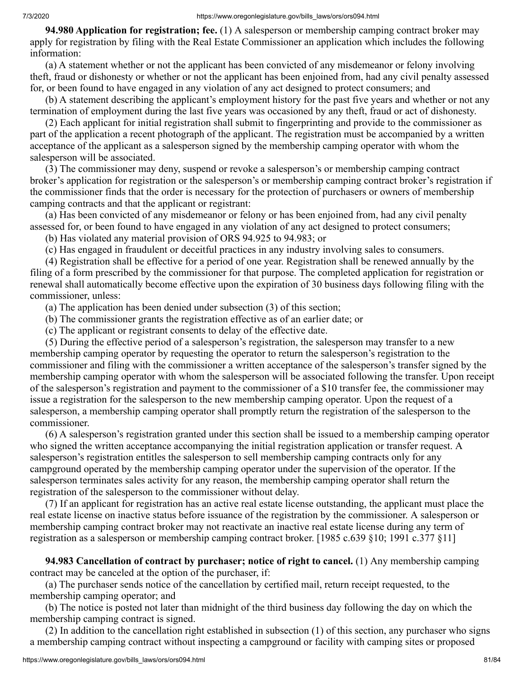**94.980 Application for registration; fee.** (1) A salesperson or membership camping contract broker may apply for registration by filing with the Real Estate Commissioner an application which includes the following information:

 (a) A statement whether or not the applicant has been convicted of any misdemeanor or felony involving theft, fraud or dishonesty or whether or not the applicant has been enjoined from, had any civil penalty assessed for, or been found to have engaged in any violation of any act designed to protect consumers; and

 (b) A statement describing the applicant's employment history for the past five years and whether or not any termination of employment during the last five years was occasioned by any theft, fraud or act of dishonesty.

 (2) Each applicant for initial registration shall submit to fingerprinting and provide to the commissioner as part of the application a recent photograph of the applicant. The registration must be accompanied by a written acceptance of the applicant as a salesperson signed by the membership camping operator with whom the salesperson will be associated.

 (3) The commissioner may deny, suspend or revoke a salesperson's or membership camping contract broker's application for registration or the salesperson's or membership camping contract broker's registration if the commissioner finds that the order is necessary for the protection of purchasers or owners of membership camping contracts and that the applicant or registrant:

 (a) Has been convicted of any misdemeanor or felony or has been enjoined from, had any civil penalty assessed for, or been found to have engaged in any violation of any act designed to protect consumers;

(b) Has violated any material provision of ORS 94.925 to 94.983; or

(c) Has engaged in fraudulent or deceitful practices in any industry involving sales to consumers.

 (4) Registration shall be effective for a period of one year. Registration shall be renewed annually by the filing of a form prescribed by the commissioner for that purpose. The completed application for registration or renewal shall automatically become effective upon the expiration of 30 business days following filing with the commissioner, unless:

(a) The application has been denied under subsection (3) of this section;

(b) The commissioner grants the registration effective as of an earlier date; or

(c) The applicant or registrant consents to delay of the effective date.

 (5) During the effective period of a salesperson's registration, the salesperson may transfer to a new membership camping operator by requesting the operator to return the salesperson's registration to the commissioner and filing with the commissioner a written acceptance of the salesperson's transfer signed by the membership camping operator with whom the salesperson will be associated following the transfer. Upon receipt of the salesperson's registration and payment to the commissioner of a \$10 transfer fee, the commissioner may issue a registration for the salesperson to the new membership camping operator. Upon the request of a salesperson, a membership camping operator shall promptly return the registration of the salesperson to the commissioner.

 (6) A salesperson's registration granted under this section shall be issued to a membership camping operator who signed the written acceptance accompanying the initial registration application or transfer request. A salesperson's registration entitles the salesperson to sell membership camping contracts only for any campground operated by the membership camping operator under the supervision of the operator. If the salesperson terminates sales activity for any reason, the membership camping operator shall return the registration of the salesperson to the commissioner without delay.

 (7) If an applicant for registration has an active real estate license outstanding, the applicant must place the real estate license on inactive status before issuance of the registration by the commissioner. A salesperson or membership camping contract broker may not reactivate an inactive real estate license during any term of registration as a salesperson or membership camping contract broker. [1985 c.639 §10; 1991 c.377 §11]

 **94.983 Cancellation of contract by purchaser; notice of right to cancel.** (1) Any membership camping contract may be canceled at the option of the purchaser, if:

 (a) The purchaser sends notice of the cancellation by certified mail, return receipt requested, to the membership camping operator; and

 (b) The notice is posted not later than midnight of the third business day following the day on which the membership camping contract is signed.

 (2) In addition to the cancellation right established in subsection (1) of this section, any purchaser who signs a membership camping contract without inspecting a campground or facility with camping sites or proposed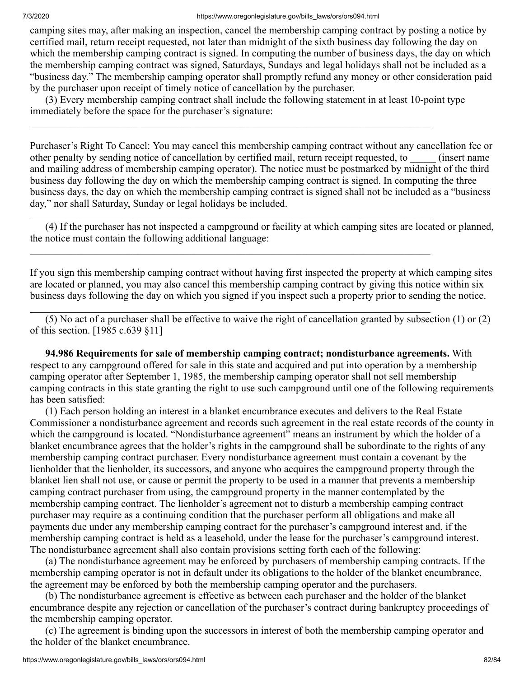camping sites may, after making an inspection, cancel the membership camping contract by posting a notice by certified mail, return receipt requested, not later than midnight of the sixth business day following the day on which the membership camping contract is signed. In computing the number of business days, the day on which the membership camping contract was signed, Saturdays, Sundays and legal holidays shall not be included as a "business day." The membership camping operator shall promptly refund any money or other consideration paid by the purchaser upon receipt of timely notice of cancellation by the purchaser.

 (3) Every membership camping contract shall include the following statement in at least 10-point type immediately before the space for the purchaser's signature:

 $\_$  , and the contribution of the contribution of the contribution of the contribution of  $\mathcal{L}_\text{max}$ 

 $\_$  , and the contribution of the contribution of the contribution of the contribution of  $\mathcal{L}_\text{max}$ 

 $\_$  , and the contribution of the contribution of the contribution of the contribution of  $\mathcal{L}_\text{max}$ 

 $\_$  , and the contribution of the contribution of the contribution of the contribution of  $\mathcal{L}_\text{max}$ 

Purchaser's Right To Cancel: You may cancel this membership camping contract without any cancellation fee or other penalty by sending notice of cancellation by certified mail, return receipt requested, to \_\_\_\_\_ (insert name and mailing address of membership camping operator). The notice must be postmarked by midnight of the third business day following the day on which the membership camping contract is signed. In computing the three business days, the day on which the membership camping contract is signed shall not be included as a "business day," nor shall Saturday, Sunday or legal holidays be included.

 (4) If the purchaser has not inspected a campground or facility at which camping sites are located or planned, the notice must contain the following additional language:

If you sign this membership camping contract without having first inspected the property at which camping sites are located or planned, you may also cancel this membership camping contract by giving this notice within six business days following the day on which you signed if you inspect such a property prior to sending the notice.

 (5) No act of a purchaser shall be effective to waive the right of cancellation granted by subsection (1) or (2) of this section. [1985 c.639 §11]

 **94.986 Requirements for sale of membership camping contract; nondisturbance agreements.** With respect to any campground offered for sale in this state and acquired and put into operation by a membership camping operator after September 1, 1985, the membership camping operator shall not sell membership camping contracts in this state granting the right to use such campground until one of the following requirements has been satisfied:

 (1) Each person holding an interest in a blanket encumbrance executes and delivers to the Real Estate Commissioner a nondisturbance agreement and records such agreement in the real estate records of the county in which the campground is located. "Nondisturbance agreement" means an instrument by which the holder of a blanket encumbrance agrees that the holder's rights in the campground shall be subordinate to the rights of any membership camping contract purchaser. Every nondisturbance agreement must contain a covenant by the lienholder that the lienholder, its successors, and anyone who acquires the campground property through the blanket lien shall not use, or cause or permit the property to be used in a manner that prevents a membership camping contract purchaser from using, the campground property in the manner contemplated by the membership camping contract. The lienholder's agreement not to disturb a membership camping contract purchaser may require as a continuing condition that the purchaser perform all obligations and make all payments due under any membership camping contract for the purchaser's campground interest and, if the membership camping contract is held as a leasehold, under the lease for the purchaser's campground interest. The nondisturbance agreement shall also contain provisions setting forth each of the following:

 (a) The nondisturbance agreement may be enforced by purchasers of membership camping contracts. If the membership camping operator is not in default under its obligations to the holder of the blanket encumbrance, the agreement may be enforced by both the membership camping operator and the purchasers.

 (b) The nondisturbance agreement is effective as between each purchaser and the holder of the blanket encumbrance despite any rejection or cancellation of the purchaser's contract during bankruptcy proceedings of the membership camping operator.

 (c) The agreement is binding upon the successors in interest of both the membership camping operator and the holder of the blanket encumbrance.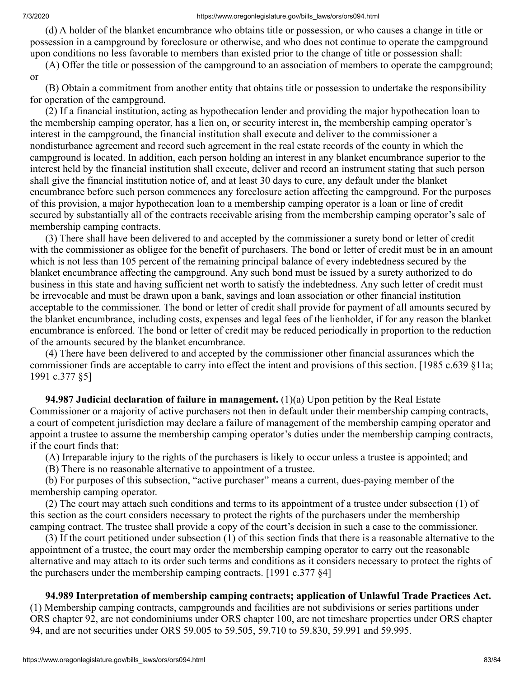(d) A holder of the blanket encumbrance who obtains title or possession, or who causes a change in title or possession in a campground by foreclosure or otherwise, and who does not continue to operate the campground upon conditions no less favorable to members than existed prior to the change of title or possession shall:

 (A) Offer the title or possession of the campground to an association of members to operate the campground; or

 (B) Obtain a commitment from another entity that obtains title or possession to undertake the responsibility for operation of the campground.

 (2) If a financial institution, acting as hypothecation lender and providing the major hypothecation loan to the membership camping operator, has a lien on, or security interest in, the membership camping operator's interest in the campground, the financial institution shall execute and deliver to the commissioner a nondisturbance agreement and record such agreement in the real estate records of the county in which the campground is located. In addition, each person holding an interest in any blanket encumbrance superior to the interest held by the financial institution shall execute, deliver and record an instrument stating that such person shall give the financial institution notice of, and at least 30 days to cure, any default under the blanket encumbrance before such person commences any foreclosure action affecting the campground. For the purposes of this provision, a major hypothecation loan to a membership camping operator is a loan or line of credit secured by substantially all of the contracts receivable arising from the membership camping operator's sale of membership camping contracts.

 (3) There shall have been delivered to and accepted by the commissioner a surety bond or letter of credit with the commissioner as obligee for the benefit of purchasers. The bond or letter of credit must be in an amount which is not less than 105 percent of the remaining principal balance of every indebtedness secured by the blanket encumbrance affecting the campground. Any such bond must be issued by a surety authorized to do business in this state and having sufficient net worth to satisfy the indebtedness. Any such letter of credit must be irrevocable and must be drawn upon a bank, savings and loan association or other financial institution acceptable to the commissioner. The bond or letter of credit shall provide for payment of all amounts secured by the blanket encumbrance, including costs, expenses and legal fees of the lienholder, if for any reason the blanket encumbrance is enforced. The bond or letter of credit may be reduced periodically in proportion to the reduction of the amounts secured by the blanket encumbrance.

 (4) There have been delivered to and accepted by the commissioner other financial assurances which the commissioner finds are acceptable to carry into effect the intent and provisions of this section. [1985 c.639 §11a; 1991 c.377 §5]

 **94.987 Judicial declaration of failure in management.** (1)(a) Upon petition by the Real Estate Commissioner or a majority of active purchasers not then in default under their membership camping contracts, a court of competent jurisdiction may declare a failure of management of the membership camping operator and appoint a trustee to assume the membership camping operator's duties under the membership camping contracts, if the court finds that:

(A) Irreparable injury to the rights of the purchasers is likely to occur unless a trustee is appointed; and

(B) There is no reasonable alternative to appointment of a trustee.

 (b) For purposes of this subsection, "active purchaser" means a current, dues-paying member of the membership camping operator.

 (2) The court may attach such conditions and terms to its appointment of a trustee under subsection (1) of this section as the court considers necessary to protect the rights of the purchasers under the membership camping contract. The trustee shall provide a copy of the court's decision in such a case to the commissioner.

 (3) If the court petitioned under subsection (1) of this section finds that there is a reasonable alternative to the appointment of a trustee, the court may order the membership camping operator to carry out the reasonable alternative and may attach to its order such terms and conditions as it considers necessary to protect the rights of the purchasers under the membership camping contracts. [1991 c.377 §4]

## **94.989 Interpretation of membership camping contracts; application of Unlawful Trade Practices Act.**

(1) Membership camping contracts, campgrounds and facilities are not subdivisions or series partitions under ORS chapter 92, are not condominiums under ORS chapter 100, are not timeshare properties under ORS chapter 94, and are not securities under ORS 59.005 to 59.505, 59.710 to 59.830, 59.991 and 59.995.